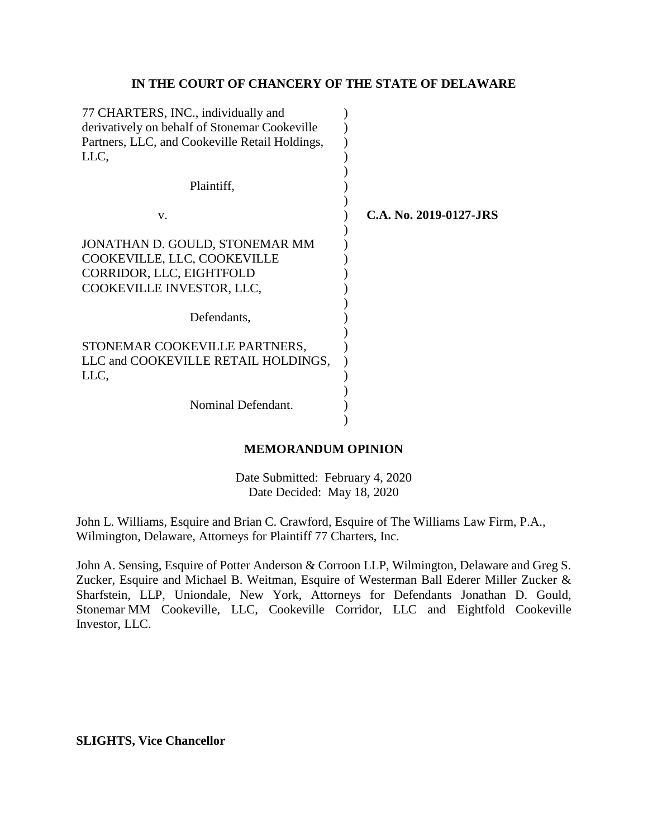#### **IN THE COURT OF CHANCERY OF THE STATE OF DELAWARE**

| 77 CHARTERS, INC., individually and<br>derivatively on behalf of Stonemar Cookeville |                        |
|--------------------------------------------------------------------------------------|------------------------|
| Partners, LLC, and Cookeville Retail Holdings,                                       |                        |
| LLC,                                                                                 |                        |
| Plaintiff,                                                                           |                        |
| V.                                                                                   | C.A. No. 2019-0127-JRS |
| JONATHAN D. GOULD, STONEMAR MM                                                       |                        |
| COOKEVILLE, LLC, COOKEVILLE                                                          |                        |
| CORRIDOR, LLC, EIGHTFOLD                                                             |                        |
| COOKEVILLE INVESTOR, LLC,                                                            |                        |
|                                                                                      |                        |
| Defendants,                                                                          |                        |
|                                                                                      |                        |
| STONEMAR COOKEVILLE PARTNERS,                                                        |                        |
| LLC and COOKEVILLE RETAIL HOLDINGS,                                                  |                        |
| LLC,                                                                                 |                        |
|                                                                                      |                        |
| Nominal Defendant.                                                                   |                        |
|                                                                                      |                        |

#### **MEMORANDUM OPINION**

Date Submitted: February 4, 2020 Date Decided: May 18, 2020

John L. Williams, Esquire and Brian C. Crawford, Esquire of The Williams Law Firm, P.A., Wilmington, Delaware, Attorneys for Plaintiff 77 Charters, Inc.

John A. Sensing, Esquire of Potter Anderson & Corroon LLP, Wilmington, Delaware and Greg S. Zucker, Esquire and Michael B. Weitman, Esquire of Westerman Ball Ederer Miller Zucker & Sharfstein, LLP, Uniondale, New York, Attorneys for Defendants Jonathan D. Gould, Stonemar MM Cookeville, LLC, Cookeville Corridor, LLC and Eightfold Cookeville Investor, LLC.

**SLIGHTS, Vice Chancellor**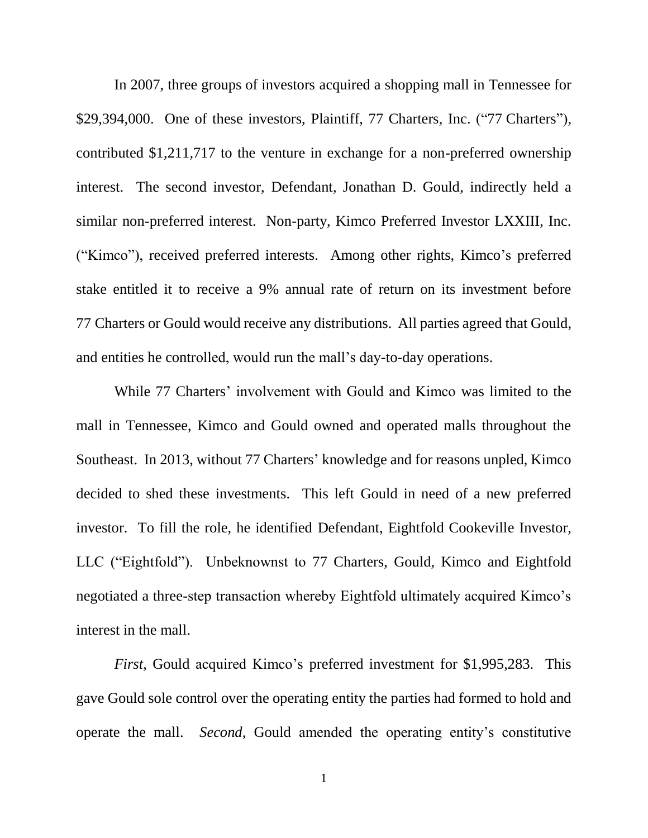In 2007, three groups of investors acquired a shopping mall in Tennessee for \$29,394,000. One of these investors, Plaintiff, 77 Charters, Inc. ("77 Charters"), contributed \$1,211,717 to the venture in exchange for a non-preferred ownership interest. The second investor, Defendant, Jonathan D. Gould, indirectly held a similar non-preferred interest. Non-party, Kimco Preferred Investor LXXIII, Inc. ("Kimco"), received preferred interests. Among other rights, Kimco's preferred stake entitled it to receive a 9% annual rate of return on its investment before 77 Charters or Gould would receive any distributions. All parties agreed that Gould, and entities he controlled, would run the mall's day-to-day operations.

While 77 Charters' involvement with Gould and Kimco was limited to the mall in Tennessee, Kimco and Gould owned and operated malls throughout the Southeast. In 2013, without 77 Charters' knowledge and for reasons unpled, Kimco decided to shed these investments. This left Gould in need of a new preferred investor. To fill the role, he identified Defendant, Eightfold Cookeville Investor, LLC ("Eightfold"). Unbeknownst to 77 Charters, Gould, Kimco and Eightfold negotiated a three-step transaction whereby Eightfold ultimately acquired Kimco's interest in the mall.

*First*, Gould acquired Kimco's preferred investment for \$1,995,283. This gave Gould sole control over the operating entity the parties had formed to hold and operate the mall. *Second*, Gould amended the operating entity's constitutive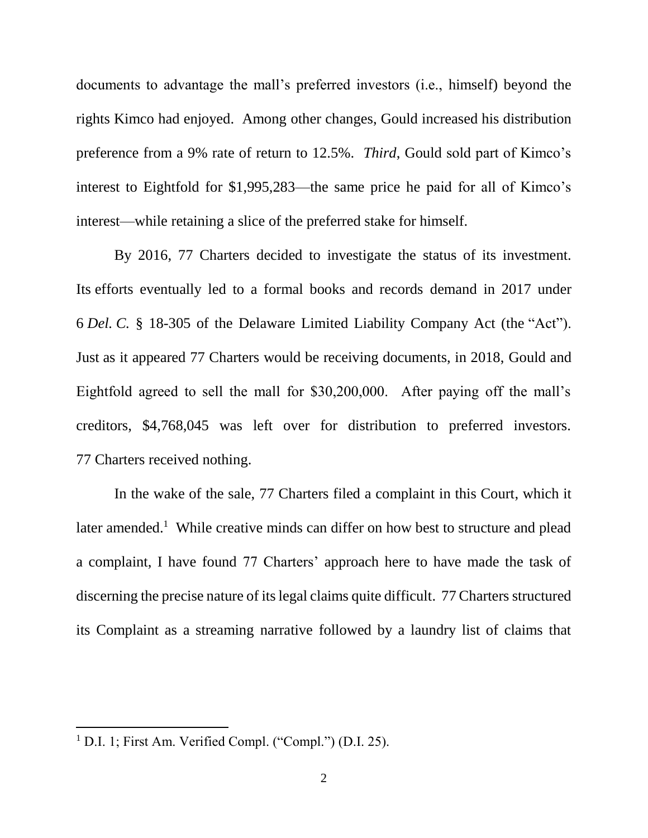documents to advantage the mall's preferred investors (i.e., himself) beyond the rights Kimco had enjoyed. Among other changes, Gould increased his distribution preference from a 9% rate of return to 12.5%. *Third*, Gould sold part of Kimco's interest to Eightfold for \$1,995,283—the same price he paid for all of Kimco's interest—while retaining a slice of the preferred stake for himself.

By 2016, 77 Charters decided to investigate the status of its investment. Its efforts eventually led to a formal books and records demand in 2017 under 6 *Del. C.* § 18-305 of the Delaware Limited Liability Company Act (the "Act"). Just as it appeared 77 Charters would be receiving documents, in 2018, Gould and Eightfold agreed to sell the mall for \$30,200,000. After paying off the mall's creditors, \$4,768,045 was left over for distribution to preferred investors. 77 Charters received nothing.

In the wake of the sale, 77 Charters filed a complaint in this Court, which it later amended.<sup>1</sup> While creative minds can differ on how best to structure and plead a complaint, I have found 77 Charters' approach here to have made the task of discerning the precise nature of its legal claims quite difficult. 77 Charters structured its Complaint as a streaming narrative followed by a laundry list of claims that

<sup>&</sup>lt;sup>1</sup> D.I. 1; First Am. Verified Compl. ("Compl.") (D.I. 25).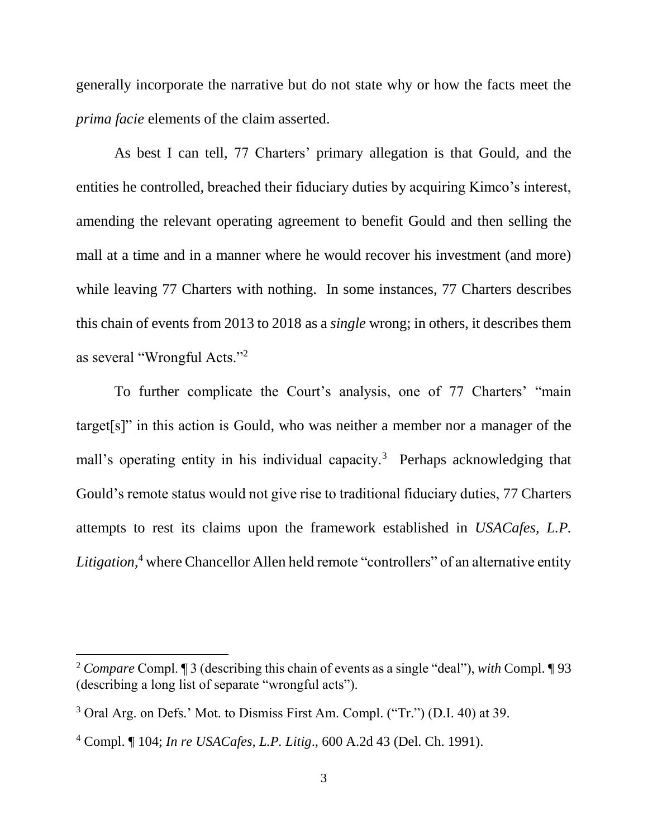generally incorporate the narrative but do not state why or how the facts meet the *prima facie* elements of the claim asserted.

As best I can tell, 77 Charters' primary allegation is that Gould, and the entities he controlled, breached their fiduciary duties by acquiring Kimco's interest, amending the relevant operating agreement to benefit Gould and then selling the mall at a time and in a manner where he would recover his investment (and more) while leaving 77 Charters with nothing. In some instances, 77 Charters describes this chain of events from 2013 to 2018 as a *single* wrong; in others, it describes them as several "Wrongful Acts."<sup>2</sup>

To further complicate the Court's analysis, one of 77 Charters' "main target[s]" in this action is Gould, who was neither a member nor a manager of the mall's operating entity in his individual capacity.<sup>3</sup> Perhaps acknowledging that Gould's remote status would not give rise to traditional fiduciary duties, 77 Charters attempts to rest its claims upon the framework established in *USACafes, L.P. Litigation*, <sup>4</sup> where Chancellor Allen held remote "controllers" of an alternative entity

<sup>2</sup> *Compare* Compl. ¶ 3 (describing this chain of events as a single "deal"), *with* Compl. ¶ 93 (describing a long list of separate "wrongful acts").

<sup>3</sup> Oral Arg. on Defs.' Mot. to Dismiss First Am. Compl. ("Tr.") (D.I. 40) at 39.

<sup>4</sup> Compl. ¶ 104; *In re USACafes, L.P. Litig*., 600 A.2d 43 (Del. Ch. 1991).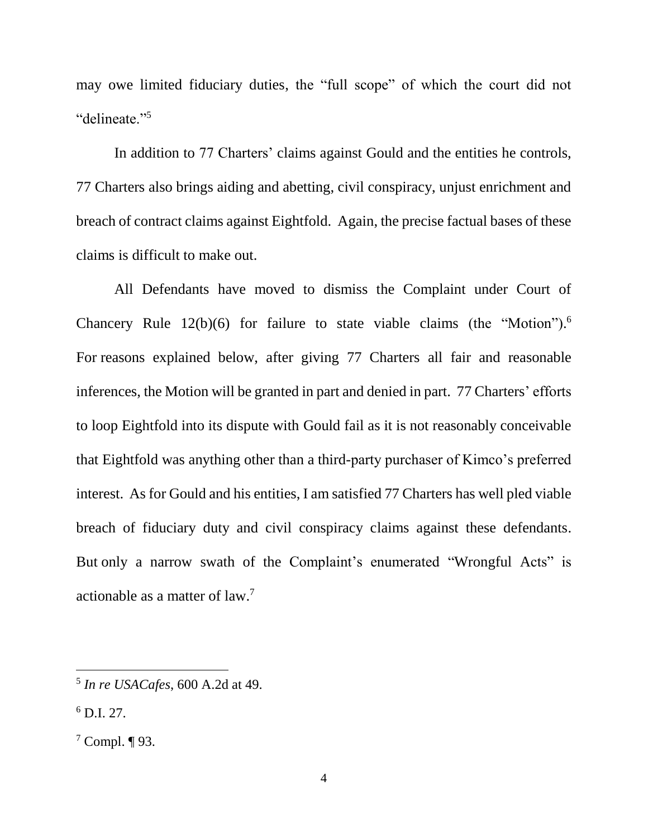may owe limited fiduciary duties, the "full scope" of which the court did not "delineate."<sup>5</sup>

In addition to 77 Charters' claims against Gould and the entities he controls, 77 Charters also brings aiding and abetting, civil conspiracy, unjust enrichment and breach of contract claims against Eightfold. Again, the precise factual bases of these claims is difficult to make out.

All Defendants have moved to dismiss the Complaint under Court of Chancery Rule  $12(b)(6)$  for failure to state viable claims (the "Motion").<sup>6</sup> For reasons explained below, after giving 77 Charters all fair and reasonable inferences, the Motion will be granted in part and denied in part. 77 Charters' efforts to loop Eightfold into its dispute with Gould fail as it is not reasonably conceivable that Eightfold was anything other than a third-party purchaser of Kimco's preferred interest. As for Gould and his entities, I am satisfied 77 Charters has well pled viable breach of fiduciary duty and civil conspiracy claims against these defendants. But only a narrow swath of the Complaint's enumerated "Wrongful Acts" is actionable as a matter of law.<sup>7</sup>

<sup>5</sup> *In re USACafes*, 600 A.2d at 49.

 $^6$  D.I. 27.

 $7$  Compl. ¶ 93.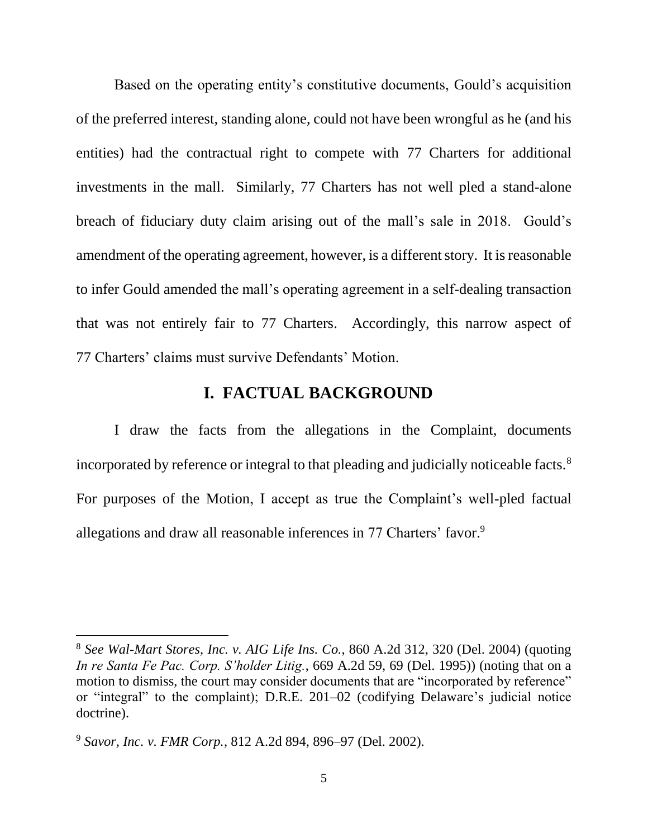Based on the operating entity's constitutive documents, Gould's acquisition of the preferred interest, standing alone, could not have been wrongful as he (and his entities) had the contractual right to compete with 77 Charters for additional investments in the mall. Similarly, 77 Charters has not well pled a stand-alone breach of fiduciary duty claim arising out of the mall's sale in 2018. Gould's amendment of the operating agreement, however, is a different story. It is reasonable to infer Gould amended the mall's operating agreement in a self-dealing transaction that was not entirely fair to 77 Charters. Accordingly, this narrow aspect of 77 Charters' claims must survive Defendants' Motion.

## **I. FACTUAL BACKGROUND**

I draw the facts from the allegations in the Complaint, documents incorporated by reference or integral to that pleading and judicially noticeable facts.<sup>8</sup> For purposes of the Motion, I accept as true the Complaint's well-pled factual allegations and draw all reasonable inferences in 77 Charters' favor.<sup>9</sup>

<sup>8</sup> *See Wal-Mart Stores, Inc. v. AIG Life Ins. Co.*, 860 A.2d 312, 320 (Del. 2004) (quoting *In re Santa Fe Pac. Corp. S'holder Litig.*, 669 A.2d 59, 69 (Del. 1995)) (noting that on a motion to dismiss, the court may consider documents that are "incorporated by reference" or "integral" to the complaint); D.R.E. 201–02 (codifying Delaware's judicial notice doctrine).

<sup>9</sup> *Savor, Inc. v. FMR Corp.*, 812 A.2d 894, 896–97 (Del. 2002).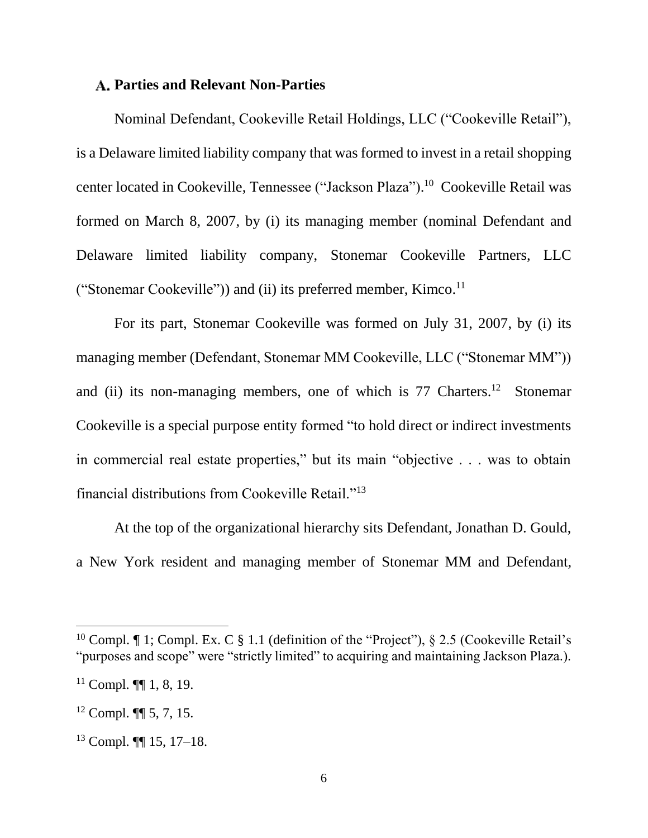#### **Parties and Relevant Non-Parties**

Nominal Defendant, Cookeville Retail Holdings, LLC ("Cookeville Retail"), is a Delaware limited liability company that was formed to invest in a retail shopping center located in Cookeville, Tennessee ("Jackson Plaza"). 10 Cookeville Retail was formed on March 8, 2007, by (i) its managing member (nominal Defendant and Delaware limited liability company, Stonemar Cookeville Partners, LLC ("Stonemar Cookeville")) and (ii) its preferred member, Kimco.<sup>11</sup>

For its part, Stonemar Cookeville was formed on July 31, 2007, by (i) its managing member (Defendant, Stonemar MM Cookeville, LLC ("Stonemar MM")) and (ii) its non-managing members, one of which is  $77$  Charters.<sup>12</sup> Stonemar Cookeville is a special purpose entity formed "to hold direct or indirect investments in commercial real estate properties," but its main "objective . . . was to obtain financial distributions from Cookeville Retail."<sup>13</sup>

At the top of the organizational hierarchy sits Defendant, Jonathan D. Gould, a New York resident and managing member of Stonemar MM and Defendant,

<sup>&</sup>lt;sup>10</sup> Compl.  $\P$  1; Compl. Ex. C § 1.1 (definition of the "Project"), § 2.5 (Cookeville Retail's "purposes and scope" were "strictly limited" to acquiring and maintaining Jackson Plaza.).

 $11$  Compl.  $\P\P$  1, 8, 19.

<sup>12</sup> Compl. ¶¶ 5, 7, 15.

<sup>13</sup> Compl. ¶¶ 15, 17–18.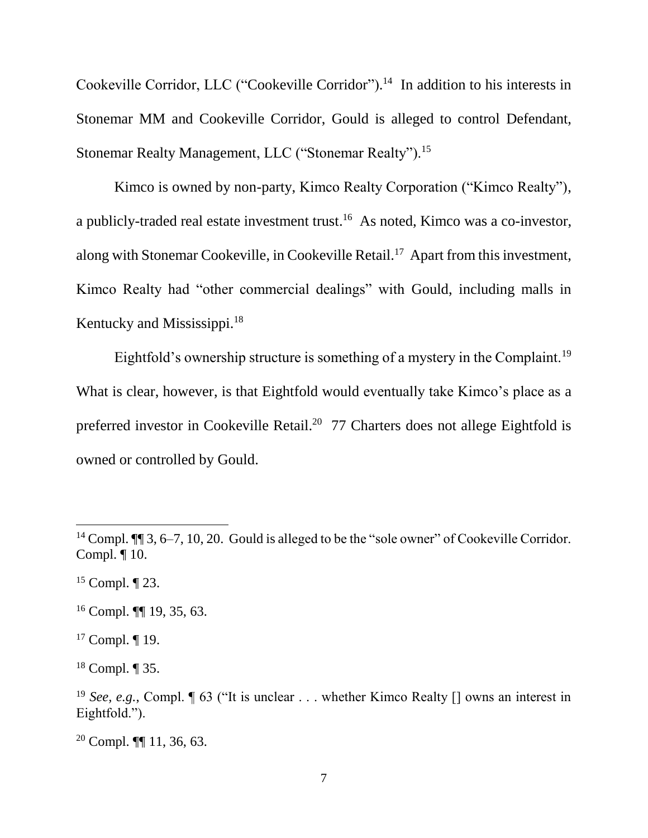Cookeville Corridor, LLC ("Cookeville Corridor").<sup>14</sup> In addition to his interests in Stonemar MM and Cookeville Corridor, Gould is alleged to control Defendant, Stonemar Realty Management, LLC ("Stonemar Realty").<sup>15</sup>

Kimco is owned by non-party, Kimco Realty Corporation ("Kimco Realty"), a publicly-traded real estate investment trust.<sup>16</sup> As noted, Kimco was a co-investor, along with Stonemar Cookeville, in Cookeville Retail.<sup>17</sup> Apart from this investment, Kimco Realty had "other commercial dealings" with Gould, including malls in Kentucky and Mississippi.<sup>18</sup>

Eightfold's ownership structure is something of a mystery in the Complaint.<sup>19</sup> What is clear, however, is that Eightfold would eventually take Kimco's place as a preferred investor in Cookeville Retail.<sup>20</sup> 77 Charters does not allege Eightfold is owned or controlled by Gould.

 $\overline{a}$ 

 $17$  Compl.  $\P$  19.

<sup>18</sup> Compl. ¶ 35.

<sup>&</sup>lt;sup>14</sup> Compl.  $\P$  3, 6–7, 10, 20. Gould is alleged to be the "sole owner" of Cookeville Corridor. Compl. ¶ 10.

 $15$  Compl.  $\P$  23.

<sup>16</sup> Compl. ¶¶ 19, 35, 63.

<sup>&</sup>lt;sup>19</sup> *See, e.g.*, Compl. **[63** ("It is unclear . . . whether Kimco Realty [] owns an interest in Eightfold.").

 $20$  Compl.  $\P\P$  11, 36, 63.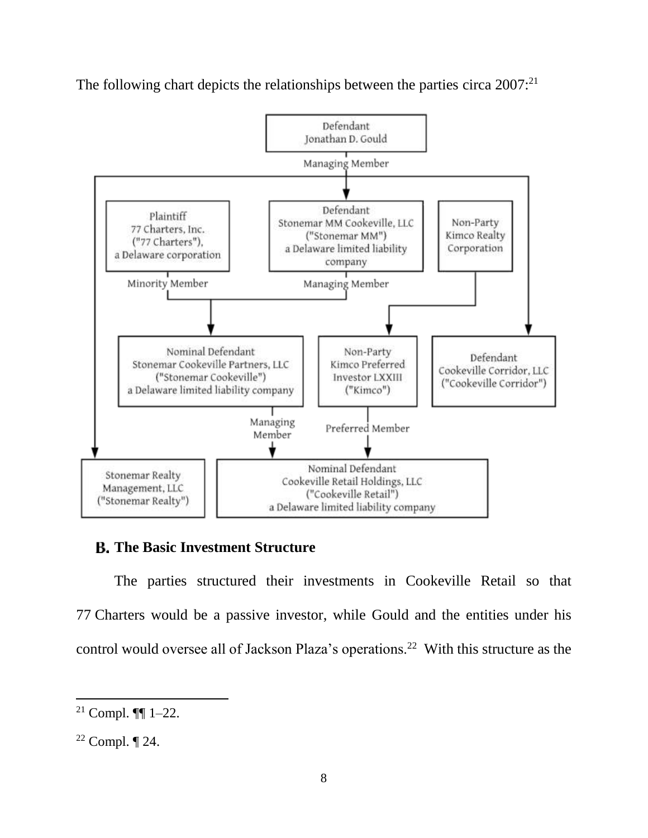The following chart depicts the relationships between the parties circa 2007:<sup>21</sup>



## **The Basic Investment Structure**

The parties structured their investments in Cookeville Retail so that 77 Charters would be a passive investor, while Gould and the entities under his control would oversee all of Jackson Plaza's operations.<sup>22</sup> With this structure as the

<sup>&</sup>lt;sup>21</sup> Compl.  $\P$  1–22.

 $22$  Compl.  $\P$  24.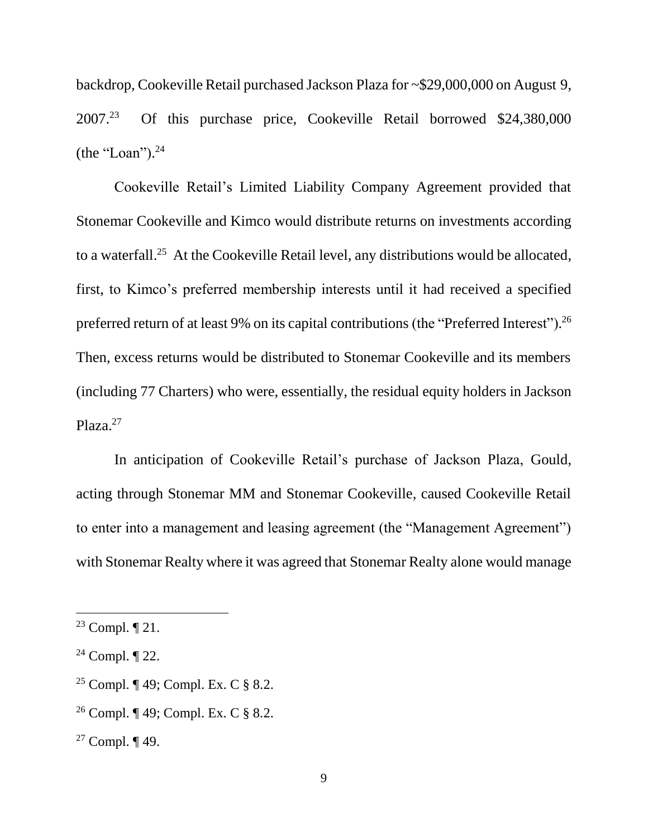backdrop, Cookeville Retail purchased Jackson Plaza for ~\$29,000,000 on August 9, 2007.<sup>23</sup> Of this purchase price, Cookeville Retail borrowed \$24,380,000 (the "Loan"). $^{24}$ 

Cookeville Retail's Limited Liability Company Agreement provided that Stonemar Cookeville and Kimco would distribute returns on investments according to a waterfall.<sup>25</sup> At the Cookeville Retail level, any distributions would be allocated, first, to Kimco's preferred membership interests until it had received a specified preferred return of at least 9% on its capital contributions (the "Preferred Interest").<sup>26</sup> Then, excess returns would be distributed to Stonemar Cookeville and its members (including 77 Charters) who were, essentially, the residual equity holders in Jackson Plaza.<sup>27</sup>

In anticipation of Cookeville Retail's purchase of Jackson Plaza, Gould, acting through Stonemar MM and Stonemar Cookeville, caused Cookeville Retail to enter into a management and leasing agreement (the "Management Agreement") with Stonemar Realty where it was agreed that Stonemar Realty alone would manage

- <sup>25</sup> Compl. ¶ 49; Compl. Ex. C § 8.2.
- <sup>26</sup> Compl. ¶ 49; Compl. Ex. C § 8.2.

<sup>&</sup>lt;sup>23</sup> Compl.  $\P$  21.

<sup>&</sup>lt;sup>24</sup> Compl.  $\P$  22.

<sup>27</sup> Compl. ¶ 49.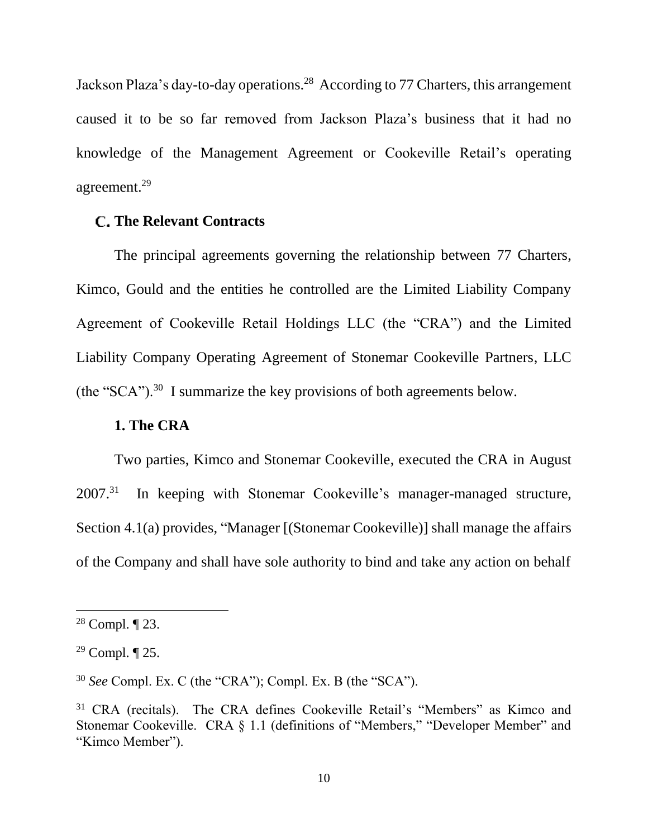Jackson Plaza's day-to-day operations.<sup>28</sup> According to 77 Charters, this arrangement caused it to be so far removed from Jackson Plaza's business that it had no knowledge of the Management Agreement or Cookeville Retail's operating agreement. 29

### **The Relevant Contracts**

The principal agreements governing the relationship between 77 Charters, Kimco, Gould and the entities he controlled are the Limited Liability Company Agreement of Cookeville Retail Holdings LLC (the "CRA") and the Limited Liability Company Operating Agreement of Stonemar Cookeville Partners, LLC (the "SCA").<sup>30</sup> I summarize the key provisions of both agreements below.

### **1. The CRA**

Two parties, Kimco and Stonemar Cookeville, executed the CRA in August  $2007^{31}$ In keeping with Stonemar Cookeville's manager-managed structure, Section 4.1(a) provides, "Manager [(Stonemar Cookeville)] shall manage the affairs of the Company and shall have sole authority to bind and take any action on behalf

<sup>&</sup>lt;sup>28</sup> Compl.  $\P$  23.

 $29$  Compl.  $\P$  25.

<sup>30</sup> *See* Compl. Ex. C (the "CRA"); Compl. Ex. B (the "SCA").

<sup>&</sup>lt;sup>31</sup> CRA (recitals). The CRA defines Cookeville Retail's "Members" as Kimco and Stonemar Cookeville. CRA § 1.1 (definitions of "Members," "Developer Member" and "Kimco Member").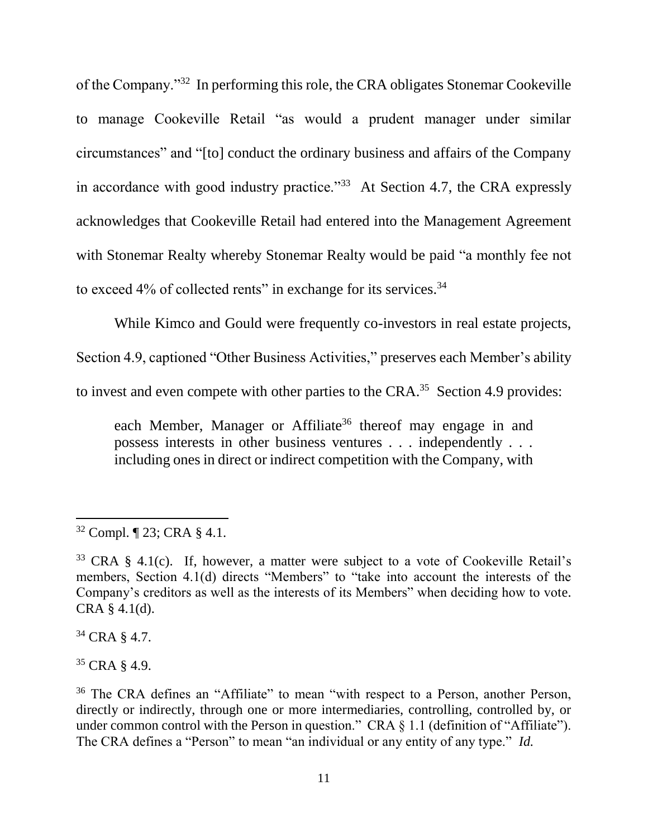of the Company."<sup>32</sup> In performing this role, the CRA obligates Stonemar Cookeville to manage Cookeville Retail "as would a prudent manager under similar circumstances" and "[to] conduct the ordinary business and affairs of the Company in accordance with good industry practice."<sup>33</sup> At Section 4.7, the CRA expressly acknowledges that Cookeville Retail had entered into the Management Agreement with Stonemar Realty whereby Stonemar Realty would be paid "a monthly fee not to exceed 4% of collected rents" in exchange for its services.<sup>34</sup>

While Kimco and Gould were frequently co-investors in real estate projects, Section 4.9, captioned "Other Business Activities," preserves each Member's ability to invest and even compete with other parties to the CRA.<sup>35</sup> Section 4.9 provides:

each Member, Manager or Affiliate<sup>36</sup> thereof may engage in and possess interests in other business ventures . . . independently . . . including ones in direct or indirect competition with the Company, with

<sup>34</sup> CRA § 4.7.

 $35$  CRA  $8$  4.9.

 $\overline{a}$ <sup>32</sup> Compl. ¶ 23; CRA § 4.1.

<sup>33</sup> CRA § 4.1(c). If, however, a matter were subject to a vote of Cookeville Retail's members, Section 4.1(d) directs "Members" to "take into account the interests of the Company's creditors as well as the interests of its Members" when deciding how to vote. CRA § 4.1(d).

<sup>36</sup> The CRA defines an "Affiliate" to mean "with respect to a Person, another Person, directly or indirectly, through one or more intermediaries, controlling, controlled by, or under common control with the Person in question." CRA § 1.1 (definition of "Affiliate"). The CRA defines a "Person" to mean "an individual or any entity of any type." *Id.*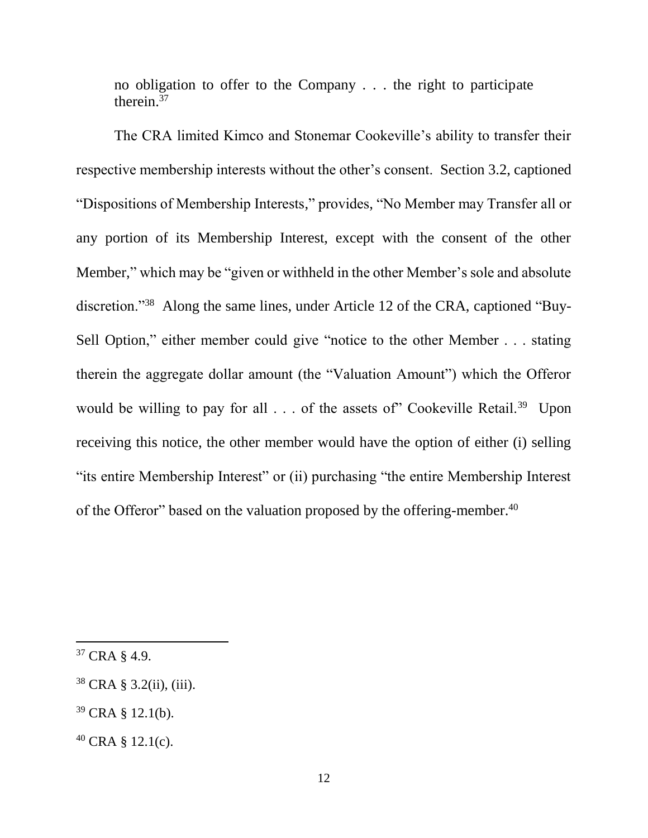no obligation to offer to the Company . . . the right to participate therein. $37$ 

The CRA limited Kimco and Stonemar Cookeville's ability to transfer their respective membership interests without the other's consent. Section 3.2, captioned "Dispositions of Membership Interests," provides, "No Member may Transfer all or any portion of its Membership Interest, except with the consent of the other Member," which may be "given or withheld in the other Member's sole and absolute discretion."<sup>38</sup> Along the same lines, under Article 12 of the CRA, captioned "Buy-Sell Option," either member could give "notice to the other Member . . . stating therein the aggregate dollar amount (the "Valuation Amount") which the Offeror would be willing to pay for all  $\ldots$  of the assets of" Cookeville Retail.<sup>39</sup> Upon receiving this notice, the other member would have the option of either (i) selling "its entire Membership Interest" or (ii) purchasing "the entire Membership Interest of the Offeror" based on the valuation proposed by the offering-member.<sup>40</sup>

 $\overline{a}$ 

 $39$  CRA § 12.1(b).

 $37$  CRA  $8$  4.9.

 $38$  CRA § 3.2(ii), (iii).

 $40$  CRA § 12.1(c).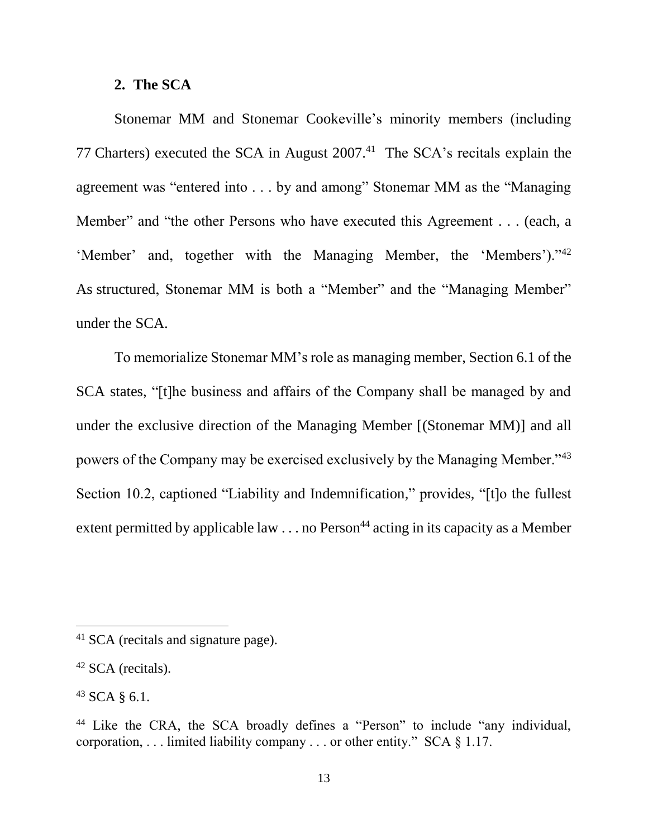#### **2. The SCA**

Stonemar MM and Stonemar Cookeville's minority members (including 77 Charters) executed the SCA in August  $2007<sup>41</sup>$  The SCA's recitals explain the agreement was "entered into . . . by and among" Stonemar MM as the "Managing Member" and "the other Persons who have executed this Agreement . . . (each, a 'Member' and, together with the Managing Member, the 'Members')."<sup>42</sup> As structured, Stonemar MM is both a "Member" and the "Managing Member" under the SCA.

To memorialize Stonemar MM's role as managing member, Section 6.1 of the SCA states, "[t]he business and affairs of the Company shall be managed by and under the exclusive direction of the Managing Member [(Stonemar MM)] and all powers of the Company may be exercised exclusively by the Managing Member."<sup>43</sup> Section 10.2, captioned "Liability and Indemnification," provides, "[t]o the fullest extent permitted by applicable law  $\ldots$  no Person<sup>44</sup> acting in its capacity as a Member

<sup>&</sup>lt;sup>41</sup> SCA (recitals and signature page).

 $42$  SCA (recitals).

 $43$  SCA § 6.1.

<sup>44</sup> Like the CRA, the SCA broadly defines a "Person" to include "any individual, corporation,  $\dots$  limited liability company  $\dots$  or other entity." SCA  $\S$  1.17.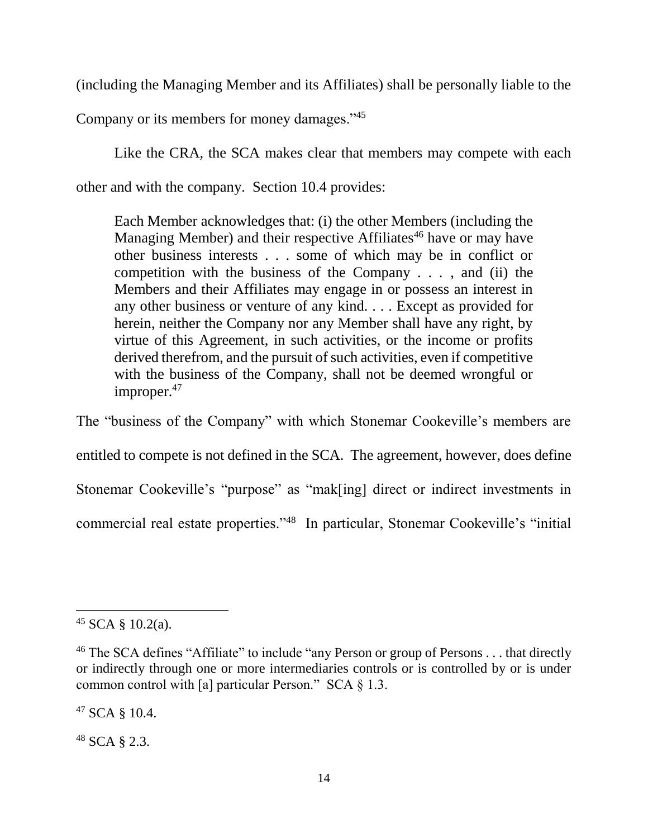(including the Managing Member and its Affiliates) shall be personally liable to the

Company or its members for money damages."<sup>45</sup>

Like the CRA, the SCA makes clear that members may compete with each other and with the company. Section 10.4 provides:

Each Member acknowledges that: (i) the other Members (including the Managing Member) and their respective Affiliates<sup>46</sup> have or may have other business interests . . . some of which may be in conflict or competition with the business of the Company . . . , and (ii) the Members and their Affiliates may engage in or possess an interest in any other business or venture of any kind. . . . Except as provided for herein, neither the Company nor any Member shall have any right, by virtue of this Agreement, in such activities, or the income or profits derived therefrom, and the pursuit of such activities, even if competitive with the business of the Company, shall not be deemed wrongful or improper.<sup>47</sup>

The "business of the Company" with which Stonemar Cookeville's members are entitled to compete is not defined in the SCA. The agreement, however, does define Stonemar Cookeville's "purpose" as "mak[ing] direct or indirect investments in commercial real estate properties."<sup>48</sup> In particular, Stonemar Cookeville's "initial

 $\overline{a}$ 

<sup>47</sup> SCA § 10.4.

<sup>48</sup> SCA § 2.3.

 $45$  SCA § 10.2(a).

<sup>&</sup>lt;sup>46</sup> The SCA defines "Affiliate" to include "any Person or group of Persons  $\dots$  that directly or indirectly through one or more intermediaries controls or is controlled by or is under common control with [a] particular Person." SCA § 1.3.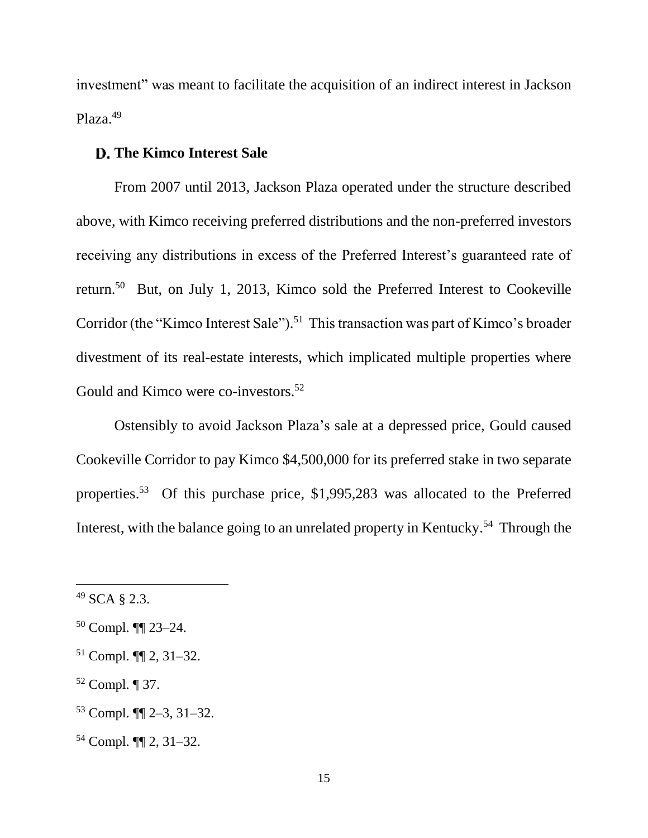investment" was meant to facilitate the acquisition of an indirect interest in Jackson Plaza.<sup>49</sup>

### **The Kimco Interest Sale**

From 2007 until 2013, Jackson Plaza operated under the structure described above, with Kimco receiving preferred distributions and the non-preferred investors receiving any distributions in excess of the Preferred Interest's guaranteed rate of return.<sup>50</sup> But, on July 1, 2013, Kimco sold the Preferred Interest to Cookeville Corridor (the "Kimco Interest Sale").<sup>51</sup> This transaction was part of Kimco's broader divestment of its real-estate interests, which implicated multiple properties where Gould and Kimco were co-investors.<sup>52</sup>

Ostensibly to avoid Jackson Plaza's sale at a depressed price, Gould caused Cookeville Corridor to pay Kimco \$4,500,000 for its preferred stake in two separate properties. <sup>53</sup> Of this purchase price, \$1,995,283 was allocated to the Preferred Interest, with the balance going to an unrelated property in Kentucky.<sup>54</sup> Through the

<sup>49</sup> SCA § 2.3.

<sup>50</sup> Compl. ¶¶ 23–24.

<sup>51</sup> Compl. ¶¶ 2, 31–32.

<sup>52</sup> Compl. ¶ 37.

<sup>53</sup> Compl. ¶¶ 2–3, 31–32.

<sup>54</sup> Compl. ¶¶ 2, 31–32.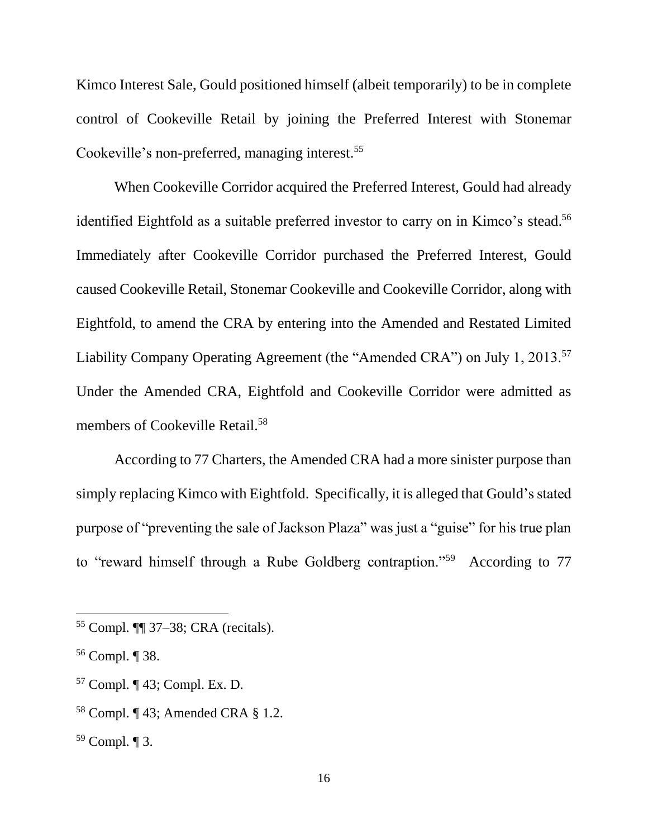Kimco Interest Sale, Gould positioned himself (albeit temporarily) to be in complete control of Cookeville Retail by joining the Preferred Interest with Stonemar Cookeville's non-preferred, managing interest. 55

When Cookeville Corridor acquired the Preferred Interest, Gould had already identified Eightfold as a suitable preferred investor to carry on in Kimco's stead. 56 Immediately after Cookeville Corridor purchased the Preferred Interest, Gould caused Cookeville Retail, Stonemar Cookeville and Cookeville Corridor, along with Eightfold, to amend the CRA by entering into the Amended and Restated Limited Liability Company Operating Agreement (the "Amended CRA") on July 1, 2013.<sup>57</sup> Under the Amended CRA, Eightfold and Cookeville Corridor were admitted as members of Cookeville Retail.<sup>58</sup>

According to 77 Charters, the Amended CRA had a more sinister purpose than simply replacing Kimco with Eightfold. Specifically, it is alleged that Gould's stated purpose of "preventing the sale of Jackson Plaza" was just a "guise" for his true plan to "reward himself through a Rube Goldberg contraption."<sup>59</sup> According to 77

 $\overline{a}$ 

<sup>58</sup> Compl. ¶ 43; Amended CRA § 1.2.

<sup>59</sup> Compl. ¶ 3.

<sup>55</sup> Compl. ¶¶ 37–38; CRA (recitals).

<sup>56</sup> Compl. ¶ 38.

<sup>57</sup> Compl. ¶ 43; Compl. Ex. D.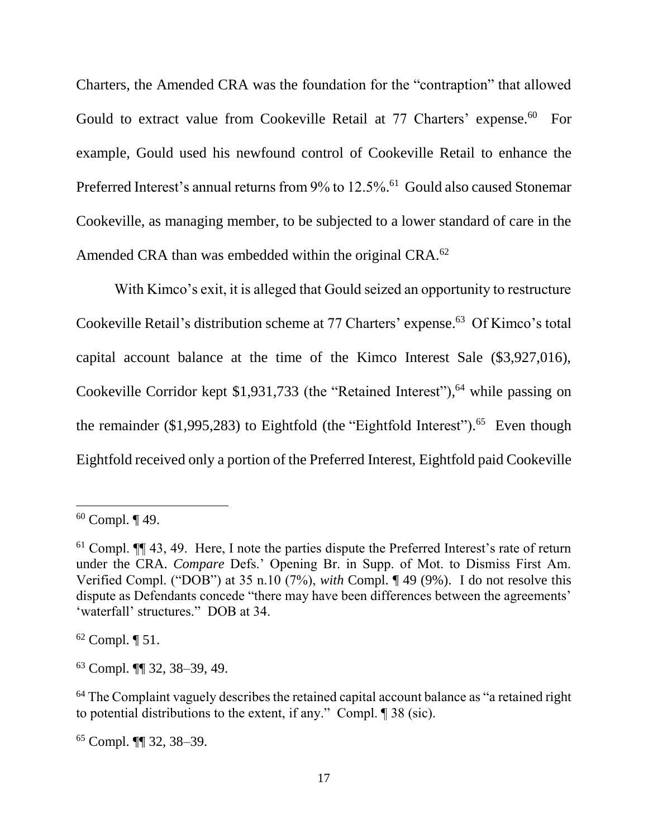Charters, the Amended CRA was the foundation for the "contraption" that allowed Gould to extract value from Cookeville Retail at 77 Charters' expense.<sup>60</sup> For example, Gould used his newfound control of Cookeville Retail to enhance the Preferred Interest's annual returns from 9% to 12.5%.<sup>61</sup> Gould also caused Stonemar Cookeville, as managing member, to be subjected to a lower standard of care in the Amended CRA than was embedded within the original CRA.<sup>62</sup>

With Kimco's exit, it is alleged that Gould seized an opportunity to restructure Cookeville Retail's distribution scheme at 77 Charters' expense. 63 Of Kimco's total capital account balance at the time of the Kimco Interest Sale (\$3,927,016), Cookeville Corridor kept \$1,931,733 (the "Retained Interest"),<sup>64</sup> while passing on the remainder  $(1,995,283)$  to Eightfold (the "Eightfold Interest").<sup>65</sup> Even though Eightfold received only a portion of the Preferred Interest, Eightfold paid Cookeville

 $\overline{a}$ 

 $62$  Compl.  $\P$  51.

<sup>63</sup> Compl. ¶¶ 32, 38–39, 49.

<sup>64</sup> The Complaint vaguely describes the retained capital account balance as "a retained right to potential distributions to the extent, if any." Compl. ¶ 38 (sic).

<sup>65</sup> Compl. ¶¶ 32, 38–39.

<sup>60</sup> Compl. ¶ 49.

 $61$  Compl.  $\P\P$  43, 49. Here, I note the parties dispute the Preferred Interest's rate of return under the CRA. *Compare* Defs.' Opening Br. in Supp. of Mot. to Dismiss First Am. Verified Compl. ("DOB") at 35 n.10 (7%), *with* Compl. ¶ 49 (9%). I do not resolve this dispute as Defendants concede "there may have been differences between the agreements' 'waterfall' structures." DOB at 34.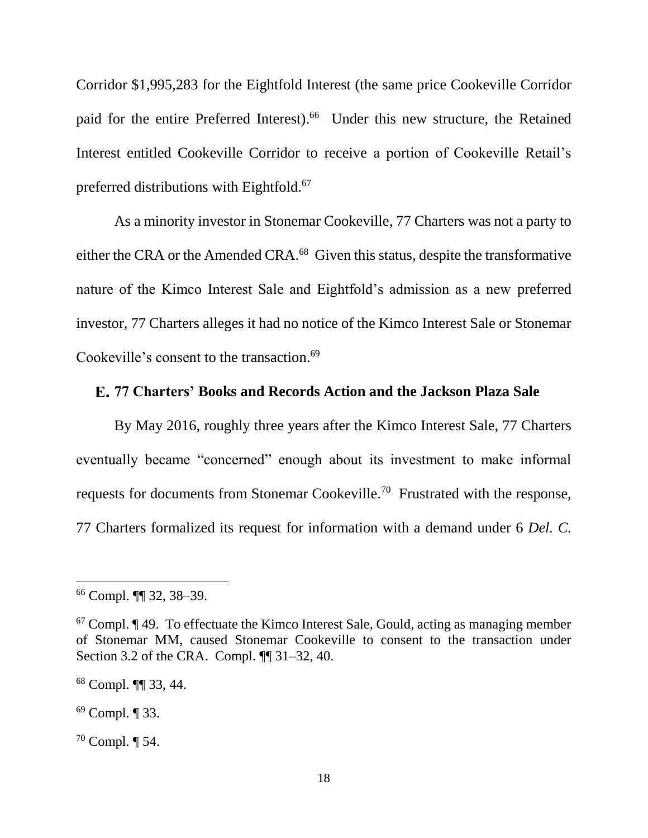Corridor \$1,995,283 for the Eightfold Interest (the same price Cookeville Corridor paid for the entire Preferred Interest). 66 Under this new structure, the Retained Interest entitled Cookeville Corridor to receive a portion of Cookeville Retail's preferred distributions with Eightfold.<sup>67</sup>

As a minority investor in Stonemar Cookeville, 77 Charters was not a party to either the CRA or the Amended CRA.<sup>68</sup> Given this status, despite the transformative nature of the Kimco Interest Sale and Eightfold's admission as a new preferred investor, 77 Charters alleges it had no notice of the Kimco Interest Sale or Stonemar Cookeville's consent to the transaction. 69

### **77 Charters' Books and Records Action and the Jackson Plaza Sale**

By May 2016, roughly three years after the Kimco Interest Sale, 77 Charters eventually became "concerned" enough about its investment to make informal requests for documents from Stonemar Cookeville.<sup>70</sup> Frustrated with the response, 77 Charters formalized its request for information with a demand under 6 *Del. C.* 

<sup>66</sup> Compl. ¶¶ 32, 38–39.

 $67$  Compl.  $\P$  49. To effectuate the Kimco Interest Sale, Gould, acting as managing member of Stonemar MM, caused Stonemar Cookeville to consent to the transaction under Section 3.2 of the CRA. Compl.  $\P$  31–32, 40.

<sup>68</sup> Compl. ¶¶ 33, 44.

<sup>69</sup> Compl. ¶ 33.

<sup>70</sup> Compl. ¶ 54.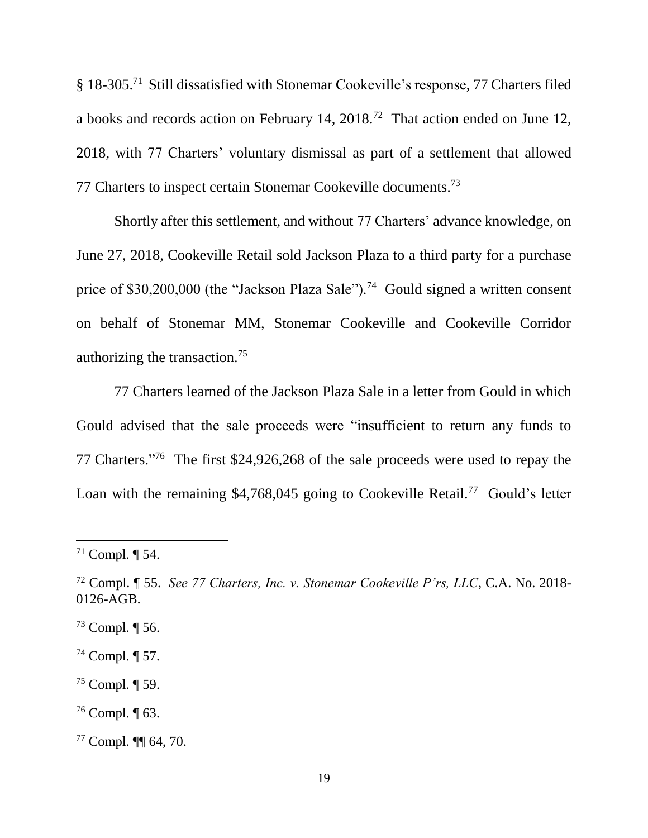§ 18-305.<sup>71</sup> Still dissatisfied with Stonemar Cookeville's response, 77 Charters filed a books and records action on February 14,  $2018<sup>72</sup>$  That action ended on June 12, 2018, with 77 Charters' voluntary dismissal as part of a settlement that allowed 77 Charters to inspect certain Stonemar Cookeville documents.<sup>73</sup>

Shortly after this settlement, and without 77 Charters' advance knowledge, on June 27, 2018, Cookeville Retail sold Jackson Plaza to a third party for a purchase price of \$30,200,000 (the "Jackson Plaza Sale").<sup>74</sup> Gould signed a written consent on behalf of Stonemar MM, Stonemar Cookeville and Cookeville Corridor authorizing the transaction.<sup>75</sup>

77 Charters learned of the Jackson Plaza Sale in a letter from Gould in which Gould advised that the sale proceeds were "insufficient to return any funds to 77 Charters."<sup>76</sup> The first \$24,926,268 of the sale proceeds were used to repay the Loan with the remaining  $$4,768,045$  going to Cookeville Retail.<sup>77</sup> Gould's letter

- $73$  Compl.  $\P$  56.
- <sup>74</sup> Compl. ¶ 57.
- <sup>75</sup> Compl. ¶ 59.
- <sup>76</sup> Compl. ¶ 63.
- <sup>77</sup> Compl. ¶¶ 64, 70.

<sup>71</sup> Compl. ¶ 54.

<sup>72</sup> Compl. ¶ 55. *See 77 Charters, Inc. v. Stonemar Cookeville P'rs, LLC*, C.A. No. 2018- 0126-AGB.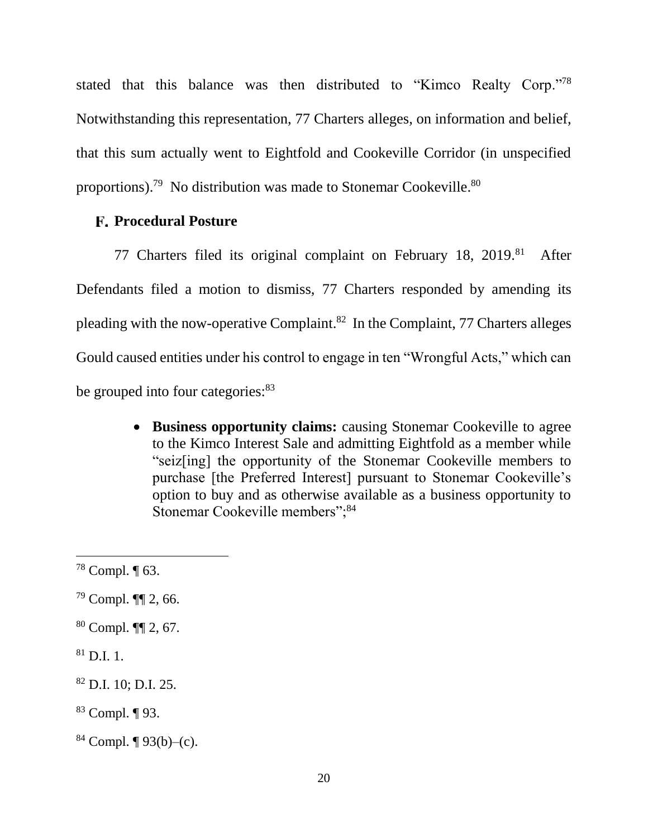stated that this balance was then distributed to "Kimco Realty Corp."78 Notwithstanding this representation, 77 Charters alleges, on information and belief, that this sum actually went to Eightfold and Cookeville Corridor (in unspecified proportions).<sup>79</sup> No distribution was made to Stonemar Cookeville.<sup>80</sup>

### **Procedural Posture**

77 Charters filed its original complaint on February 18, 2019.<sup>81</sup> After Defendants filed a motion to dismiss, 77 Charters responded by amending its pleading with the now-operative Complaint.<sup>82</sup> In the Complaint, 77 Charters alleges Gould caused entities under his control to engage in ten "Wrongful Acts," which can be grouped into four categories:  $83$ 

> **Business opportunity claims:** causing Stonemar Cookeville to agree to the Kimco Interest Sale and admitting Eightfold as a member while "seiz[ing] the opportunity of the Stonemar Cookeville members to purchase [the Preferred Interest] pursuant to Stonemar Cookeville's option to buy and as otherwise available as a business opportunity to Stonemar Cookeville members";<sup>84</sup>

- <sup>79</sup> Compl. ¶¶ 2, 66.
- <sup>80</sup> Compl. ¶¶ 2, 67.
- $81$  D.I. 1.

- <sup>82</sup> D.I. 10; D.I. 25.
- <sup>83</sup> Compl. ¶ 93.
- $84$  Compl.  $\P$  93(b)–(c).

 $78$  Compl.  $\P$  63.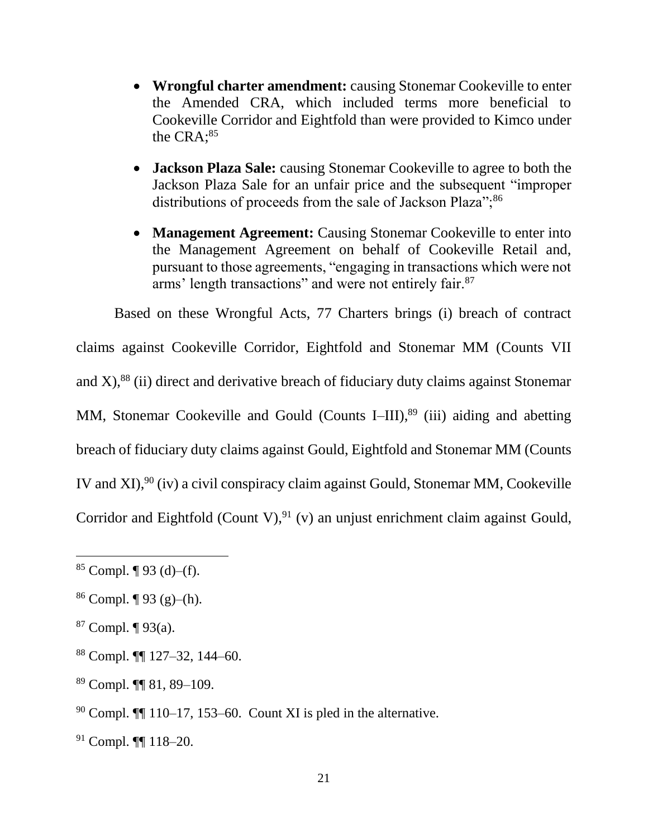- **Wrongful charter amendment:** causing Stonemar Cookeville to enter the Amended CRA, which included terms more beneficial to Cookeville Corridor and Eightfold than were provided to Kimco under the CRA;<sup>85</sup>
- **Jackson Plaza Sale:** causing Stonemar Cookeville to agree to both the Jackson Plaza Sale for an unfair price and the subsequent "improper distributions of proceeds from the sale of Jackson Plaza";<sup>86</sup>
- **Management Agreement:** Causing Stonemar Cookeville to enter into the Management Agreement on behalf of Cookeville Retail and, pursuant to those agreements, "engaging in transactions which were not arms' length transactions" and were not entirely fair.<sup>87</sup>

Based on these Wrongful Acts, 77 Charters brings (i) breach of contract

claims against Cookeville Corridor, Eightfold and Stonemar MM (Counts VII and  $X$ ),<sup>88</sup> (ii) direct and derivative breach of fiduciary duty claims against Stonemar MM, Stonemar Cookeville and Gould (Counts I–III),<sup>89</sup> (iii) aiding and abetting breach of fiduciary duty claims against Gould, Eightfold and Stonemar MM (Counts IV and XI),  $90$  (iv) a civil conspiracy claim against Gould, Stonemar MM, Cookeville Corridor and Eightfold (Count V),  $91$  (v) an unjust enrichment claim against Gould,

 $87$  Compl.  $\P$  93(a).

- <sup>88</sup> Compl. ¶¶ 127–32, 144–60.
- <sup>89</sup> Compl. ¶¶ 81, 89–109.
- $90$  Compl.  $\P$  110–17, 153–60. Count XI is pled in the alternative.
- <sup>91</sup> Compl. ¶¶ 118–20.

 $85$  Compl. ¶ 93 (d)–(f).

 $86$  Compl.  $\P$  93 (g)–(h).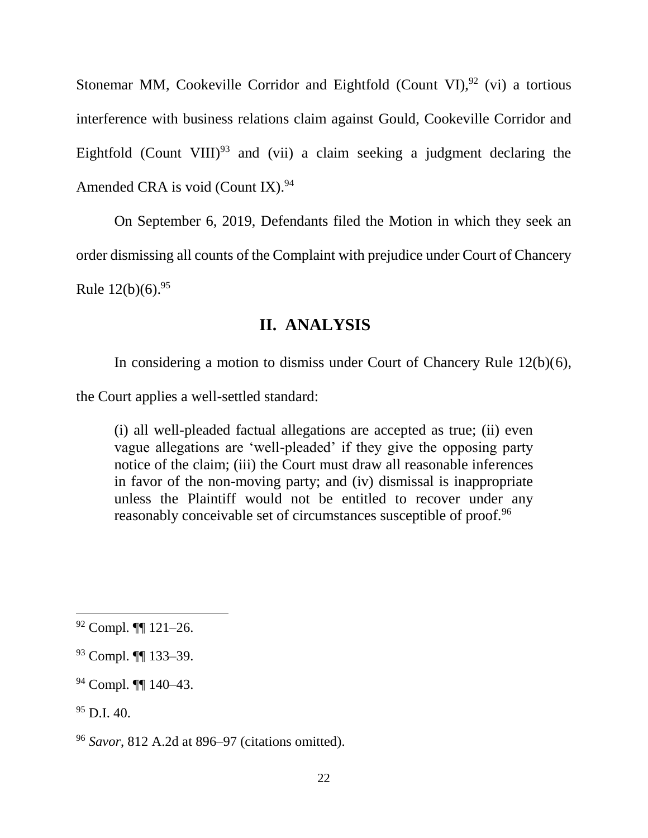Stonemar MM, Cookeville Corridor and Eightfold (Count VI),  $92$  (vi) a tortious interference with business relations claim against Gould, Cookeville Corridor and Eightfold (Count VIII)<sup>93</sup> and (vii) a claim seeking a judgment declaring the Amended CRA is void (Count IX). $94$ 

On September 6, 2019, Defendants filed the Motion in which they seek an order dismissing all counts of the Complaint with prejudice under Court of Chancery Rule  $12(b)(6)$ .<sup>95</sup>

# **II. ANALYSIS**

In considering a motion to dismiss under Court of Chancery Rule 12(b)(6),

the Court applies a well-settled standard:

(i) all well-pleaded factual allegations are accepted as true; (ii) even vague allegations are 'well-pleaded' if they give the opposing party notice of the claim; (iii) the Court must draw all reasonable inferences in favor of the non-moving party; and (iv) dismissal is inappropriate unless the Plaintiff would not be entitled to recover under any reasonably conceivable set of circumstances susceptible of proof.<sup>96</sup>

 $92$  Compl.  $\P$  121–26.

<sup>93</sup> Compl. ¶¶ 133–39.

<sup>94</sup> Compl. ¶¶ 140–43.

 $95$  D.I. 40.

<sup>96</sup> *Savor*, 812 A.2d at 896–97 (citations omitted).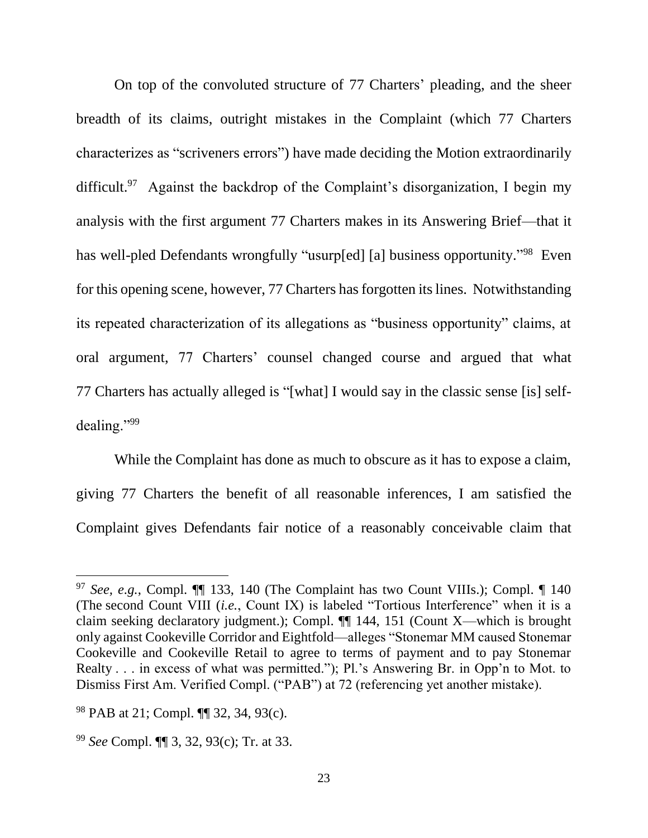On top of the convoluted structure of 77 Charters' pleading, and the sheer breadth of its claims, outright mistakes in the Complaint (which 77 Charters characterizes as "scriveners errors") have made deciding the Motion extraordinarily difficult.<sup>97</sup> Against the backdrop of the Complaint's disorganization, I begin my analysis with the first argument 77 Charters makes in its Answering Brief—that it has well-pled Defendants wrongfully "usurp[ed] [a] business opportunity."<sup>98</sup> Even for this opening scene, however, 77 Charters has forgotten its lines. Notwithstanding its repeated characterization of its allegations as "business opportunity" claims, at oral argument, 77 Charters' counsel changed course and argued that what 77 Charters has actually alleged is "[what] I would say in the classic sense [is] selfdealing."<sup>99</sup>

While the Complaint has done as much to obscure as it has to expose a claim, giving 77 Charters the benefit of all reasonable inferences, I am satisfied the Complaint gives Defendants fair notice of a reasonably conceivable claim that

<sup>97</sup> *See, e.g.*, Compl. ¶¶ 133, 140 (The Complaint has two Count VIIIs.); Compl. ¶ 140 (The second Count VIII (*i.e.*, Count IX) is labeled "Tortious Interference" when it is a claim seeking declaratory judgment.); Compl. ¶¶ 144, 151 (Count X—which is brought only against Cookeville Corridor and Eightfold—alleges "Stonemar MM caused Stonemar Cookeville and Cookeville Retail to agree to terms of payment and to pay Stonemar Realty . . . in excess of what was permitted."); Pl.'s Answering Br. in Opp'n to Mot. to Dismiss First Am. Verified Compl. ("PAB") at 72 (referencing yet another mistake).

<sup>98</sup> PAB at 21; Compl. ¶¶ 32, 34, 93(c).

<sup>99</sup> *See* Compl. ¶¶ 3, 32, 93(c); Tr. at 33.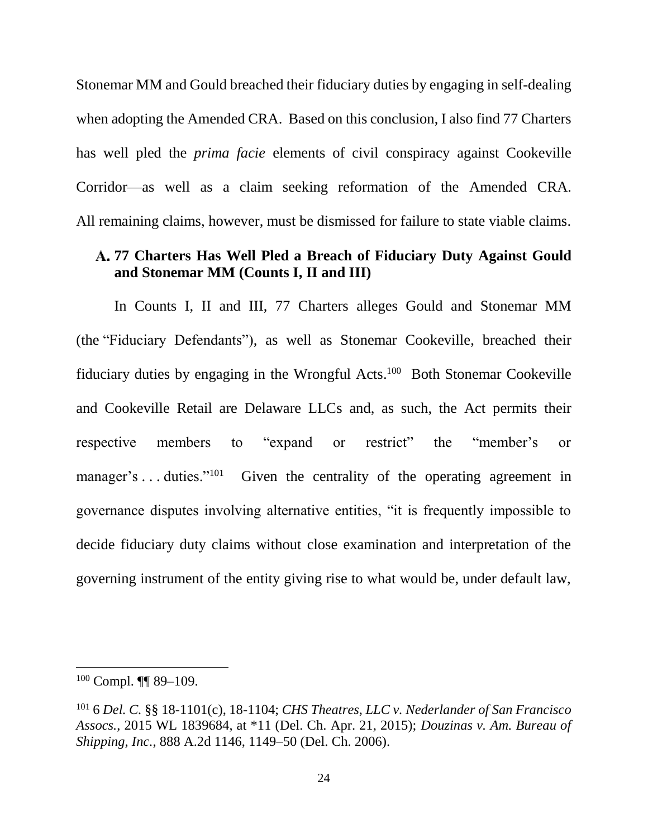Stonemar MM and Gould breached their fiduciary duties by engaging in self-dealing when adopting the Amended CRA. Based on this conclusion, I also find 77 Charters has well pled the *prima facie* elements of civil conspiracy against Cookeville Corridor—as well as a claim seeking reformation of the Amended CRA. All remaining claims, however, must be dismissed for failure to state viable claims.

## **77 Charters Has Well Pled a Breach of Fiduciary Duty Against Gould and Stonemar MM (Counts I, II and III)**

In Counts I, II and III, 77 Charters alleges Gould and Stonemar MM (the "Fiduciary Defendants"), as well as Stonemar Cookeville, breached their fiduciary duties by engaging in the Wrongful Acts.<sup>100</sup> Both Stonemar Cookeville and Cookeville Retail are Delaware LLCs and, as such, the Act permits their respective members to "expand or restrict" the "member's or manager's . . . duties."<sup>101</sup> Given the centrality of the operating agreement in governance disputes involving alternative entities, "it is frequently impossible to decide fiduciary duty claims without close examination and interpretation of the governing instrument of the entity giving rise to what would be, under default law,

 $100$  Compl. **[1]** 89-109.

<sup>101</sup> 6 *Del. C.* §§ 18-1101(c), 18-1104; *CHS Theatres, LLC v. Nederlander of San Francisco Assocs.*, 2015 WL 1839684, at \*11 (Del. Ch. Apr. 21, 2015); *Douzinas v. Am. Bureau of Shipping, Inc.*, 888 A.2d 1146, 1149–50 (Del. Ch. 2006).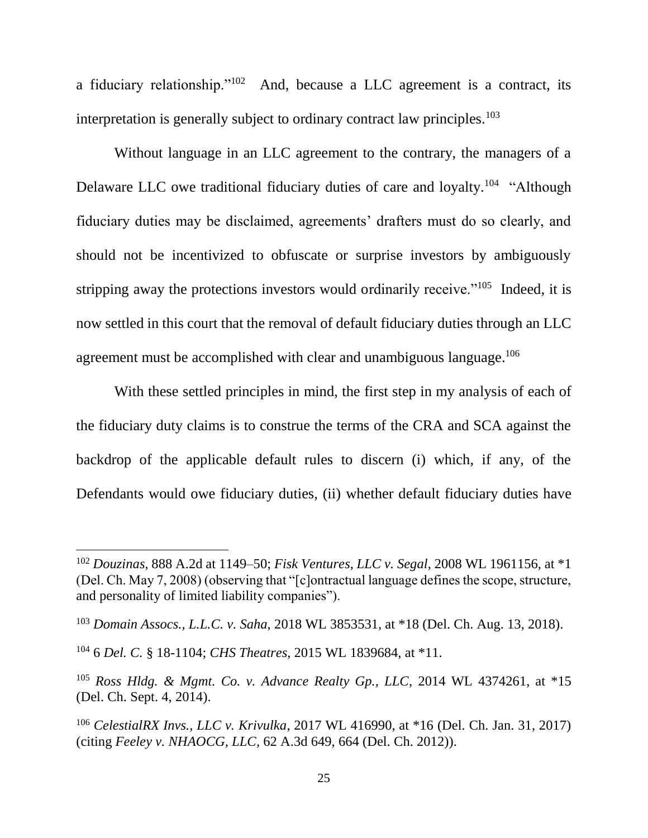a fiduciary relationship."<sup>102</sup> And, because a LLC agreement is a contract, its interpretation is generally subject to ordinary contract law principles.<sup>103</sup>

Without language in an LLC agreement to the contrary, the managers of a Delaware LLC owe traditional fiduciary duties of care and loyalty.<sup>104</sup> "Although fiduciary duties may be disclaimed, agreements' drafters must do so clearly, and should not be incentivized to obfuscate or surprise investors by ambiguously stripping away the protections investors would ordinarily receive."<sup>105</sup> Indeed, it is now settled in this court that the removal of default fiduciary duties through an LLC agreement must be accomplished with clear and unambiguous language.<sup>106</sup>

With these settled principles in mind, the first step in my analysis of each of the fiduciary duty claims is to construe the terms of the CRA and SCA against the backdrop of the applicable default rules to discern (i) which, if any, of the Defendants would owe fiduciary duties, (ii) whether default fiduciary duties have

<sup>102</sup> *Douzinas*, 888 A.2d at 1149–50; *Fisk Ventures, LLC v. Segal*, 2008 WL 1961156, at \*1 (Del. Ch. May 7, 2008) (observing that "[c]ontractual language defines the scope, structure, and personality of limited liability companies").

<sup>103</sup> *Domain Assocs., L.L.C. v. Saha*, 2018 WL 3853531, at \*18 (Del. Ch. Aug. 13, 2018).

<sup>104</sup> 6 *Del. C.* § 18-1104; *CHS Theatres*, 2015 WL 1839684, at \*11.

<sup>105</sup> *Ross Hldg. & Mgmt. Co. v. Advance Realty Gp., LLC*, 2014 WL 4374261, at \*15 (Del. Ch. Sept. 4, 2014).

<sup>106</sup> *CelestialRX Invs., LLC v. Krivulka*, 2017 WL 416990, at \*16 (Del. Ch. Jan. 31, 2017) (citing *Feeley v. NHAOCG, LLC*, 62 A.3d 649, 664 (Del. Ch. 2012)).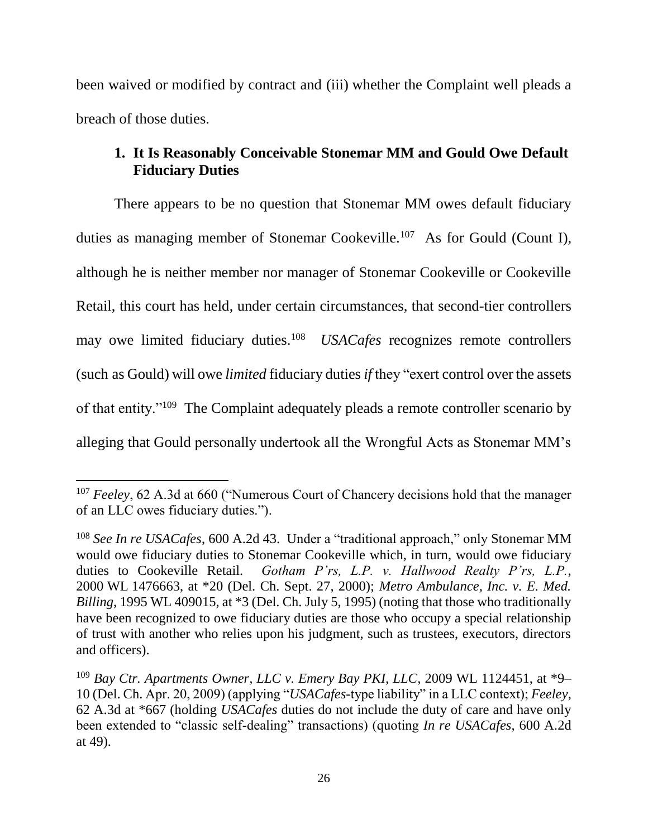been waived or modified by contract and (iii) whether the Complaint well pleads a breach of those duties.

# **1. It Is Reasonably Conceivable Stonemar MM and Gould Owe Default Fiduciary Duties**

There appears to be no question that Stonemar MM owes default fiduciary duties as managing member of Stonemar Cookeville.<sup>107</sup> As for Gould (Count I), although he is neither member nor manager of Stonemar Cookeville or Cookeville Retail, this court has held, under certain circumstances, that second-tier controllers may owe limited fiduciary duties.<sup>108</sup> *USACafes* recognizes remote controllers (such as Gould) will owe *limited* fiduciary duties *if* they "exert control over the assets of that entity."<sup>109</sup> The Complaint adequately pleads a remote controller scenario by alleging that Gould personally undertook all the Wrongful Acts as Stonemar MM's

<sup>&</sup>lt;sup>107</sup> *Feeley*, 62 A.3d at 660 ("Numerous Court of Chancery decisions hold that the manager of an LLC owes fiduciary duties.").

<sup>108</sup> *See In re USACafes*, 600 A.2d 43. Under a "traditional approach," only Stonemar MM would owe fiduciary duties to Stonemar Cookeville which, in turn, would owe fiduciary duties to Cookeville Retail. *Gotham P'rs, L.P. v. Hallwood Realty P'rs, L.P.*, 2000 WL 1476663, at \*20 (Del. Ch. Sept. 27, 2000); *Metro Ambulance, Inc. v. E. Med. Billing*, 1995 WL 409015, at \*3 (Del. Ch. July 5, 1995) (noting that those who traditionally have been recognized to owe fiduciary duties are those who occupy a special relationship of trust with another who relies upon his judgment, such as trustees, executors, directors and officers).

<sup>109</sup> *Bay Ctr. Apartments Owner, LLC v. Emery Bay PKI, LLC*, 2009 WL 1124451, at \*9– 10 (Del. Ch. Apr. 20, 2009) (applying "*USACafes*-type liability" in a LLC context); *Feeley*, 62 A.3d at \*667 (holding *USACafes* duties do not include the duty of care and have only been extended to "classic self-dealing" transactions) (quoting *In re USACafes*, 600 A.2d at 49).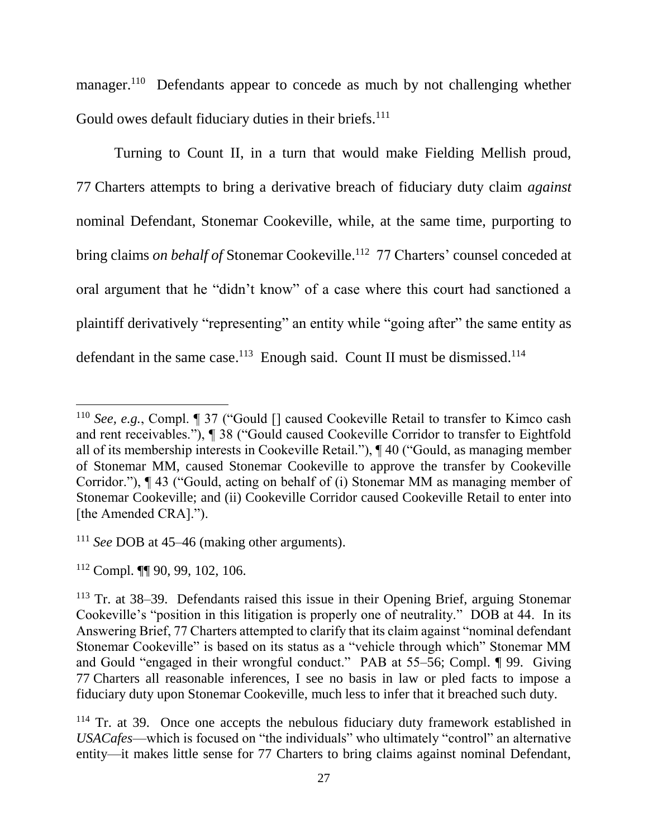manager.<sup>110</sup> Defendants appear to concede as much by not challenging whether Gould owes default fiduciary duties in their briefs.<sup>111</sup>

Turning to Count II, in a turn that would make Fielding Mellish proud, 77 Charters attempts to bring a derivative breach of fiduciary duty claim *against* nominal Defendant, Stonemar Cookeville, while, at the same time, purporting to bring claims *on behalf of* Stonemar Cookeville.<sup>112</sup> 77 Charters' counsel conceded at oral argument that he "didn't know" of a case where this court had sanctioned a plaintiff derivatively "representing" an entity while "going after" the same entity as defendant in the same case.<sup>113</sup> Enough said. Count II must be dismissed.<sup>114</sup>

<sup>&</sup>lt;sup>110</sup> *See, e.g.*, Compl. ¶ 37 ("Gould [] caused Cookeville Retail to transfer to Kimco cash and rent receivables."), ¶ 38 ("Gould caused Cookeville Corridor to transfer to Eightfold all of its membership interests in Cookeville Retail."), ¶ 40 ("Gould, as managing member of Stonemar MM, caused Stonemar Cookeville to approve the transfer by Cookeville Corridor."), ¶ 43 ("Gould, acting on behalf of (i) Stonemar MM as managing member of Stonemar Cookeville; and (ii) Cookeville Corridor caused Cookeville Retail to enter into [the Amended CRA].").

<sup>111</sup> *See* DOB at 45–46 (making other arguments).

<sup>112</sup> Compl. ¶¶ 90, 99, 102, 106.

<sup>113</sup> Tr. at 38–39. Defendants raised this issue in their Opening Brief, arguing Stonemar Cookeville's "position in this litigation is properly one of neutrality." DOB at 44. In its Answering Brief, 77 Charters attempted to clarify that its claim against "nominal defendant Stonemar Cookeville" is based on its status as a "vehicle through which" Stonemar MM and Gould "engaged in their wrongful conduct." PAB at 55–56; Compl. ¶ 99. Giving 77 Charters all reasonable inferences, I see no basis in law or pled facts to impose a fiduciary duty upon Stonemar Cookeville, much less to infer that it breached such duty.

<sup>&</sup>lt;sup>114</sup> Tr. at 39. Once one accepts the nebulous fiduciary duty framework established in *USACafes*—which is focused on "the individuals" who ultimately "control" an alternative entity—it makes little sense for 77 Charters to bring claims against nominal Defendant,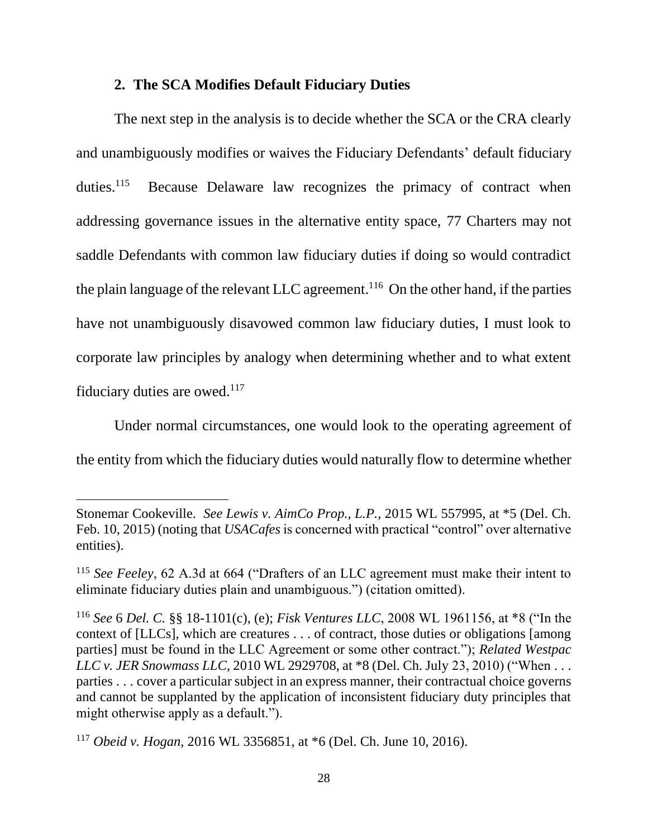### **2. The SCA Modifies Default Fiduciary Duties**

The next step in the analysis is to decide whether the SCA or the CRA clearly and unambiguously modifies or waives the Fiduciary Defendants' default fiduciary duties. $^{115}$  Because Delaware law recognizes the primacy of contract when addressing governance issues in the alternative entity space, 77 Charters may not saddle Defendants with common law fiduciary duties if doing so would contradict the plain language of the relevant LLC agreement.<sup>116</sup> On the other hand, if the parties have not unambiguously disavowed common law fiduciary duties, I must look to corporate law principles by analogy when determining whether and to what extent fiduciary duties are owed. $117$ 

Under normal circumstances, one would look to the operating agreement of the entity from which the fiduciary duties would naturally flow to determine whether

Stonemar Cookeville. *See Lewis v. AimCo Prop., L.P.*, 2015 WL 557995, at \*5 (Del. Ch. Feb. 10, 2015) (noting that *USACafes* is concerned with practical "control" over alternative entities).

<sup>115</sup> *See Feeley*, 62 A.3d at 664 ("Drafters of an LLC agreement must make their intent to eliminate fiduciary duties plain and unambiguous.") (citation omitted).

<sup>116</sup> *See* 6 *Del. C.* §§ 18-1101(c), (e); *Fisk Ventures LLC*, 2008 WL 1961156, at \*8 ("In the context of [LLCs], which are creatures . . . of contract, those duties or obligations [among parties] must be found in the LLC Agreement or some other contract."); *Related Westpac LLC v. JER Snowmass LLC*, 2010 WL 2929708, at \*8 (Del. Ch. July 23, 2010) ("When . . . parties . . . cover a particular subject in an express manner, their contractual choice governs and cannot be supplanted by the application of inconsistent fiduciary duty principles that might otherwise apply as a default.").

<sup>117</sup> *Obeid v. Hogan*, 2016 WL 3356851, at \*6 (Del. Ch. June 10, 2016).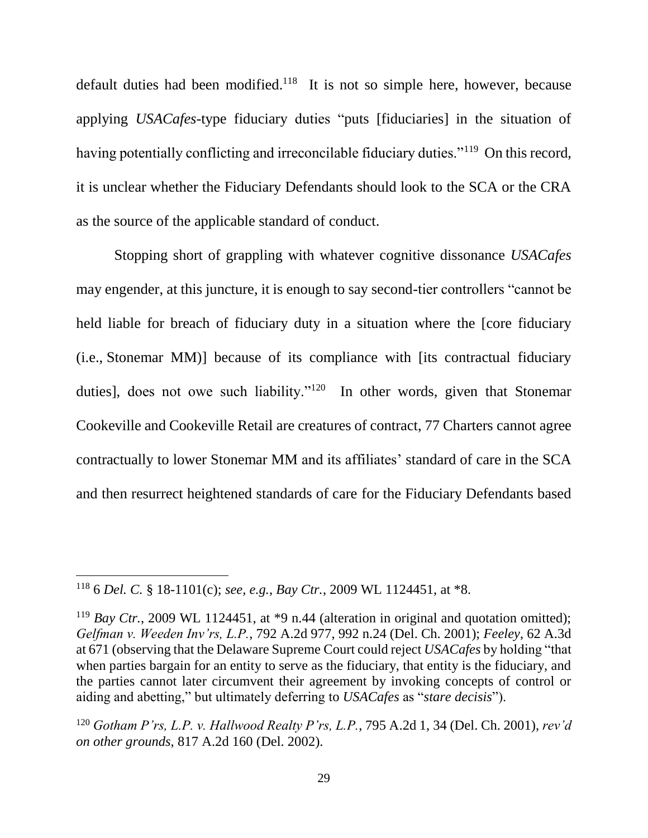default duties had been modified.<sup>118</sup> It is not so simple here, however, because applying *USACafes*-type fiduciary duties "puts [fiduciaries] in the situation of having potentially conflicting and irreconcilable fiduciary duties."<sup>119</sup> On this record, it is unclear whether the Fiduciary Defendants should look to the SCA or the CRA as the source of the applicable standard of conduct.

Stopping short of grappling with whatever cognitive dissonance *USACafes*  may engender, at this juncture, it is enough to say second-tier controllers "cannot be held liable for breach of fiduciary duty in a situation where the [core fiduciary (i.e., Stonemar MM)] because of its compliance with [its contractual fiduciary duties], does not owe such liability."<sup>120</sup> In other words, given that Stonemar Cookeville and Cookeville Retail are creatures of contract, 77 Charters cannot agree contractually to lower Stonemar MM and its affiliates' standard of care in the SCA and then resurrect heightened standards of care for the Fiduciary Defendants based

<sup>118</sup> 6 *Del. C.* § 18-1101(c); *see, e.g.*, *Bay Ctr.*, 2009 WL 1124451, at \*8.

<sup>&</sup>lt;sup>119</sup> *Bay Ctr.*, 2009 WL 1124451, at \*9 n.44 (alteration in original and quotation omitted); *Gelfman v. Weeden Inv'rs, L.P.*, 792 A.2d 977, 992 n.24 (Del. Ch. 2001); *Feeley*, 62 A.3d at 671 (observing that the Delaware Supreme Court could reject *USACafes* by holding "that when parties bargain for an entity to serve as the fiduciary, that entity is the fiduciary, and the parties cannot later circumvent their agreement by invoking concepts of control or aiding and abetting," but ultimately deferring to *USACafes* as "*stare decisis*").

<sup>120</sup> *Gotham P'rs, L.P. v. Hallwood Realty P'rs, L.P.*, 795 A.2d 1, 34 (Del. Ch. 2001), *rev'd on other grounds*, 817 A.2d 160 (Del. 2002).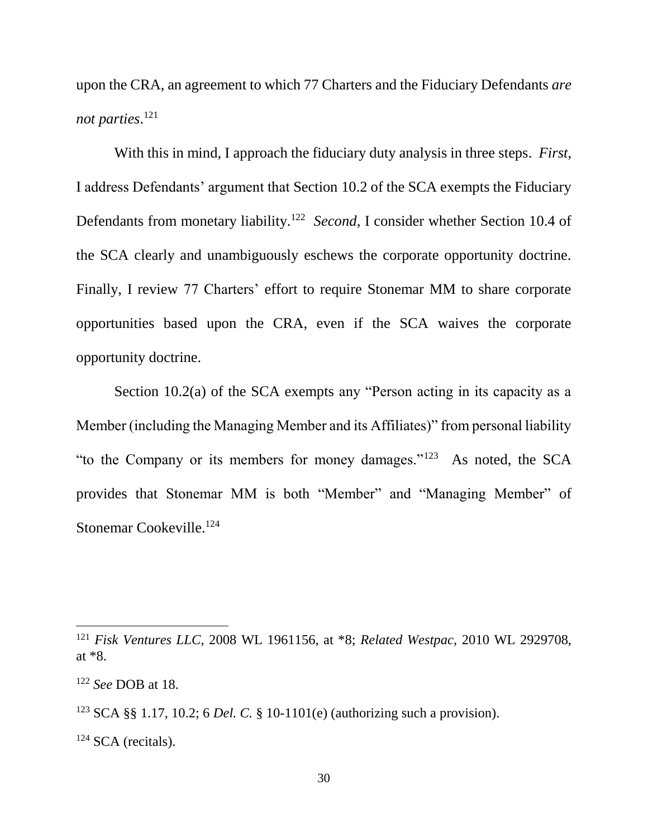upon the CRA, an agreement to which 77 Charters and the Fiduciary Defendants *are not parties*. 121

With this in mind, I approach the fiduciary duty analysis in three steps. *First*, I address Defendants' argument that Section 10.2 of the SCA exempts the Fiduciary Defendants from monetary liability.<sup>122</sup> Second, I consider whether Section 10.4 of the SCA clearly and unambiguously eschews the corporate opportunity doctrine. Finally, I review 77 Charters' effort to require Stonemar MM to share corporate opportunities based upon the CRA, even if the SCA waives the corporate opportunity doctrine.

Section 10.2(a) of the SCA exempts any "Person acting in its capacity as a Member (including the Managing Member and its Affiliates)" from personal liability "to the Company or its members for money damages."<sup>123</sup> As noted, the SCA provides that Stonemar MM is both "Member" and "Managing Member" of Stonemar Cookeville.<sup>124</sup>

<sup>121</sup> *Fisk Ventures LLC*, 2008 WL 1961156, at \*8; *Related Westpac*, 2010 WL 2929708, at \*8.

<sup>122</sup> *See* DOB at 18.

<sup>123</sup> SCA §§ 1.17, 10.2; 6 *Del. C.* § 10-1101(e) (authorizing such a provision).

 $124$  SCA (recitals).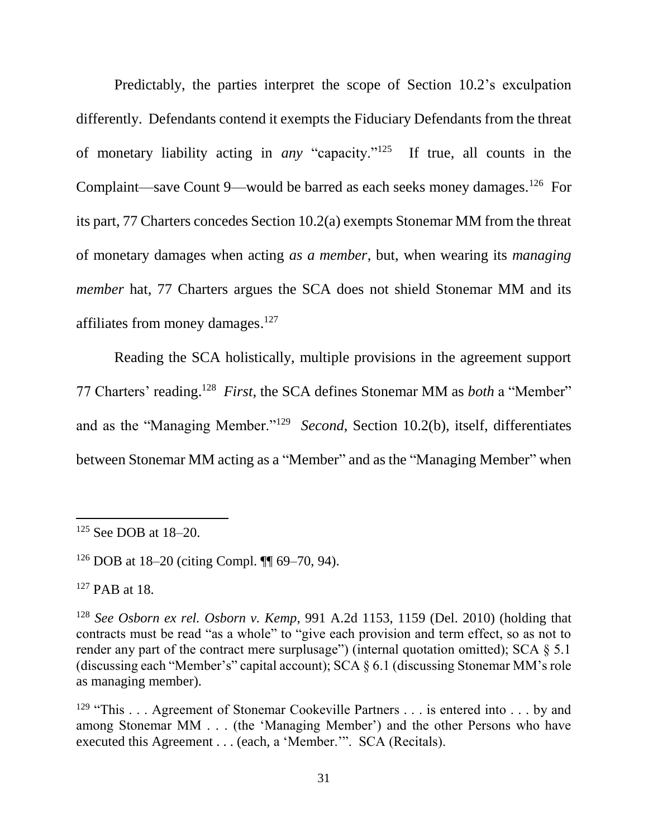Predictably, the parties interpret the scope of Section 10.2's exculpation differently. Defendants contend it exempts the Fiduciary Defendants from the threat of monetary liability acting in *any* "capacity."<sup>125</sup> If true, all counts in the Complaint—save Count 9—would be barred as each seeks money damages.<sup>126</sup> For its part, 77 Charters concedes Section 10.2(a) exempts Stonemar MM from the threat of monetary damages when acting *as a member*, but, when wearing its *managing member* hat, 77 Charters argues the SCA does not shield Stonemar MM and its affiliates from money damages.<sup>127</sup>

Reading the SCA holistically, multiple provisions in the agreement support 77 Charters' reading.<sup>128</sup> *First*, the SCA defines Stonemar MM as *both* a "Member" and as the "Managing Member."<sup>129</sup> Second, Section 10.2(b), itself, differentiates between Stonemar MM acting as a "Member" and as the "Managing Member" when

<sup>125</sup> See DOB at 18–20.

<sup>&</sup>lt;sup>126</sup> DOB at 18–20 (citing Compl.  $\P$  69–70, 94).

<sup>127</sup> PAB at 18.

<sup>128</sup> *See Osborn ex rel. Osborn v. Kemp*, 991 A.2d 1153, 1159 (Del. 2010) (holding that contracts must be read "as a whole" to "give each provision and term effect, so as not to render any part of the contract mere surplusage") (internal quotation omitted); SCA  $\S$  5.1 (discussing each "Member's" capital account); SCA § 6.1 (discussing Stonemar MM's role as managing member).

<sup>&</sup>lt;sup>129</sup> "This . . . Agreement of Stonemar Cookeville Partners . . . is entered into . . . by and among Stonemar MM . . . (the 'Managing Member') and the other Persons who have executed this Agreement . . . (each, a 'Member.'". SCA (Recitals).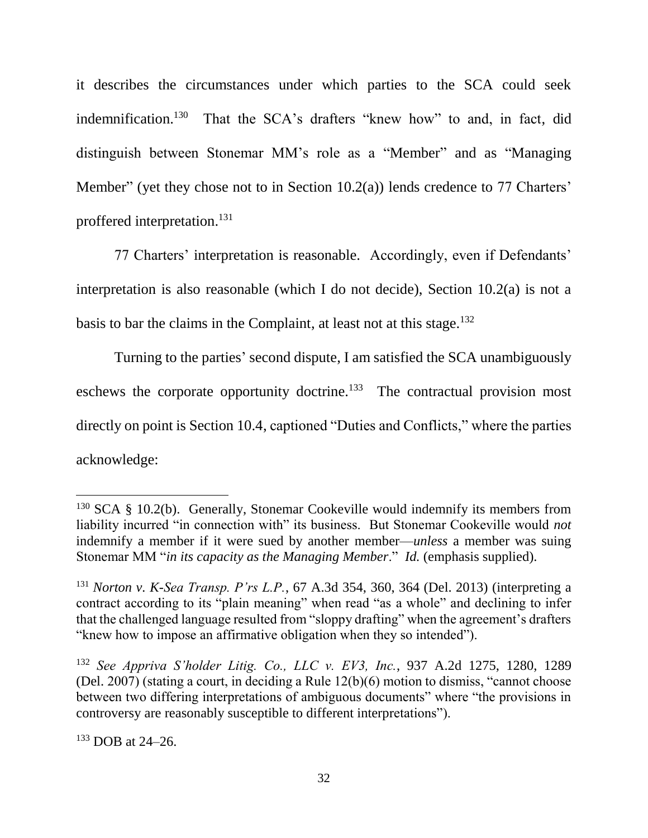it describes the circumstances under which parties to the SCA could seek indemnification.<sup>130</sup> That the SCA's drafters "knew how" to and, in fact, did distinguish between Stonemar MM's role as a "Member" and as "Managing Member" (yet they chose not to in Section 10.2(a)) lends credence to 77 Charters' proffered interpretation.<sup>131</sup>

77 Charters' interpretation is reasonable. Accordingly, even if Defendants' interpretation is also reasonable (which I do not decide), Section 10.2(a) is not a basis to bar the claims in the Complaint, at least not at this stage.<sup>132</sup>

Turning to the parties' second dispute, I am satisfied the SCA unambiguously eschews the corporate opportunity doctrine.<sup>133</sup> The contractual provision most directly on point is Section 10.4, captioned "Duties and Conflicts," where the parties acknowledge:

<sup>133</sup> DOB at 24–26.

 $130$  SCA § 10.2(b). Generally, Stonemar Cookeville would indemnify its members from liability incurred "in connection with" its business. But Stonemar Cookeville would *not*  indemnify a member if it were sued by another member—*unless* a member was suing Stonemar MM "*in its capacity as the Managing Member*." *Id.* (emphasis supplied).

<sup>131</sup> *Norton v. K-Sea Transp. P'rs L.P.*, 67 A.3d 354, 360, 364 (Del. 2013) (interpreting a contract according to its "plain meaning" when read "as a whole" and declining to infer that the challenged language resulted from "sloppy drafting" when the agreement's drafters "knew how to impose an affirmative obligation when they so intended").

<sup>132</sup> *See Appriva S'holder Litig. Co., LLC v. EV3, Inc.*, 937 A.2d 1275, 1280, 1289 (Del. 2007) (stating a court, in deciding a Rule 12(b)(6) motion to dismiss, "cannot choose between two differing interpretations of ambiguous documents" where "the provisions in controversy are reasonably susceptible to different interpretations").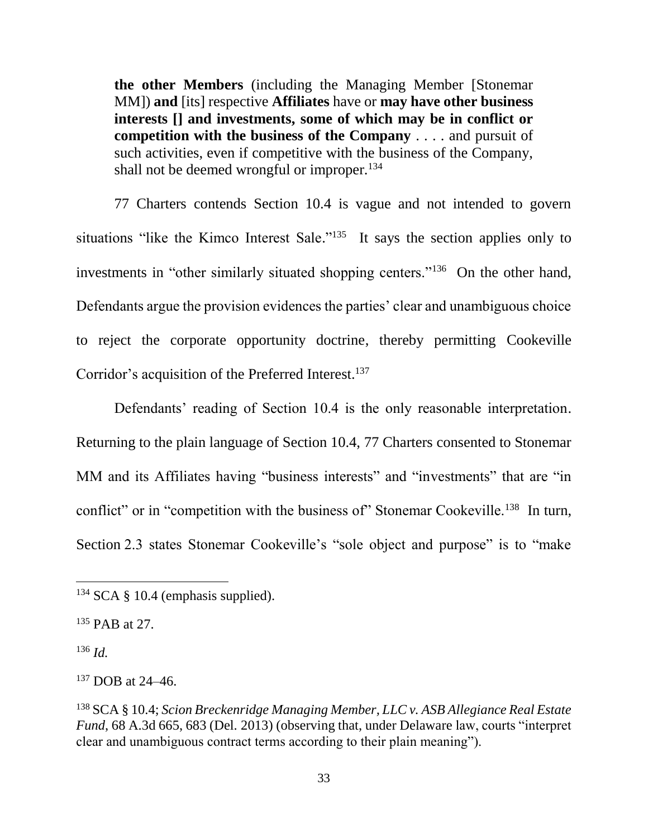**the other Members** (including the Managing Member [Stonemar MM]) **and** [its] respective **Affiliates** have or **may have other business interests [] and investments, some of which may be in conflict or competition with the business of the Company** . . . . and pursuit of such activities, even if competitive with the business of the Company, shall not be deemed wrongful or improper. $134$ 

77 Charters contends Section 10.4 is vague and not intended to govern situations "like the Kimco Interest Sale."<sup>135</sup> It says the section applies only to investments in "other similarly situated shopping centers."<sup>136</sup> On the other hand, Defendants argue the provision evidences the parties' clear and unambiguous choice to reject the corporate opportunity doctrine, thereby permitting Cookeville Corridor's acquisition of the Preferred Interest. 137

Defendants' reading of Section 10.4 is the only reasonable interpretation. Returning to the plain language of Section 10.4, 77 Charters consented to Stonemar MM and its Affiliates having "business interests" and "investments" that are "in conflict" or in "competition with the business of" Stonemar Cookeville.<sup>138</sup> In turn, Section 2.3 states Stonemar Cookeville's "sole object and purpose" is to "make

 $134$  SCA § 10.4 (emphasis supplied).

<sup>135</sup> PAB at 27.

<sup>136</sup> *Id.*

<sup>137</sup> DOB at 24–46.

<sup>138</sup> SCA § 10.4; *Scion Breckenridge Managing Member, LLC v. ASB Allegiance Real Estate Fund*, 68 A.3d 665, 683 (Del. 2013) (observing that, under Delaware law, courts "interpret clear and unambiguous contract terms according to their plain meaning").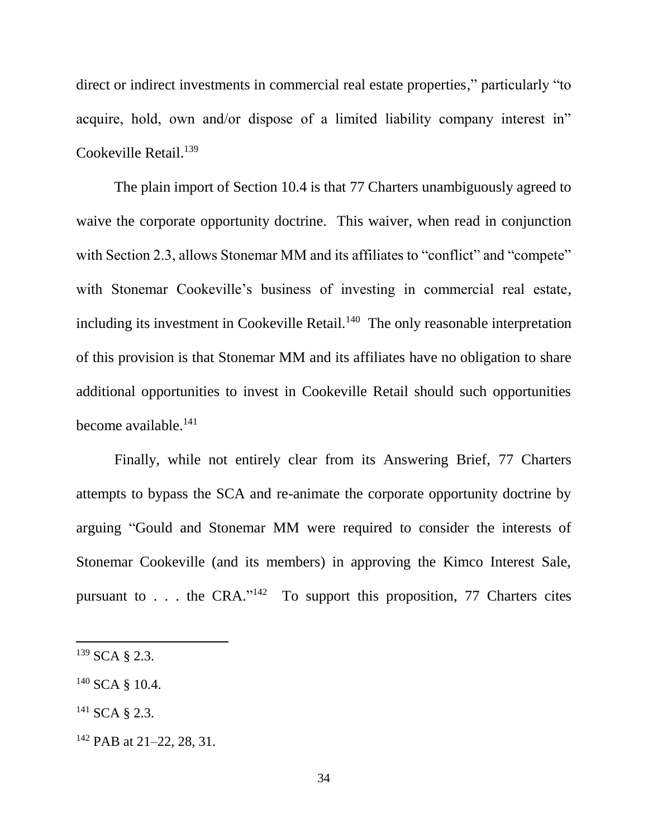direct or indirect investments in commercial real estate properties," particularly "to acquire, hold, own and/or dispose of a limited liability company interest in" Cookeville Retail.<sup>139</sup>

The plain import of Section 10.4 is that 77 Charters unambiguously agreed to waive the corporate opportunity doctrine. This waiver, when read in conjunction with Section 2.3, allows Stonemar MM and its affiliates to "conflict" and "compete" with Stonemar Cookeville's business of investing in commercial real estate, including its investment in Cookeville Retail.<sup>140</sup> The only reasonable interpretation of this provision is that Stonemar MM and its affiliates have no obligation to share additional opportunities to invest in Cookeville Retail should such opportunities become available.<sup>141</sup>

Finally, while not entirely clear from its Answering Brief, 77 Charters attempts to bypass the SCA and re-animate the corporate opportunity doctrine by arguing "Gould and Stonemar MM were required to consider the interests of Stonemar Cookeville (and its members) in approving the Kimco Interest Sale, pursuant to . . . the CRA."<sup>142</sup> To support this proposition, 77 Charters cites

 $\overline{a}$ 

<sup>141</sup> SCA § 2.3.

 $139$  SCA  $\&$  2.3.

<sup>140</sup> SCA § 10.4.

<sup>&</sup>lt;sup>142</sup> PAB at 21–22, 28, 31.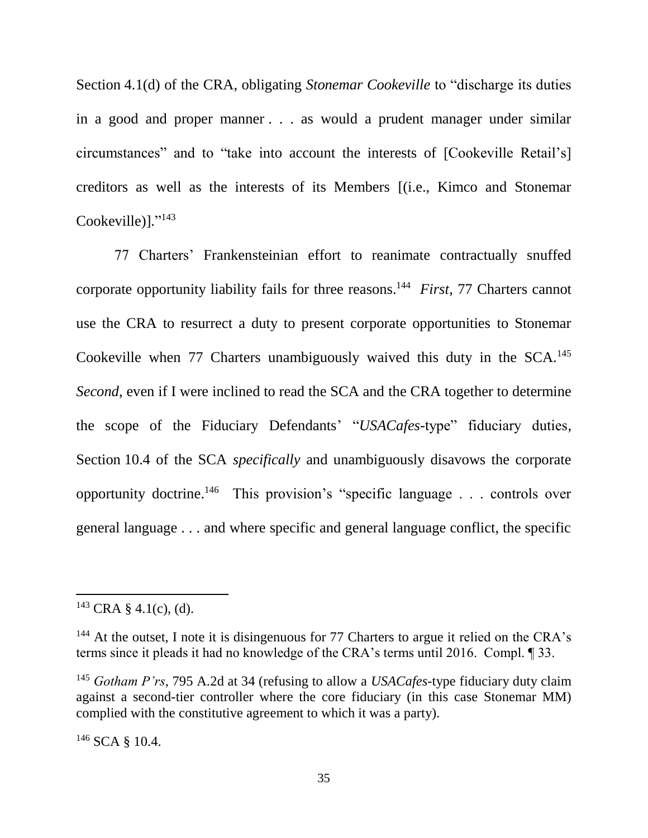Section 4.1(d) of the CRA, obligating *Stonemar Cookeville* to "discharge its duties in a good and proper manner . . . as would a prudent manager under similar circumstances" and to "take into account the interests of [Cookeville Retail's] creditors as well as the interests of its Members [(i.e., Kimco and Stonemar Cookeville)]."<sup>143</sup>

77 Charters' Frankensteinian effort to reanimate contractually snuffed corporate opportunity liability fails for three reasons.<sup>144</sup> *First*, 77 Charters cannot use the CRA to resurrect a duty to present corporate opportunities to Stonemar Cookeville when  $77$  Charters unambiguously waived this duty in the SCA.<sup>145</sup> *Second*, even if I were inclined to read the SCA and the CRA together to determine the scope of the Fiduciary Defendants' "*USACafes*-type" fiduciary duties, Section 10.4 of the SCA *specifically* and unambiguously disavows the corporate opportunity doctrine. 146 This provision's "specific language . . . controls over general language . . . and where specific and general language conflict, the specific

 $\overline{a}$ 

<sup>146</sup> SCA § 10.4.

 $143$  CRA § 4.1(c), (d).

 $144$  At the outset, I note it is disingenuous for 77 Charters to argue it relied on the CRA's terms since it pleads it had no knowledge of the CRA's terms until 2016. Compl. ¶ 33.

<sup>145</sup> *Gotham P'rs*, 795 A.2d at 34 (refusing to allow a *USACafes*-type fiduciary duty claim against a second-tier controller where the core fiduciary (in this case Stonemar MM) complied with the constitutive agreement to which it was a party).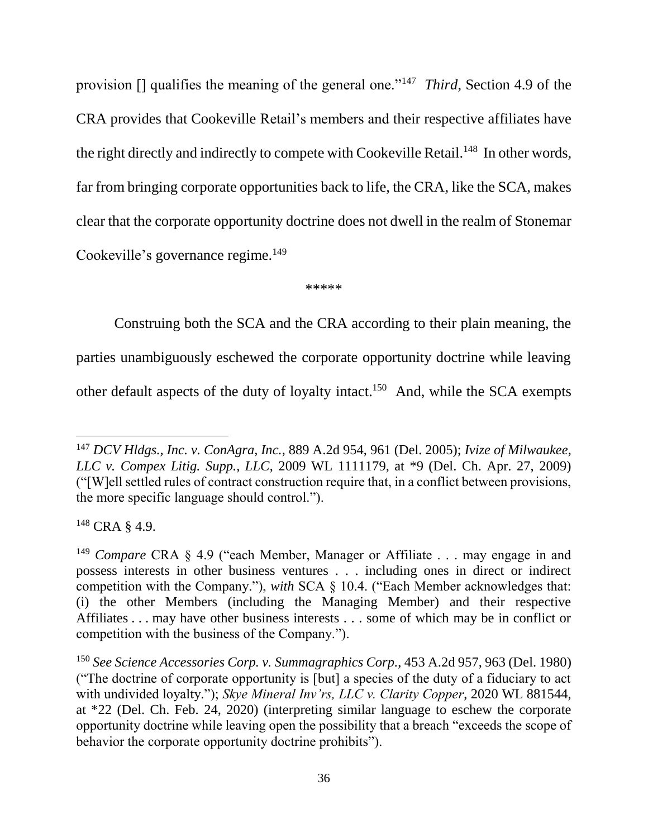provision [] qualifies the meaning of the general one."<sup>147</sup> *Third*, Section 4.9 of the CRA provides that Cookeville Retail's members and their respective affiliates have the right directly and indirectly to compete with Cookeville Retail.<sup>148</sup> In other words, far from bringing corporate opportunities back to life, the CRA, like the SCA, makes clear that the corporate opportunity doctrine does not dwell in the realm of Stonemar Cookeville's governance regime.<sup>149</sup>

\*\*\*\*\*

Construing both the SCA and the CRA according to their plain meaning, the

parties unambiguously eschewed the corporate opportunity doctrine while leaving

other default aspects of the duty of loyalty intact.<sup>150</sup> And, while the SCA exempts

<sup>148</sup> CRA § 4.9.

<sup>147</sup> *DCV Hldgs., Inc. v. ConAgra, Inc.*, 889 A.2d 954, 961 (Del. 2005); *Ivize of Milwaukee, LLC v. Compex Litig. Supp., LLC*, 2009 WL 1111179, at \*9 (Del. Ch. Apr. 27, 2009) ("[W]ell settled rules of contract construction require that, in a conflict between provisions, the more specific language should control.").

<sup>149</sup> *Compare* CRA § 4.9 ("each Member, Manager or Affiliate . . . may engage in and possess interests in other business ventures . . . including ones in direct or indirect competition with the Company."), *with* SCA § 10.4. ("Each Member acknowledges that: (i) the other Members (including the Managing Member) and their respective Affiliates . . . may have other business interests . . . some of which may be in conflict or competition with the business of the Company.").

<sup>150</sup> *See Science Accessories Corp. v. Summagraphics Corp.*, 453 A.2d 957, 963 (Del. 1980) ("The doctrine of corporate opportunity is [but] a species of the duty of a fiduciary to act with undivided loyalty."); *Skye Mineral Inv'rs, LLC v. Clarity Copper*, 2020 WL 881544, at \*22 (Del. Ch. Feb. 24, 2020) (interpreting similar language to eschew the corporate opportunity doctrine while leaving open the possibility that a breach "exceeds the scope of behavior the corporate opportunity doctrine prohibits").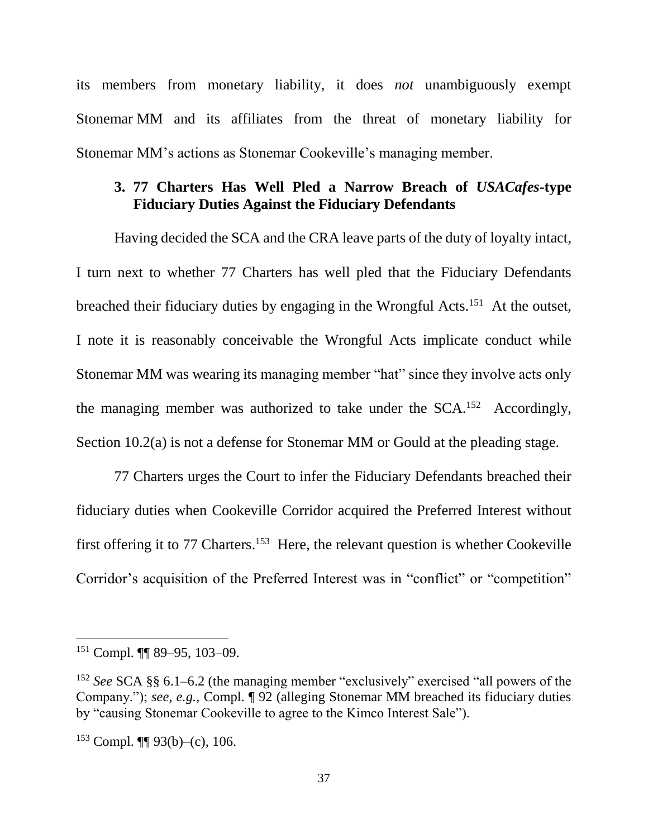its members from monetary liability, it does *not* unambiguously exempt Stonemar MM and its affiliates from the threat of monetary liability for Stonemar MM's actions as Stonemar Cookeville's managing member.

## **3. 77 Charters Has Well Pled a Narrow Breach of** *USACafes***-type Fiduciary Duties Against the Fiduciary Defendants**

Having decided the SCA and the CRA leave parts of the duty of loyalty intact, I turn next to whether 77 Charters has well pled that the Fiduciary Defendants breached their fiduciary duties by engaging in the Wrongful Acts.<sup>151</sup> At the outset, I note it is reasonably conceivable the Wrongful Acts implicate conduct while Stonemar MM was wearing its managing member "hat" since they involve acts only the managing member was authorized to take under the  $SCA$ .<sup>152</sup> Accordingly, Section 10.2(a) is not a defense for Stonemar MM or Gould at the pleading stage.

77 Charters urges the Court to infer the Fiduciary Defendants breached their fiduciary duties when Cookeville Corridor acquired the Preferred Interest without first offering it to 77 Charters.<sup>153</sup> Here, the relevant question is whether Cookeville Corridor's acquisition of the Preferred Interest was in "conflict" or "competition"

 $151$  Compl. **[1]** 89–95, 103–09.

<sup>152</sup> *See* SCA §§ 6.1–6.2 (the managing member "exclusively" exercised "all powers of the Company."); *see, e.g.*, Compl. ¶ 92 (alleging Stonemar MM breached its fiduciary duties by "causing Stonemar Cookeville to agree to the Kimco Interest Sale").

 $153$  Compl.  $\P\P$  93(b)–(c), 106.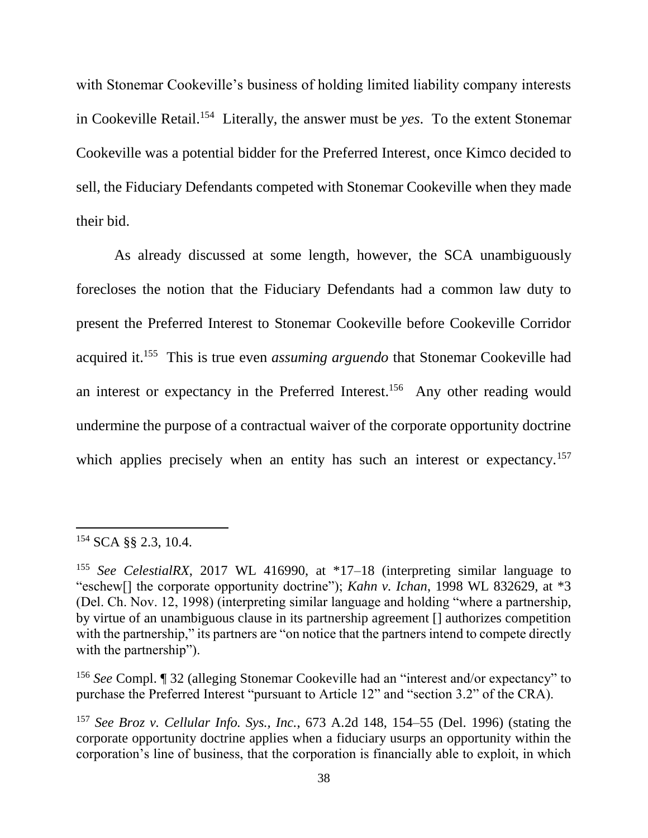with Stonemar Cookeville's business of holding limited liability company interests in Cookeville Retail.<sup>154</sup> Literally, the answer must be *yes*. To the extent Stonemar Cookeville was a potential bidder for the Preferred Interest, once Kimco decided to sell, the Fiduciary Defendants competed with Stonemar Cookeville when they made their bid.

As already discussed at some length, however, the SCA unambiguously forecloses the notion that the Fiduciary Defendants had a common law duty to present the Preferred Interest to Stonemar Cookeville before Cookeville Corridor acquired it.<sup>155</sup> This is true even *assuming arguendo* that Stonemar Cookeville had an interest or expectancy in the Preferred Interest.<sup>156</sup> Any other reading would undermine the purpose of a contractual waiver of the corporate opportunity doctrine which applies precisely when an entity has such an interest or expectancy.<sup>157</sup>

<sup>154</sup> SCA §§ 2.3, 10.4.

<sup>155</sup> *See CelestialRX*, 2017 WL 416990, at \*17–18 (interpreting similar language to "eschew[] the corporate opportunity doctrine"); *Kahn v. Ichan*, 1998 WL 832629, at \*3 (Del. Ch. Nov. 12, 1998) (interpreting similar language and holding "where a partnership, by virtue of an unambiguous clause in its partnership agreement [] authorizes competition with the partnership," its partners are "on notice that the partners intend to compete directly with the partnership").

<sup>156</sup> *See* Compl. ¶ 32 (alleging Stonemar Cookeville had an "interest and/or expectancy" to purchase the Preferred Interest "pursuant to Article 12" and "section 3.2" of the CRA).

<sup>157</sup> *See Broz v. Cellular Info. Sys., Inc.*, 673 A.2d 148, 154–55 (Del. 1996) (stating the corporate opportunity doctrine applies when a fiduciary usurps an opportunity within the corporation's line of business, that the corporation is financially able to exploit, in which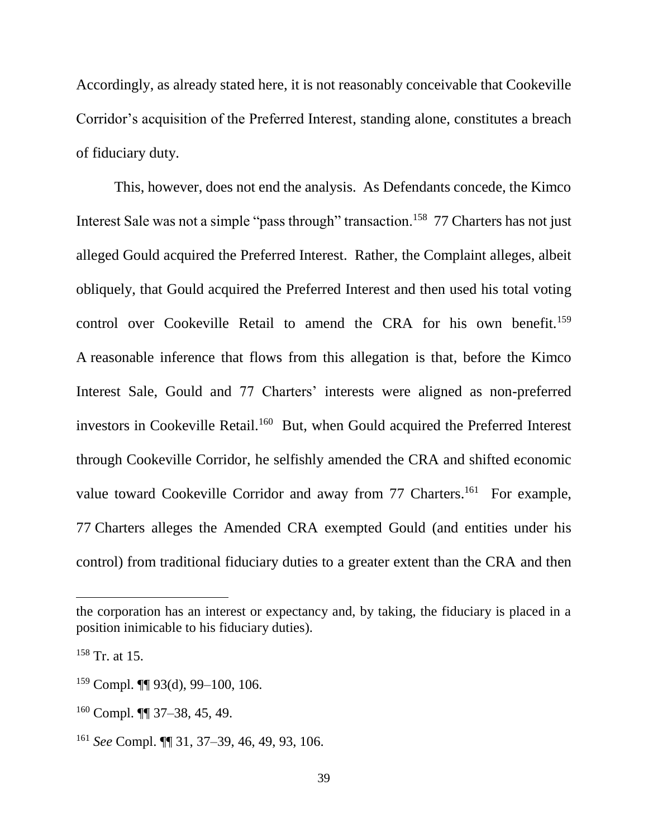Accordingly, as already stated here, it is not reasonably conceivable that Cookeville Corridor's acquisition of the Preferred Interest, standing alone, constitutes a breach of fiduciary duty.

This, however, does not end the analysis. As Defendants concede, the Kimco Interest Sale was not a simple "pass through" transaction.<sup>158</sup> 77 Charters has not just alleged Gould acquired the Preferred Interest. Rather, the Complaint alleges, albeit obliquely, that Gould acquired the Preferred Interest and then used his total voting control over Cookeville Retail to amend the CRA for his own benefit.<sup>159</sup> A reasonable inference that flows from this allegation is that, before the Kimco Interest Sale, Gould and 77 Charters' interests were aligned as non-preferred investors in Cookeville Retail.<sup>160</sup> But, when Gould acquired the Preferred Interest through Cookeville Corridor, he selfishly amended the CRA and shifted economic value toward Cookeville Corridor and away from 77 Charters.<sup>161</sup> For example, 77 Charters alleges the Amended CRA exempted Gould (and entities under his control) from traditional fiduciary duties to a greater extent than the CRA and then

the corporation has an interest or expectancy and, by taking, the fiduciary is placed in a position inimicable to his fiduciary duties).

 $158$  Tr. at 15.

 $159$  Compl.  $\P\P$  93(d), 99-100, 106.

<sup>160</sup> Compl. ¶¶ 37–38, 45, 49.

<sup>161</sup> *See* Compl. ¶¶ 31, 37–39, 46, 49, 93, 106.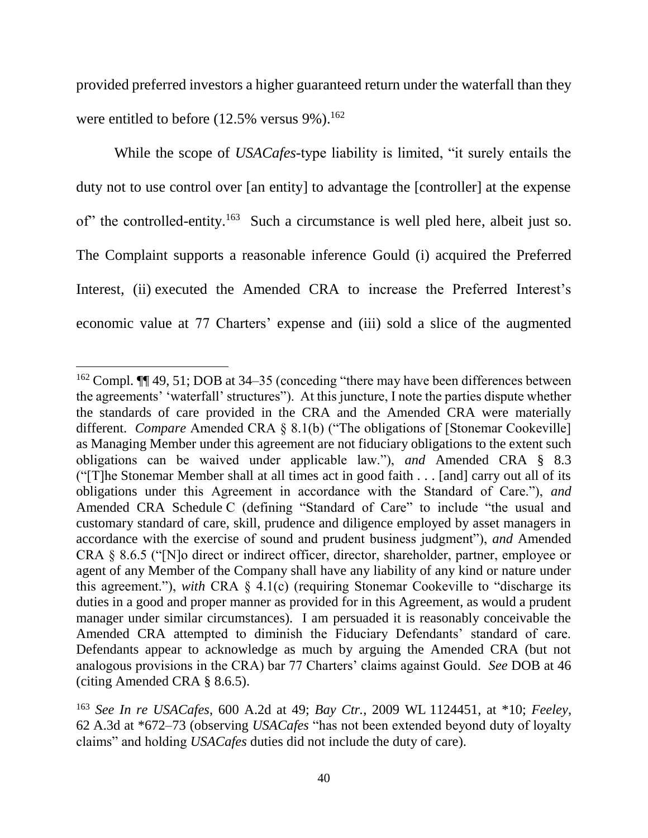provided preferred investors a higher guaranteed return under the waterfall than they were entitled to before  $(12.5\% \text{ versus } 9\%).^{162}$ 

While the scope of *USACafes*-type liability is limited, "it surely entails the duty not to use control over [an entity] to advantage the [controller] at the expense of" the controlled-entity.<sup>163</sup> Such a circumstance is well pled here, albeit just so. The Complaint supports a reasonable inference Gould (i) acquired the Preferred Interest, (ii) executed the Amended CRA to increase the Preferred Interest's economic value at 77 Charters' expense and (iii) sold a slice of the augmented

<sup>&</sup>lt;sup>162</sup> Compl. **[144]** 49, 51; DOB at 34–35 (conceding "there may have been differences between the agreements' 'waterfall' structures"). At this juncture, I note the parties dispute whether the standards of care provided in the CRA and the Amended CRA were materially different. *Compare* Amended CRA § 8.1(b) ("The obligations of [Stonemar Cookeville] as Managing Member under this agreement are not fiduciary obligations to the extent such obligations can be waived under applicable law."), *and* Amended CRA § 8.3 ("[T]he Stonemar Member shall at all times act in good faith . . . [and] carry out all of its obligations under this Agreement in accordance with the Standard of Care."), *and*  Amended CRA Schedule C (defining "Standard of Care" to include "the usual and customary standard of care, skill, prudence and diligence employed by asset managers in accordance with the exercise of sound and prudent business judgment"), *and* Amended CRA § 8.6.5 ("[N]o direct or indirect officer, director, shareholder, partner, employee or agent of any Member of the Company shall have any liability of any kind or nature under this agreement."), *with* CRA § 4.1(c) (requiring Stonemar Cookeville to "discharge its duties in a good and proper manner as provided for in this Agreement, as would a prudent manager under similar circumstances). I am persuaded it is reasonably conceivable the Amended CRA attempted to diminish the Fiduciary Defendants' standard of care. Defendants appear to acknowledge as much by arguing the Amended CRA (but not analogous provisions in the CRA) bar 77 Charters' claims against Gould. *See* DOB at 46 (citing Amended CRA § 8.6.5).

<sup>163</sup> *See In re USACafes*, 600 A.2d at 49; *Bay Ctr.*, 2009 WL 1124451, at \*10; *Feeley*, 62 A.3d at \*672–73 (observing *USACafes* "has not been extended beyond duty of loyalty claims" and holding *USACafes* duties did not include the duty of care).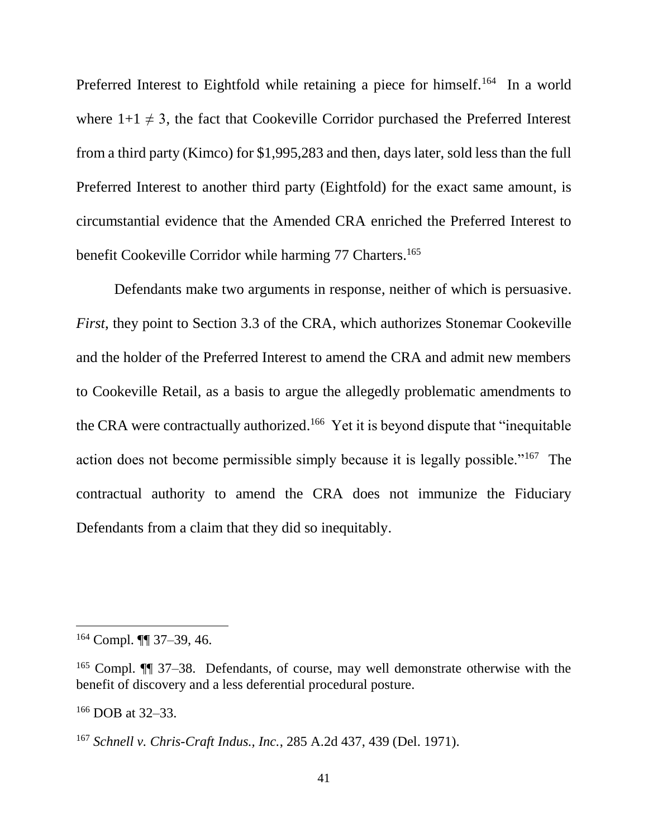Preferred Interest to Eightfold while retaining a piece for himself.<sup>164</sup> In a world where  $1+1 \neq 3$ , the fact that Cookeville Corridor purchased the Preferred Interest from a third party (Kimco) for \$1,995,283 and then, days later, sold less than the full Preferred Interest to another third party (Eightfold) for the exact same amount, is circumstantial evidence that the Amended CRA enriched the Preferred Interest to benefit Cookeville Corridor while harming 77 Charters.<sup>165</sup>

Defendants make two arguments in response, neither of which is persuasive. *First*, they point to Section 3.3 of the CRA, which authorizes Stonemar Cookeville and the holder of the Preferred Interest to amend the CRA and admit new members to Cookeville Retail, as a basis to argue the allegedly problematic amendments to the CRA were contractually authorized.<sup>166</sup> Yet it is beyond dispute that "inequitable" action does not become permissible simply because it is legally possible."<sup>167</sup> The contractual authority to amend the CRA does not immunize the Fiduciary Defendants from a claim that they did so inequitably.

 $164$  Compl.  $\P\P$  37–39, 46.

<sup>165</sup> Compl. ¶¶ 37–38. Defendants, of course, may well demonstrate otherwise with the benefit of discovery and a less deferential procedural posture.

<sup>166</sup> DOB at 32–33.

<sup>167</sup> *Schnell v. Chris-Craft Indus., Inc.*, 285 A.2d 437, 439 (Del. 1971).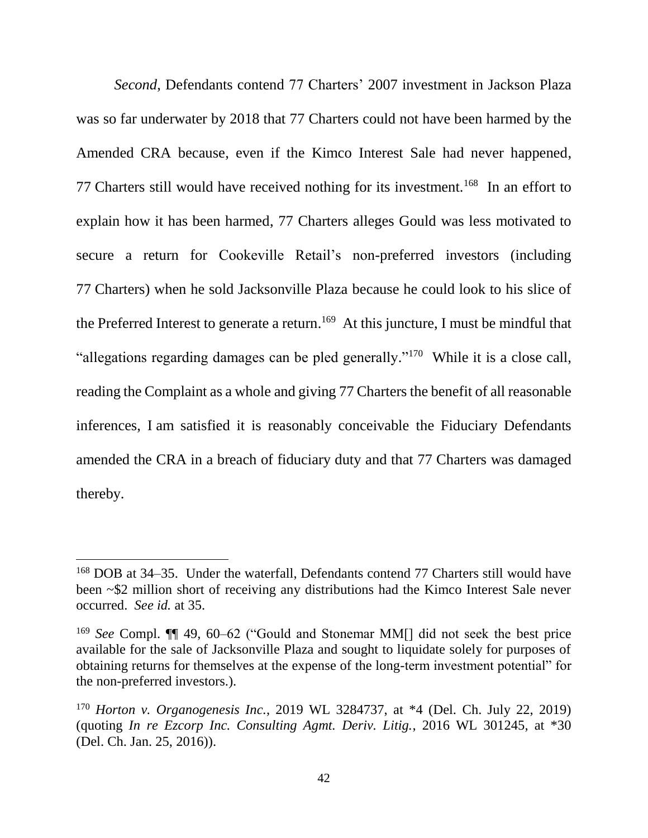*Second*, Defendants contend 77 Charters' 2007 investment in Jackson Plaza was so far underwater by 2018 that 77 Charters could not have been harmed by the Amended CRA because, even if the Kimco Interest Sale had never happened, 77 Charters still would have received nothing for its investment.<sup>168</sup> In an effort to explain how it has been harmed, 77 Charters alleges Gould was less motivated to secure a return for Cookeville Retail's non-preferred investors (including 77 Charters) when he sold Jacksonville Plaza because he could look to his slice of the Preferred Interest to generate a return.<sup>169</sup> At this juncture, I must be mindful that "allegations regarding damages can be pled generally."<sup>170</sup> While it is a close call, reading the Complaint as a whole and giving 77 Charters the benefit of all reasonable inferences, I am satisfied it is reasonably conceivable the Fiduciary Defendants amended the CRA in a breach of fiduciary duty and that 77 Charters was damaged thereby.

<sup>168</sup> DOB at 34–35. Under the waterfall, Defendants contend 77 Charters still would have been ~\$2 million short of receiving any distributions had the Kimco Interest Sale never occurred. *See id.* at 35.

<sup>169</sup> *See* Compl. ¶¶ 49, 60–62 ("Gould and Stonemar MM[] did not seek the best price available for the sale of Jacksonville Plaza and sought to liquidate solely for purposes of obtaining returns for themselves at the expense of the long-term investment potential" for the non-preferred investors.).

<sup>170</sup> *Horton v. Organogenesis Inc.*, 2019 WL 3284737, at \*4 (Del. Ch. July 22, 2019) (quoting *In re Ezcorp Inc. Consulting Agmt. Deriv. Litig.*, 2016 WL 301245, at \*30 (Del. Ch. Jan. 25, 2016)).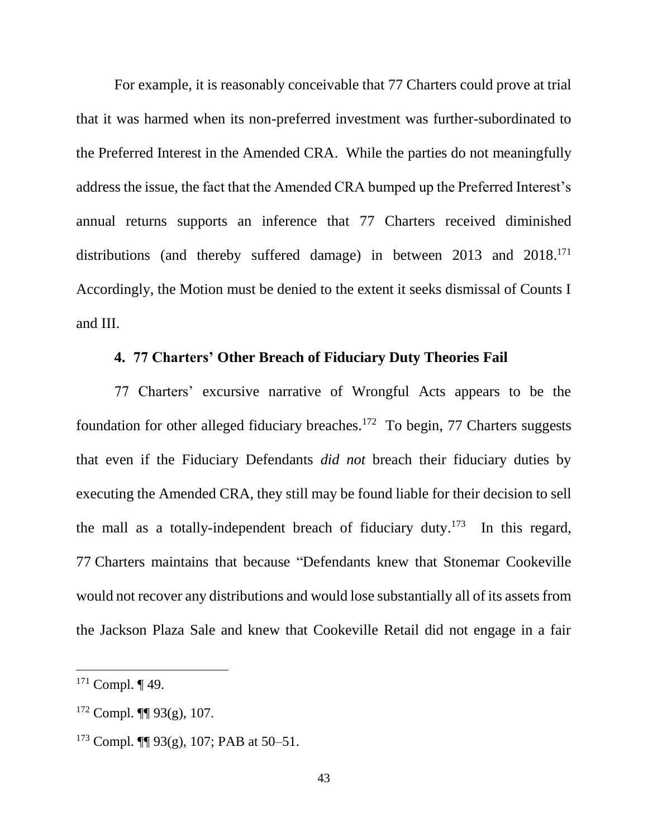For example, it is reasonably conceivable that 77 Charters could prove at trial that it was harmed when its non-preferred investment was further-subordinated to the Preferred Interest in the Amended CRA. While the parties do not meaningfully address the issue, the fact that the Amended CRA bumped up the Preferred Interest's annual returns supports an inference that 77 Charters received diminished distributions (and thereby suffered damage) in between 2013 and 2018.<sup>171</sup> Accordingly, the Motion must be denied to the extent it seeks dismissal of Counts I and III.

# **4. 77 Charters' Other Breach of Fiduciary Duty Theories Fail**

77 Charters' excursive narrative of Wrongful Acts appears to be the foundation for other alleged fiduciary breaches.<sup>172</sup> To begin, 77 Charters suggests that even if the Fiduciary Defendants *did not* breach their fiduciary duties by executing the Amended CRA, they still may be found liable for their decision to sell the mall as a totally-independent breach of fiduciary duty.<sup>173</sup> In this regard, 77 Charters maintains that because "Defendants knew that Stonemar Cookeville would not recover any distributions and would lose substantially all of its assets from the Jackson Plaza Sale and knew that Cookeville Retail did not engage in a fair

 $171$  Compl.  $\P$  49.

 $172$  Compl.  $\P\P$  93(g), 107.

<sup>&</sup>lt;sup>173</sup> Compl.  $\P\P$  93(g), 107; PAB at 50–51.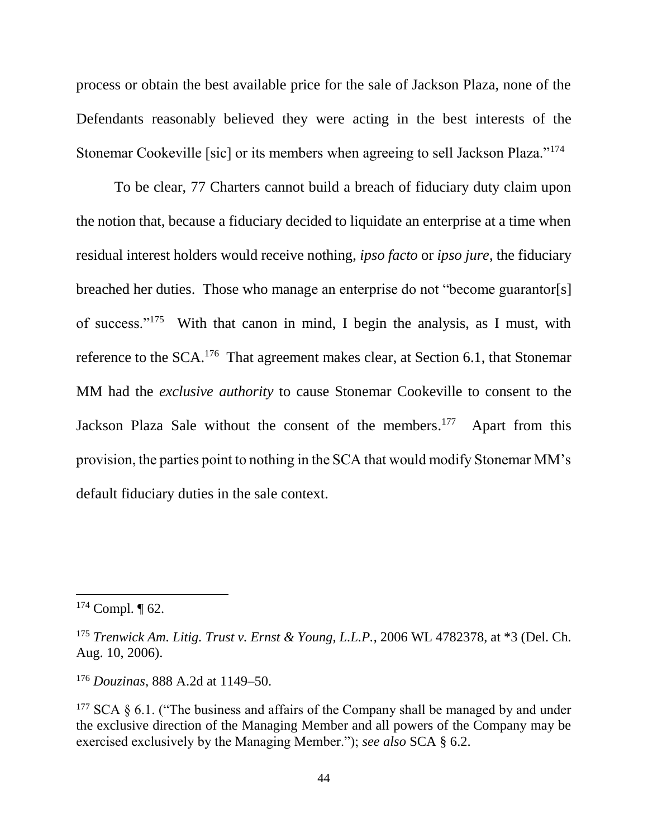process or obtain the best available price for the sale of Jackson Plaza, none of the Defendants reasonably believed they were acting in the best interests of the Stonemar Cookeville [sic] or its members when agreeing to sell Jackson Plaza."<sup>174</sup>

To be clear, 77 Charters cannot build a breach of fiduciary duty claim upon the notion that, because a fiduciary decided to liquidate an enterprise at a time when residual interest holders would receive nothing, *ipso facto* or *ipso jure*, the fiduciary breached her duties. Those who manage an enterprise do not "become guarantor[s] of success."<sup>175</sup> With that canon in mind, I begin the analysis, as I must, with reference to the SCA.<sup>176</sup> That agreement makes clear, at Section 6.1, that Stonemar MM had the *exclusive authority* to cause Stonemar Cookeville to consent to the Jackson Plaza Sale without the consent of the members.<sup>177</sup> Apart from this provision, the parties point to nothing in the SCA that would modify Stonemar MM's default fiduciary duties in the sale context.

 $174$  Compl.  $\P$  62.

<sup>175</sup> *Trenwick Am. Litig. Trust v. Ernst & Young, L.L.P.*, 2006 WL 4782378, at \*3 (Del. Ch. Aug. 10, 2006).

<sup>176</sup> *Douzinas*, 888 A.2d at 1149–50.

<sup>&</sup>lt;sup>177</sup> SCA  $\S$  6.1. ("The business and affairs of the Company shall be managed by and under the exclusive direction of the Managing Member and all powers of the Company may be exercised exclusively by the Managing Member."); *see also* SCA § 6.2.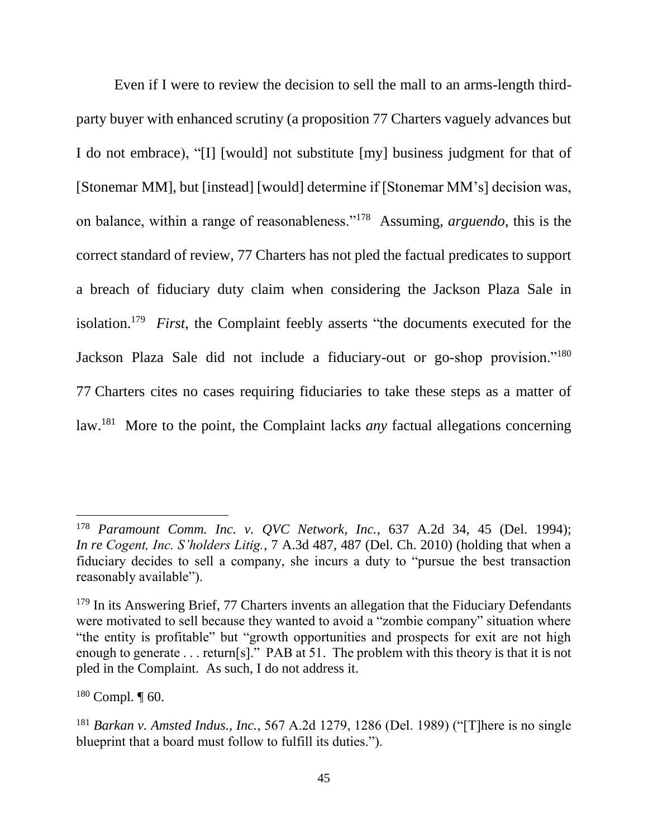Even if I were to review the decision to sell the mall to an arms-length thirdparty buyer with enhanced scrutiny (a proposition 77 Charters vaguely advances but I do not embrace), "[I] [would] not substitute [my] business judgment for that of [Stonemar MM], but [instead] [would] determine if [Stonemar MM's] decision was, on balance, within a range of reasonableness."<sup>178</sup> Assuming, *arguendo*, this is the correct standard of review, 77 Charters has not pled the factual predicates to support a breach of fiduciary duty claim when considering the Jackson Plaza Sale in isolation.<sup>179</sup> *First*, the Complaint feebly asserts "the documents executed for the Jackson Plaza Sale did not include a fiduciary-out or go-shop provision."<sup>180</sup> 77 Charters cites no cases requiring fiduciaries to take these steps as a matter of law.<sup>181</sup> More to the point, the Complaint lacks *any* factual allegations concerning

<sup>178</sup> *Paramount Comm. Inc. v. QVC Network, Inc.*, 637 A.2d 34, 45 (Del. 1994); *In re Cogent, Inc. S'holders Litig.*, 7 A.3d 487, 487 (Del. Ch. 2010) (holding that when a fiduciary decides to sell a company, she incurs a duty to "pursue the best transaction reasonably available").

 $179$  In its Answering Brief, 77 Charters invents an allegation that the Fiduciary Defendants were motivated to sell because they wanted to avoid a "zombie company" situation where "the entity is profitable" but "growth opportunities and prospects for exit are not high enough to generate . . . return[s]." PAB at 51. The problem with this theory is that it is not pled in the Complaint. As such, I do not address it.

 $180$  Compl.  $\P$  60.

<sup>181</sup> *Barkan v. Amsted Indus., Inc.*, 567 A.2d 1279, 1286 (Del. 1989) ("[T]here is no single blueprint that a board must follow to fulfill its duties.").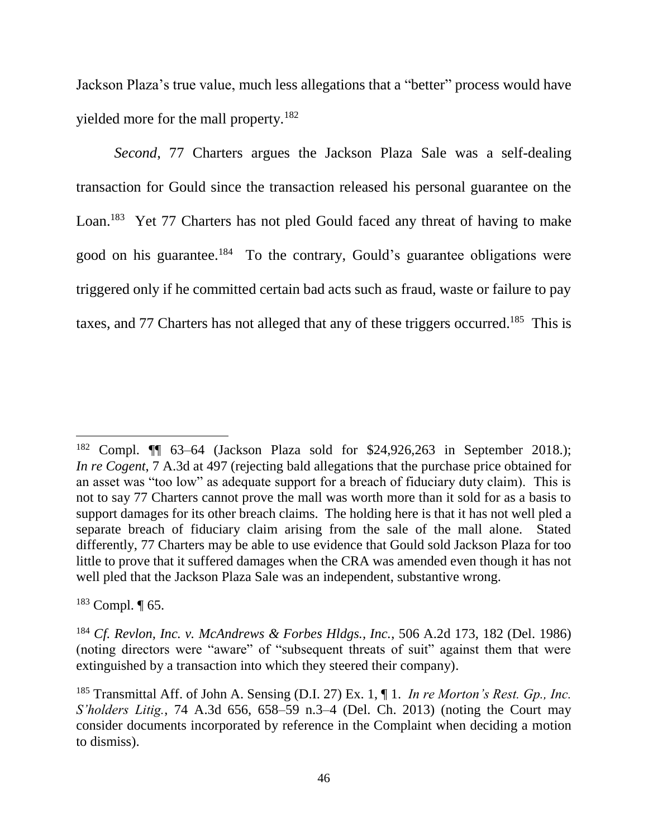Jackson Plaza's true value, much less allegations that a "better" process would have yielded more for the mall property.<sup>182</sup>

*Second*, 77 Charters argues the Jackson Plaza Sale was a self-dealing transaction for Gould since the transaction released his personal guarantee on the Loan.<sup>183</sup> Yet 77 Charters has not pled Gould faced any threat of having to make good on his guarantee.<sup>184</sup> To the contrary, Gould's guarantee obligations were triggered only if he committed certain bad acts such as fraud, waste or failure to pay taxes, and 77 Charters has not alleged that any of these triggers occurred.<sup>185</sup> This is

 $183$  Compl.  $\P$  65.

<sup>&</sup>lt;sup>182</sup> Compl.  $\P$  63–64 (Jackson Plaza sold for \$24,926,263 in September 2018.); *In re Cogent*, 7 A.3d at 497 (rejecting bald allegations that the purchase price obtained for an asset was "too low" as adequate support for a breach of fiduciary duty claim). This is not to say 77 Charters cannot prove the mall was worth more than it sold for as a basis to support damages for its other breach claims. The holding here is that it has not well pled a separate breach of fiduciary claim arising from the sale of the mall alone. Stated differently, 77 Charters may be able to use evidence that Gould sold Jackson Plaza for too little to prove that it suffered damages when the CRA was amended even though it has not well pled that the Jackson Plaza Sale was an independent, substantive wrong.

<sup>184</sup> *Cf. Revlon, Inc. v. McAndrews & Forbes Hldgs., Inc.*, 506 A.2d 173, 182 (Del. 1986) (noting directors were "aware" of "subsequent threats of suit" against them that were extinguished by a transaction into which they steered their company).

<sup>185</sup> Transmittal Aff. of John A. Sensing (D.I. 27) Ex. 1, ¶ 1. *In re Morton's Rest. Gp., Inc. S'holders Litig.*, 74 A.3d 656, 658–59 n.3–4 (Del. Ch. 2013) (noting the Court may consider documents incorporated by reference in the Complaint when deciding a motion to dismiss).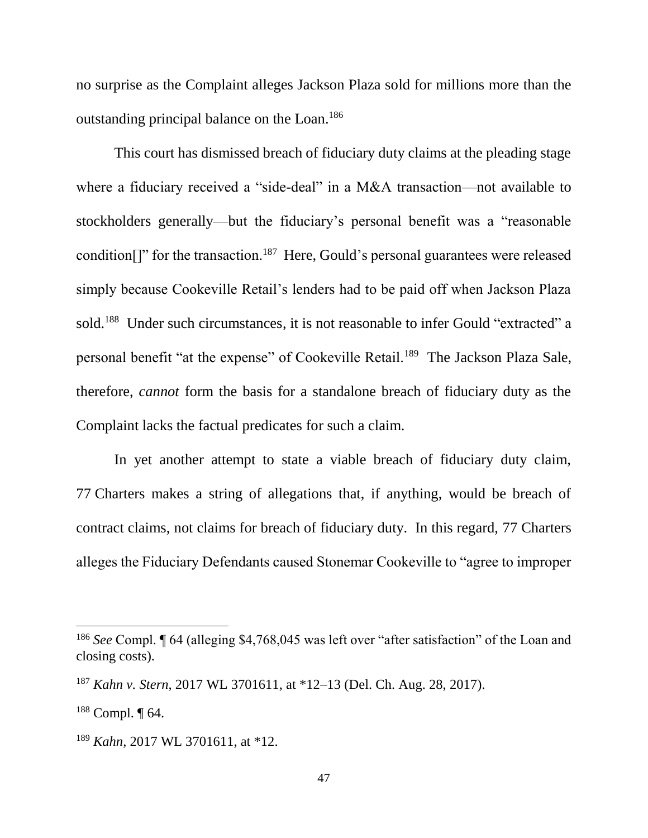no surprise as the Complaint alleges Jackson Plaza sold for millions more than the outstanding principal balance on the Loan.<sup>186</sup>

This court has dismissed breach of fiduciary duty claims at the pleading stage where a fiduciary received a "side-deal" in a M&A transaction—not available to stockholders generally—but the fiduciary's personal benefit was a "reasonable condition<sup>[]</sup>" for the transaction.<sup>187</sup> Here, Gould's personal guarantees were released simply because Cookeville Retail's lenders had to be paid off when Jackson Plaza sold.<sup>188</sup> Under such circumstances, it is not reasonable to infer Gould "extracted" a personal benefit "at the expense" of Cookeville Retail.<sup>189</sup> The Jackson Plaza Sale, therefore, *cannot* form the basis for a standalone breach of fiduciary duty as the Complaint lacks the factual predicates for such a claim.

In yet another attempt to state a viable breach of fiduciary duty claim, 77 Charters makes a string of allegations that, if anything, would be breach of contract claims, not claims for breach of fiduciary duty. In this regard, 77 Charters alleges the Fiduciary Defendants caused Stonemar Cookeville to "agree to improper

<sup>&</sup>lt;sup>186</sup> See Compl. If 64 (alleging \$4,768,045 was left over "after satisfaction" of the Loan and closing costs).

<sup>187</sup> *Kahn v. Stern*, 2017 WL 3701611, at \*12–13 (Del. Ch. Aug. 28, 2017).

 $188$  Compl.  $\P$  64.

<sup>189</sup> *Kahn*, 2017 WL 3701611, at \*12.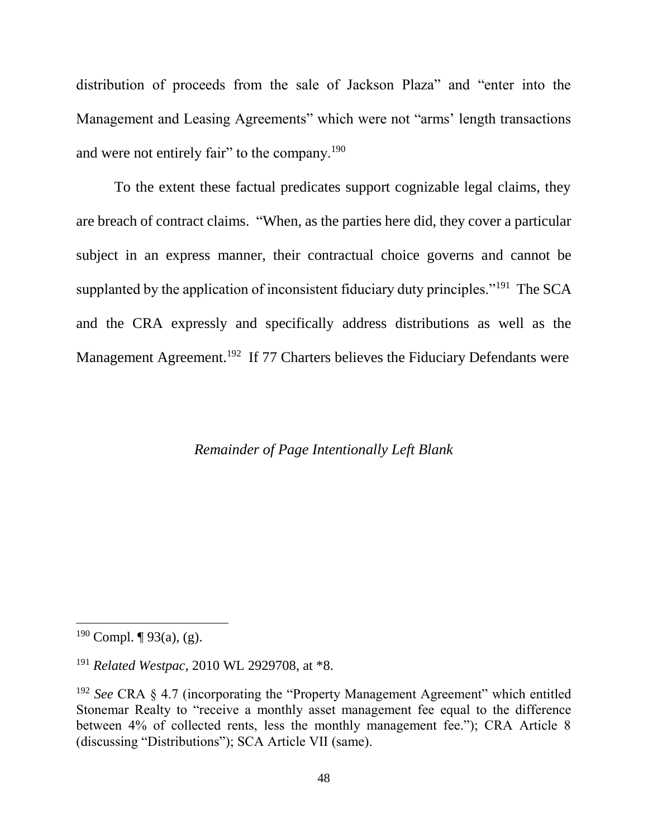distribution of proceeds from the sale of Jackson Plaza" and "enter into the Management and Leasing Agreements" which were not "arms' length transactions and were not entirely fair" to the company.<sup>190</sup>

To the extent these factual predicates support cognizable legal claims, they are breach of contract claims. "When, as the parties here did, they cover a particular subject in an express manner, their contractual choice governs and cannot be supplanted by the application of inconsistent fiduciary duty principles."<sup>191</sup> The SCA and the CRA expressly and specifically address distributions as well as the Management Agreement.<sup>192</sup> If 77 Charters believes the Fiduciary Defendants were

### *Remainder of Page Intentionally Left Blank*

<sup>&</sup>lt;sup>190</sup> Compl.  $\P$  93(a), (g).

<sup>191</sup> *Related Westpac*, 2010 WL 2929708, at \*8.

<sup>192</sup> *See* CRA § 4.7 (incorporating the "Property Management Agreement" which entitled Stonemar Realty to "receive a monthly asset management fee equal to the difference between 4% of collected rents, less the monthly management fee."); CRA Article 8 (discussing "Distributions"); SCA Article VII (same).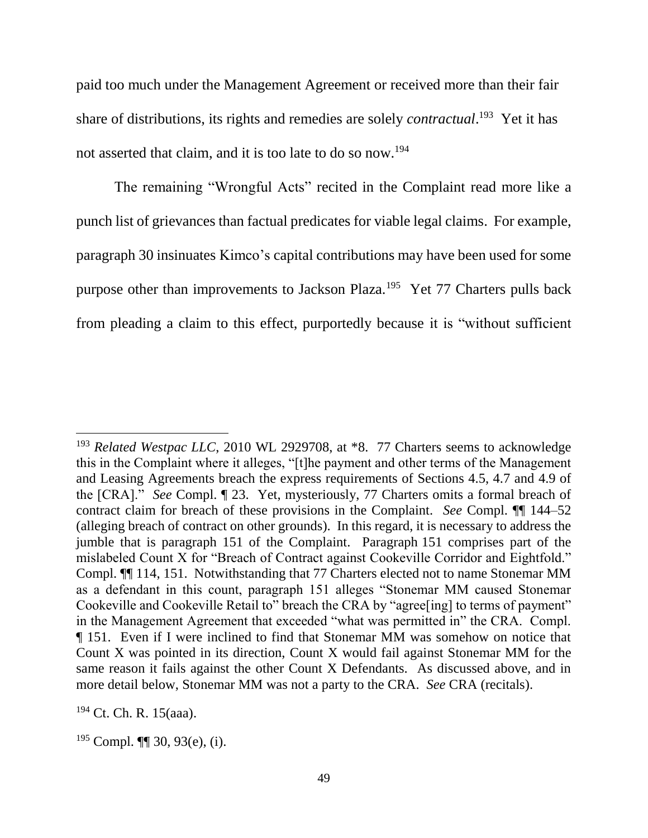paid too much under the Management Agreement or received more than their fair share of distributions, its rights and remedies are solely *contractual*. 193 Yet it has not asserted that claim, and it is too late to do so now.<sup>194</sup>

The remaining "Wrongful Acts" recited in the Complaint read more like a punch list of grievances than factual predicates for viable legal claims. For example, paragraph 30 insinuates Kimco's capital contributions may have been used for some purpose other than improvements to Jackson Plaza.<sup>195</sup> Yet 77 Charters pulls back from pleading a claim to this effect, purportedly because it is "without sufficient

<sup>&</sup>lt;sup>193</sup> *Related Westpac LLC*, 2010 WL 2929708, at \*8. 77 Charters seems to acknowledge this in the Complaint where it alleges, "[t]he payment and other terms of the Management and Leasing Agreements breach the express requirements of Sections 4.5, 4.7 and 4.9 of the [CRA]." *See* Compl. ¶ 23. Yet, mysteriously, 77 Charters omits a formal breach of contract claim for breach of these provisions in the Complaint. *See* Compl. ¶¶ 144–52 (alleging breach of contract on other grounds). In this regard, it is necessary to address the jumble that is paragraph 151 of the Complaint. Paragraph 151 comprises part of the mislabeled Count X for "Breach of Contract against Cookeville Corridor and Eightfold." Compl. ¶¶ 114, 151. Notwithstanding that 77 Charters elected not to name Stonemar MM as a defendant in this count, paragraph 151 alleges "Stonemar MM caused Stonemar Cookeville and Cookeville Retail to" breach the CRA by "agree[ing] to terms of payment" in the Management Agreement that exceeded "what was permitted in" the CRA. Compl. ¶ 151. Even if I were inclined to find that Stonemar MM was somehow on notice that Count X was pointed in its direction, Count X would fail against Stonemar MM for the same reason it fails against the other Count X Defendants. As discussed above, and in more detail below, Stonemar MM was not a party to the CRA. *See* CRA (recitals).

<sup>194</sup> Ct. Ch. R. 15(aaa).

 $195$  Compl.  $\P\P$  30, 93(e), (i).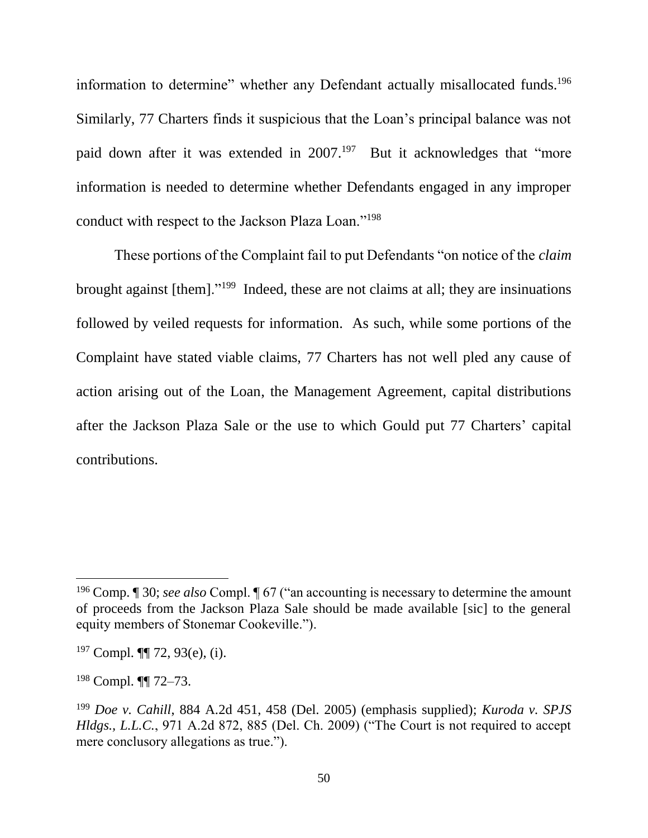information to determine" whether any Defendant actually misallocated funds.<sup>196</sup> Similarly, 77 Charters finds it suspicious that the Loan's principal balance was not paid down after it was extended in 2007.<sup>197</sup> But it acknowledges that "more information is needed to determine whether Defendants engaged in any improper conduct with respect to the Jackson Plaza Loan."<sup>198</sup>

These portions of the Complaint fail to put Defendants "on notice of the *claim*  brought against [them]."<sup>199</sup> Indeed, these are not claims at all; they are insinuations followed by veiled requests for information. As such, while some portions of the Complaint have stated viable claims, 77 Charters has not well pled any cause of action arising out of the Loan, the Management Agreement, capital distributions after the Jackson Plaza Sale or the use to which Gould put 77 Charters' capital contributions.

<sup>196</sup> Comp. ¶ 30; *see also* Compl. ¶ 67 ("an accounting is necessary to determine the amount of proceeds from the Jackson Plaza Sale should be made available [sic] to the general equity members of Stonemar Cookeville.").

 $197$  Compl.  $\P$ [ 72, 93(e), (i).

<sup>198</sup> Compl. ¶¶ 72–73.

<sup>199</sup> *Doe v. Cahill*, 884 A.2d 451, 458 (Del. 2005) (emphasis supplied); *Kuroda v. SPJS Hldgs., L.L.C.*, 971 A.2d 872, 885 (Del. Ch. 2009) ("The Court is not required to accept mere conclusory allegations as true.").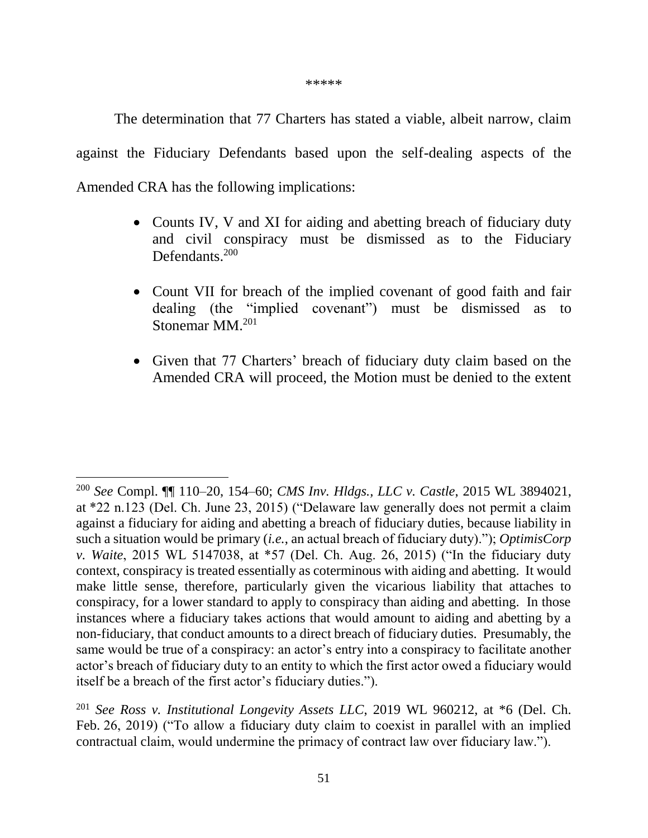\*\*\*\*\*

The determination that 77 Charters has stated a viable, albeit narrow, claim against the Fiduciary Defendants based upon the self-dealing aspects of the Amended CRA has the following implications:

- Counts IV, V and XI for aiding and abetting breach of fiduciary duty and civil conspiracy must be dismissed as to the Fiduciary Defendants. 200
- Count VII for breach of the implied covenant of good faith and fair dealing (the "implied covenant") must be dismissed as to Stonemar MM.<sup>201</sup>
- Given that 77 Charters' breach of fiduciary duty claim based on the Amended CRA will proceed, the Motion must be denied to the extent

<sup>200</sup> *See* Compl. ¶¶ 110–20, 154–60; *CMS Inv. Hldgs., LLC v. Castle*, 2015 WL 3894021, at \*22 n.123 (Del. Ch. June 23, 2015) ("Delaware law generally does not permit a claim against a fiduciary for aiding and abetting a breach of fiduciary duties, because liability in such a situation would be primary (*i.e.*, an actual breach of fiduciary duty)."); *OptimisCorp v. Waite*, 2015 WL 5147038, at \*57 (Del. Ch. Aug. 26, 2015) ("In the fiduciary duty context, conspiracy is treated essentially as coterminous with aiding and abetting. It would make little sense, therefore, particularly given the vicarious liability that attaches to conspiracy, for a lower standard to apply to conspiracy than aiding and abetting. In those instances where a fiduciary takes actions that would amount to aiding and abetting by a non-fiduciary, that conduct amounts to a direct breach of fiduciary duties. Presumably, the same would be true of a conspiracy: an actor's entry into a conspiracy to facilitate another actor's breach of fiduciary duty to an entity to which the first actor owed a fiduciary would itself be a breach of the first actor's fiduciary duties.").

<sup>201</sup> *See Ross v. Institutional Longevity Assets LLC*, 2019 WL 960212, at \*6 (Del. Ch. Feb. 26, 2019) ("To allow a fiduciary duty claim to coexist in parallel with an implied contractual claim, would undermine the primacy of contract law over fiduciary law.").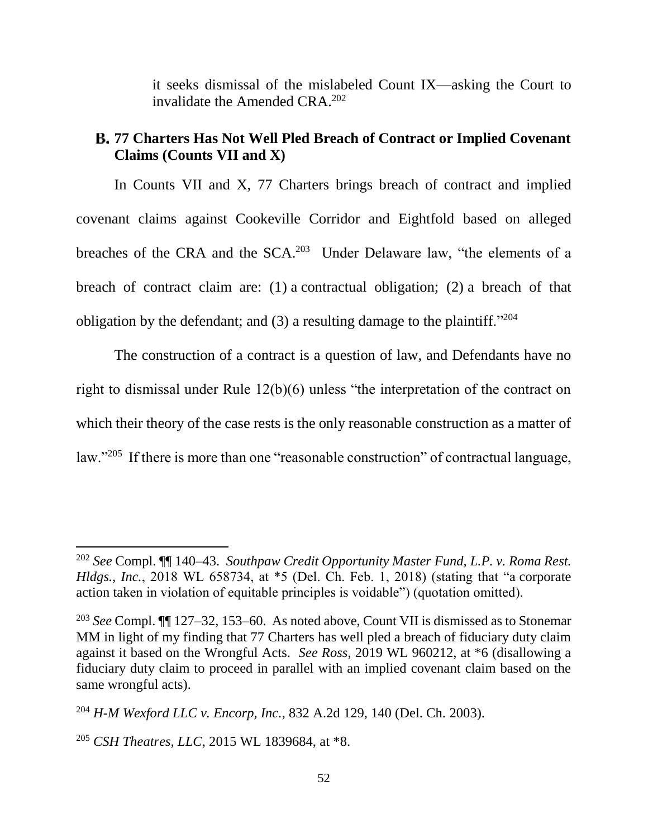it seeks dismissal of the mislabeled Count IX—asking the Court to invalidate the Amended CRA. 202

## **77 Charters Has Not Well Pled Breach of Contract or Implied Covenant Claims (Counts VII and X)**

In Counts VII and X, 77 Charters brings breach of contract and implied covenant claims against Cookeville Corridor and Eightfold based on alleged breaches of the CRA and the SCA.<sup>203</sup> Under Delaware law, "the elements of a breach of contract claim are: (1) a contractual obligation; (2) a breach of that obligation by the defendant; and (3) a resulting damage to the plaintiff."<sup>204</sup>

The construction of a contract is a question of law, and Defendants have no right to dismissal under Rule 12(b)(6) unless "the interpretation of the contract on which their theory of the case rests is the only reasonable construction as a matter of law."<sup>205</sup> If there is more than one "reasonable construction" of contractual language,

<sup>202</sup> *See* Compl. ¶¶ 140–43. *Southpaw Credit Opportunity Master Fund, L.P. v. Roma Rest. Hldgs., Inc.*, 2018 WL 658734, at \*5 (Del. Ch. Feb. 1, 2018) (stating that "a corporate action taken in violation of equitable principles is voidable") (quotation omitted).

<sup>203</sup> *See* Compl. ¶¶ 127–32, 153–60. As noted above, Count VII is dismissed as to Stonemar MM in light of my finding that 77 Charters has well pled a breach of fiduciary duty claim against it based on the Wrongful Acts. *See Ross*, 2019 WL 960212, at \*6 (disallowing a fiduciary duty claim to proceed in parallel with an implied covenant claim based on the same wrongful acts).

<sup>204</sup> *H-M Wexford LLC v. Encorp, Inc.*, 832 A.2d 129, 140 (Del. Ch. 2003).

<sup>205</sup> *CSH Theatres, LLC*, 2015 WL 1839684, at \*8.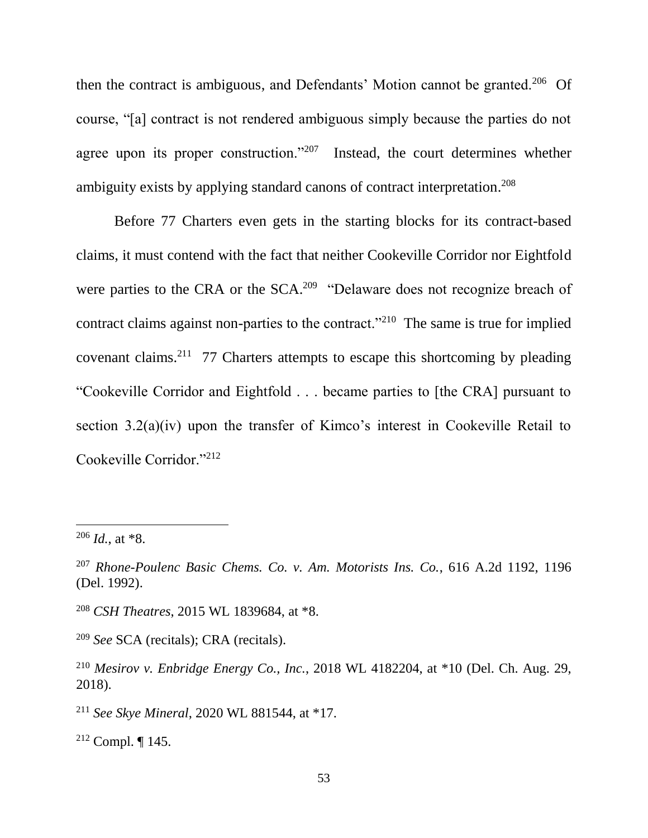then the contract is ambiguous, and Defendants' Motion cannot be granted.<sup>206</sup> Of course, "[a] contract is not rendered ambiguous simply because the parties do not agree upon its proper construction."<sup>207</sup> Instead, the court determines whether ambiguity exists by applying standard canons of contract interpretation. 208

Before 77 Charters even gets in the starting blocks for its contract-based claims, it must contend with the fact that neither Cookeville Corridor nor Eightfold were parties to the CRA or the SCA.<sup>209</sup> "Delaware does not recognize breach of contract claims against non-parties to the contract."<sup>210</sup> The same is true for implied covenant claims.<sup>211</sup> 77 Charters attempts to escape this shortcoming by pleading "Cookeville Corridor and Eightfold . . . became parties to [the CRA] pursuant to section 3.2(a)(iv) upon the transfer of Kimco's interest in Cookeville Retail to Cookeville Corridor."<sup>212</sup>

 $\overline{a}$ 

<sup>208</sup> *CSH Theatres*, 2015 WL 1839684, at \*8.

<sup>209</sup> *See* SCA (recitals); CRA (recitals).

<sup>211</sup> *See Skye Mineral*, 2020 WL 881544, at \*17.

<sup>212</sup> Compl. ¶ 145.

<sup>206</sup> *Id.*, at \*8.

<sup>207</sup> *Rhone-Poulenc Basic Chems. Co. v. Am. Motorists Ins. Co.*, 616 A.2d 1192, 1196 (Del. 1992).

<sup>210</sup> *Mesirov v. Enbridge Energy Co., Inc.*, 2018 WL 4182204, at \*10 (Del. Ch. Aug. 29, 2018).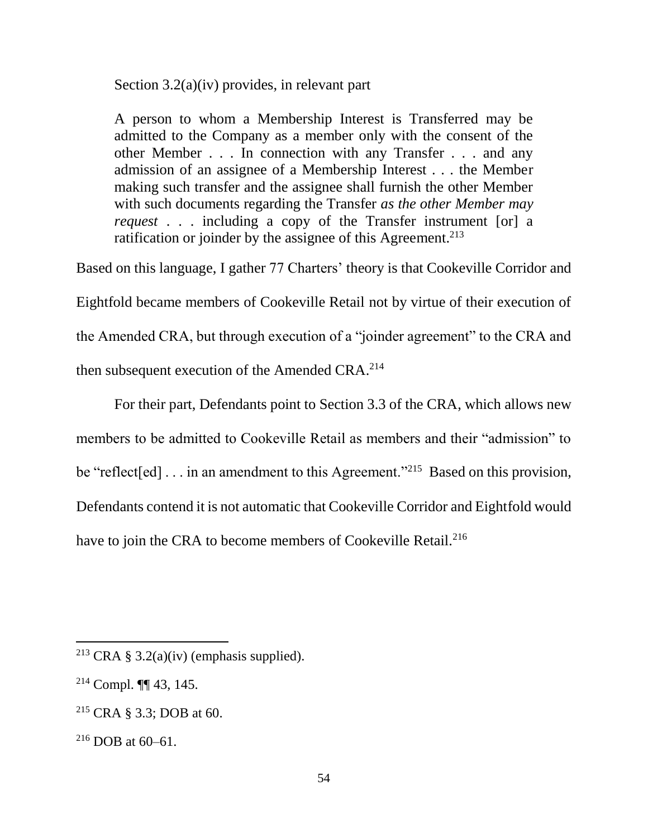Section 3.2(a)(iv) provides, in relevant part

A person to whom a Membership Interest is Transferred may be admitted to the Company as a member only with the consent of the other Member . . . In connection with any Transfer . . . and any admission of an assignee of a Membership Interest . . . the Member making such transfer and the assignee shall furnish the other Member with such documents regarding the Transfer *as the other Member may request* . . . including a copy of the Transfer instrument [or] a ratification or joinder by the assignee of this Agreement.<sup>213</sup>

Based on this language, I gather 77 Charters' theory is that Cookeville Corridor and Eightfold became members of Cookeville Retail not by virtue of their execution of the Amended CRA, but through execution of a "joinder agreement" to the CRA and then subsequent execution of the Amended CRA. $^{214}$ 

For their part, Defendants point to Section 3.3 of the CRA, which allows new members to be admitted to Cookeville Retail as members and their "admission" to be "reflect[ed]... in an amendment to this Agreement."<sup>215</sup> Based on this provision, Defendants contend it is not automatic that Cookeville Corridor and Eightfold would have to join the CRA to become members of Cookeville Retail.<sup>216</sup>

<sup>&</sup>lt;sup>213</sup> CRA § 3.2(a)(iv) (emphasis supplied).

 $214$  Compl.  $\P\P$  43, 145.

<sup>215</sup> CRA § 3.3; DOB at 60.

 $216$  DOB at 60–61.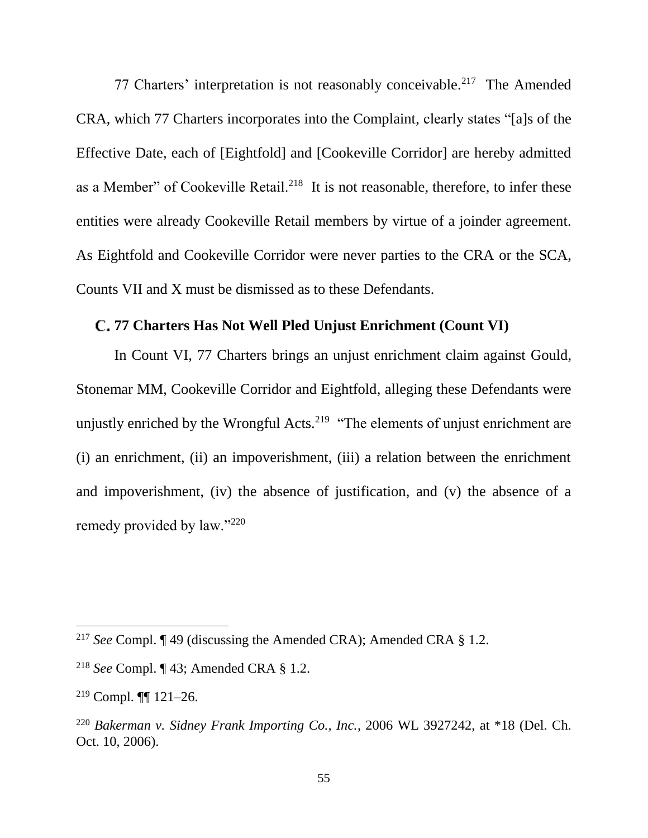77 Charters' interpretation is not reasonably conceivable.<sup>217</sup> The Amended CRA, which 77 Charters incorporates into the Complaint, clearly states "[a]s of the Effective Date, each of [Eightfold] and [Cookeville Corridor] are hereby admitted as a Member" of Cookeville Retail.<sup>218</sup> It is not reasonable, therefore, to infer these entities were already Cookeville Retail members by virtue of a joinder agreement. As Eightfold and Cookeville Corridor were never parties to the CRA or the SCA, Counts VII and X must be dismissed as to these Defendants.

### **77 Charters Has Not Well Pled Unjust Enrichment (Count VI)**

In Count VI, 77 Charters brings an unjust enrichment claim against Gould, Stonemar MM, Cookeville Corridor and Eightfold, alleging these Defendants were unjustly enriched by the Wrongful Acts.<sup>219</sup> "The elements of unjust enrichment are (i) an enrichment, (ii) an impoverishment, (iii) a relation between the enrichment and impoverishment, (iv) the absence of justification, and (v) the absence of a remedy provided by law."220

<sup>&</sup>lt;sup>217</sup> *See* Compl. ¶ 49 (discussing the Amended CRA); Amended CRA § 1.2.

<sup>218</sup> *See* Compl. ¶ 43; Amended CRA § 1.2.

<sup>219</sup> Compl. ¶¶ 121–26.

<sup>220</sup> *Bakerman v. Sidney Frank Importing Co., Inc.*, 2006 WL 3927242, at \*18 (Del. Ch. Oct. 10, 2006).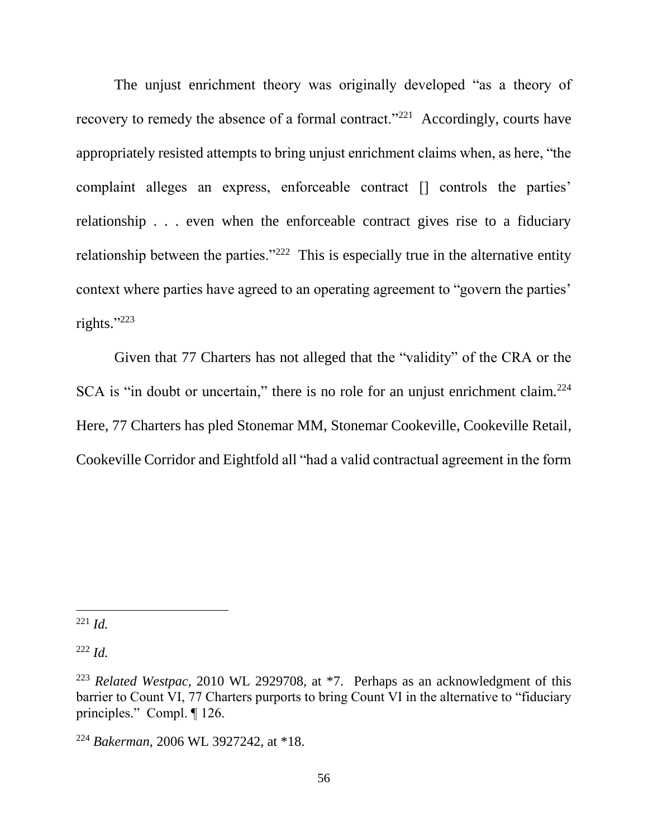The unjust enrichment theory was originally developed "as a theory of recovery to remedy the absence of a formal contract."<sup>221</sup> Accordingly, courts have appropriately resisted attempts to bring unjust enrichment claims when, as here, "the complaint alleges an express, enforceable contract [] controls the parties' relationship . . . even when the enforceable contract gives rise to a fiduciary relationship between the parties." $222$  This is especially true in the alternative entity context where parties have agreed to an operating agreement to "govern the parties' rights." 223

Given that 77 Charters has not alleged that the "validity" of the CRA or the SCA is "in doubt or uncertain," there is no role for an unjust enrichment claim.<sup>224</sup> Here, 77 Charters has pled Stonemar MM, Stonemar Cookeville, Cookeville Retail, Cookeville Corridor and Eightfold all "had a valid contractual agreement in the form

<sup>222</sup> *Id.*

 $\overline{a}$ <sup>221</sup> *Id.*

<sup>223</sup> *Related Westpac*, 2010 WL 2929708, at \*7. Perhaps as an acknowledgment of this barrier to Count VI, 77 Charters purports to bring Count VI in the alternative to "fiduciary principles." Compl. ¶ 126.

<sup>224</sup> *Bakerman*, 2006 WL 3927242, at \*18.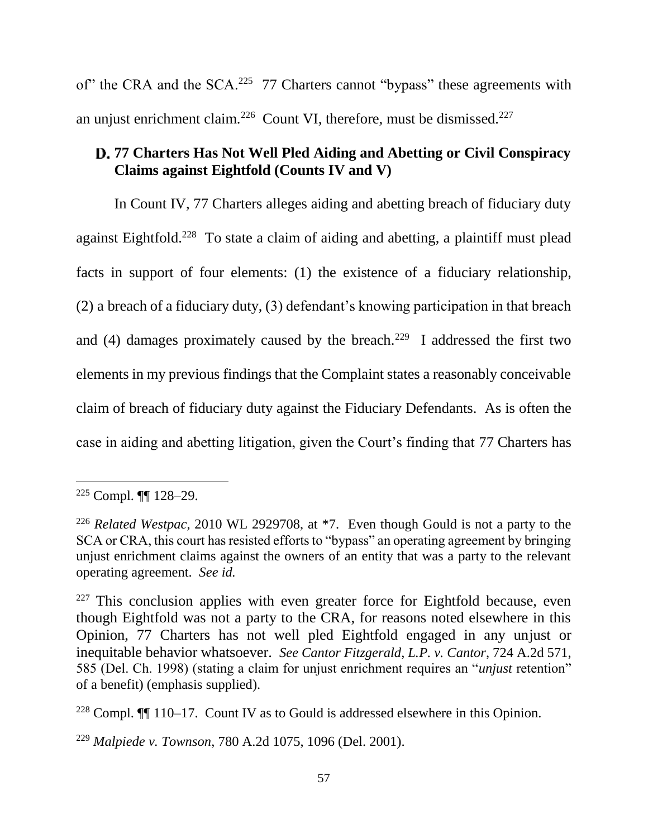of" the CRA and the SCA.<sup>225</sup> 77 Charters cannot "bypass" these agreements with an unjust enrichment claim.<sup>226</sup> Count VI, therefore, must be dismissed.<sup>227</sup>

# **77 Charters Has Not Well Pled Aiding and Abetting or Civil Conspiracy Claims against Eightfold (Counts IV and V)**

In Count IV, 77 Charters alleges aiding and abetting breach of fiduciary duty against Eightfold.<sup>228</sup> To state a claim of aiding and abetting, a plaintiff must plead facts in support of four elements: (1) the existence of a fiduciary relationship, (2) a breach of a fiduciary duty, (3) defendant's knowing participation in that breach and (4) damages proximately caused by the breach.<sup>229</sup> I addressed the first two elements in my previous findings that the Complaint states a reasonably conceivable claim of breach of fiduciary duty against the Fiduciary Defendants. As is often the case in aiding and abetting litigation, given the Court's finding that 77 Charters has

<sup>225</sup> Compl. ¶¶ 128–29.

<sup>226</sup> *Related Westpac*, 2010 WL 2929708, at \*7. Even though Gould is not a party to the SCA or CRA, this court has resisted efforts to "bypass" an operating agreement by bringing unjust enrichment claims against the owners of an entity that was a party to the relevant operating agreement. *See id.* 

 $227$  This conclusion applies with even greater force for Eightfold because, even though Eightfold was not a party to the CRA, for reasons noted elsewhere in this Opinion, 77 Charters has not well pled Eightfold engaged in any unjust or inequitable behavior whatsoever. *See Cantor Fitzgerald, L.P. v. Cantor*, 724 A.2d 571, 585 (Del. Ch. 1998) (stating a claim for unjust enrichment requires an "*unjust* retention" of a benefit) (emphasis supplied).

<sup>228</sup> Compl. ¶¶ 110–17. Count IV as to Gould is addressed elsewhere in this Opinion.

<sup>229</sup> *Malpiede v. Townson*, 780 A.2d 1075, 1096 (Del. 2001).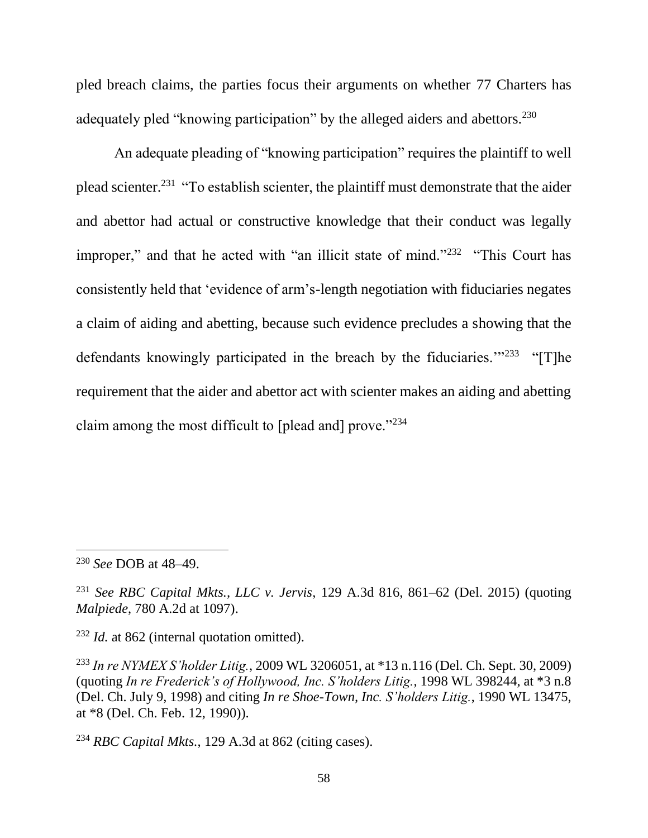pled breach claims, the parties focus their arguments on whether 77 Charters has adequately pled "knowing participation" by the alleged aiders and abettors.<sup>230</sup>

An adequate pleading of "knowing participation" requires the plaintiff to well plead scienter.<sup>231</sup> "To establish scienter, the plaintiff must demonstrate that the aider and abettor had actual or constructive knowledge that their conduct was legally improper," and that he acted with "an illicit state of mind."<sup>232</sup> "This Court has consistently held that 'evidence of arm's-length negotiation with fiduciaries negates a claim of aiding and abetting, because such evidence precludes a showing that the defendants knowingly participated in the breach by the fiduciaries."<sup>233</sup> "[T]he requirement that the aider and abettor act with scienter makes an aiding and abetting claim among the most difficult to [plead and] prove." $234$ 

 $\overline{a}$ 

<sup>232</sup> *Id.* at 862 (internal quotation omitted).

<sup>230</sup> *See* DOB at 48–49.

<sup>231</sup> *See RBC Capital Mkts., LLC v. Jervis*, 129 A.3d 816, 861–62 (Del. 2015) (quoting *Malpiede*, 780 A.2d at 1097).

<sup>233</sup> *In re NYMEX S'holder Litig.*, 2009 WL 3206051, at \*13 n.116 (Del. Ch. Sept. 30, 2009) (quoting *In re Frederick's of Hollywood, Inc. S'holders Litig.*, 1998 WL 398244, at \*3 n.8 (Del. Ch. July 9, 1998) and citing *In re Shoe-Town, Inc. S'holders Litig.*, 1990 WL 13475, at \*8 (Del. Ch. Feb. 12, 1990)).

<sup>234</sup> *RBC Capital Mkts.*, 129 A.3d at 862 (citing cases).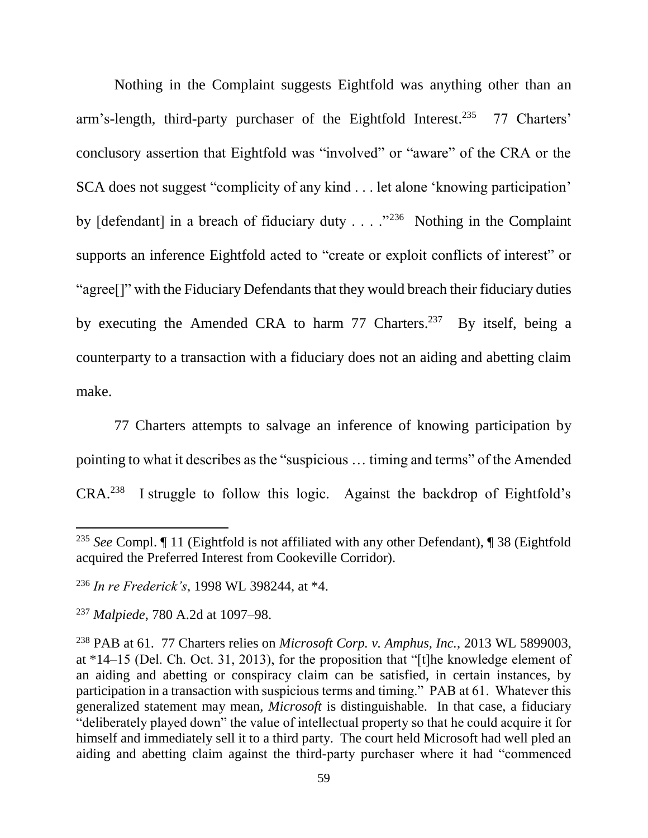Nothing in the Complaint suggests Eightfold was anything other than an arm's-length, third-party purchaser of the Eightfold Interest.<sup>235</sup> 77 Charters' conclusory assertion that Eightfold was "involved" or "aware" of the CRA or the SCA does not suggest "complicity of any kind . . . let alone 'knowing participation' by  $[defendant]$  in a breach of fiduciary duty  $\ldots$  ."<sup>236</sup> Nothing in the Complaint supports an inference Eightfold acted to "create or exploit conflicts of interest" or "agree[]" with the Fiduciary Defendants that they would breach their fiduciary duties by executing the Amended CRA to harm 77 Charters.<sup>237</sup> By itself, being a counterparty to a transaction with a fiduciary does not an aiding and abetting claim make.

77 Charters attempts to salvage an inference of knowing participation by pointing to what it describes as the "suspicious … timing and terms" of the Amended  $CRA<sup>238</sup>$  I struggle to follow this logic. Against the backdrop of Eightfold's

<sup>235</sup> *See* Compl. ¶ 11 (Eightfold is not affiliated with any other Defendant), ¶ 38 (Eightfold acquired the Preferred Interest from Cookeville Corridor).

<sup>236</sup> *In re Frederick's*, 1998 WL 398244, at \*4.

<sup>237</sup> *Malpiede*, 780 A.2d at 1097–98.

<sup>238</sup> PAB at 61. 77 Charters relies on *Microsoft Corp. v. Amphus, Inc.*, 2013 WL 5899003, at \*14–15 (Del. Ch. Oct. 31, 2013), for the proposition that "[t]he knowledge element of an aiding and abetting or conspiracy claim can be satisfied, in certain instances, by participation in a transaction with suspicious terms and timing." PAB at 61. Whatever this generalized statement may mean, *Microsoft* is distinguishable. In that case, a fiduciary "deliberately played down" the value of intellectual property so that he could acquire it for himself and immediately sell it to a third party. The court held Microsoft had well pled an aiding and abetting claim against the third-party purchaser where it had "commenced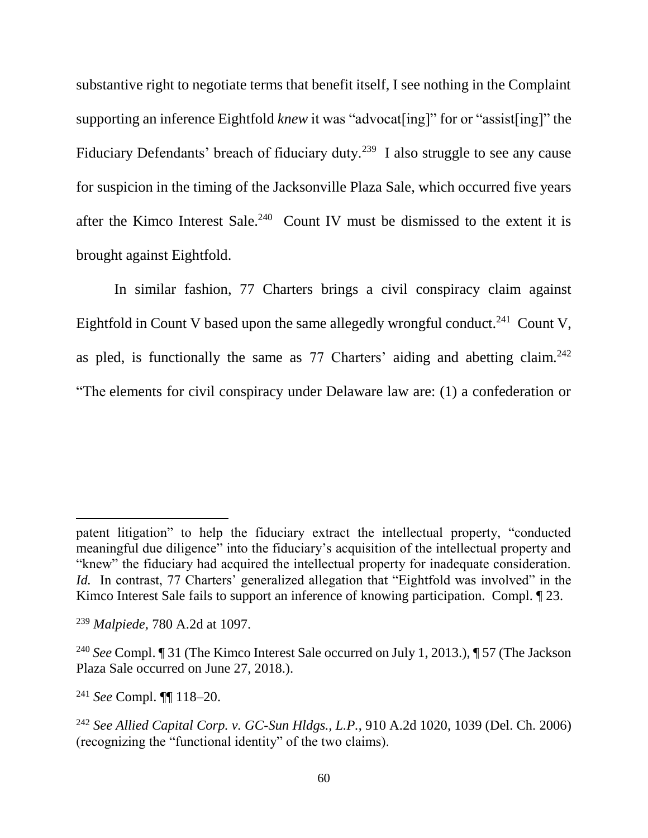substantive right to negotiate terms that benefit itself, I see nothing in the Complaint supporting an inference Eightfold *knew* it was "advocat[ing]" for or "assist[ing]" the Fiduciary Defendants' breach of fiduciary duty.<sup>239</sup> I also struggle to see any cause for suspicion in the timing of the Jacksonville Plaza Sale, which occurred five years after the Kimco Interest Sale.<sup>240</sup> Count IV must be dismissed to the extent it is brought against Eightfold.

In similar fashion, 77 Charters brings a civil conspiracy claim against Eightfold in Count V based upon the same allegedly wrongful conduct.<sup>241</sup> Count V, as pled, is functionally the same as  $77$  Charters' aiding and abetting claim.<sup>242</sup> "The elements for civil conspiracy under Delaware law are: (1) a confederation or

patent litigation" to help the fiduciary extract the intellectual property, "conducted meaningful due diligence" into the fiduciary's acquisition of the intellectual property and "knew" the fiduciary had acquired the intellectual property for inadequate consideration. *Id.* In contrast, 77 Charters' generalized allegation that "Eightfold was involved" in the Kimco Interest Sale fails to support an inference of knowing participation. Compl. 123.

<sup>239</sup> *Malpiede*, 780 A.2d at 1097.

<sup>240</sup> *See* Compl. ¶ 31 (The Kimco Interest Sale occurred on July 1, 2013.), ¶ 57 (The Jackson Plaza Sale occurred on June 27, 2018.).

<sup>241</sup> *See* Compl. ¶¶ 118–20.

<sup>242</sup> *See Allied Capital Corp. v. GC-Sun Hldgs., L.P.*, 910 A.2d 1020, 1039 (Del. Ch. 2006) (recognizing the "functional identity" of the two claims).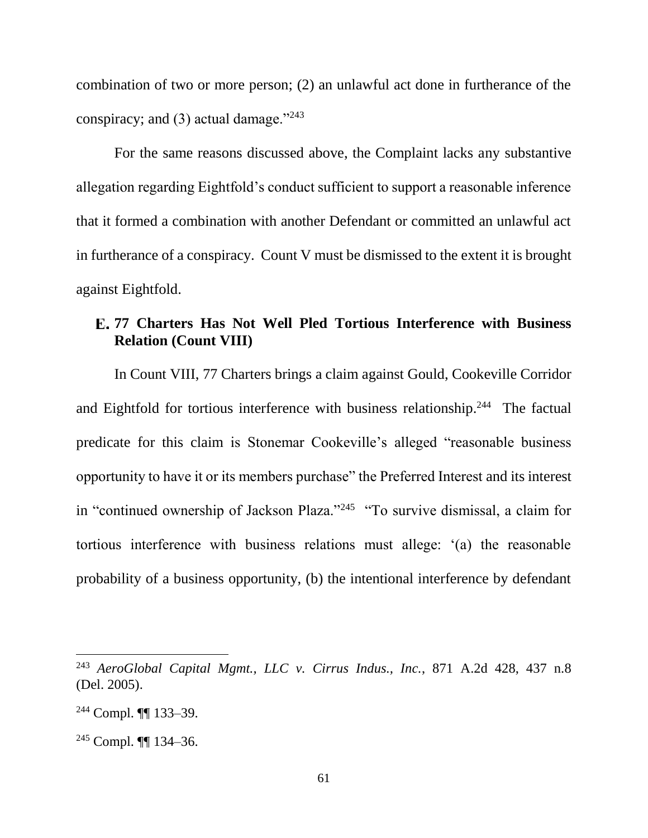combination of two or more person; (2) an unlawful act done in furtherance of the conspiracy; and  $(3)$  actual damage."<sup>243</sup>

For the same reasons discussed above, the Complaint lacks any substantive allegation regarding Eightfold's conduct sufficient to support a reasonable inference that it formed a combination with another Defendant or committed an unlawful act in furtherance of a conspiracy. Count V must be dismissed to the extent it is brought against Eightfold.

## **77 Charters Has Not Well Pled Tortious Interference with Business Relation (Count VIII)**

In Count VIII, 77 Charters brings a claim against Gould, Cookeville Corridor and Eightfold for tortious interference with business relationship.<sup>244</sup> The factual predicate for this claim is Stonemar Cookeville's alleged "reasonable business opportunity to have it or its members purchase" the Preferred Interest and its interest in "continued ownership of Jackson Plaza."<sup>245</sup> "To survive dismissal, a claim for tortious interference with business relations must allege: '(a) the reasonable probability of a business opportunity, (b) the intentional interference by defendant

<sup>243</sup> *AeroGlobal Capital Mgmt., LLC v. Cirrus Indus., Inc.*, 871 A.2d 428, 437 n.8 (Del. 2005).

<sup>244</sup> Compl. ¶¶ 133–39.

<sup>245</sup> Compl. ¶¶ 134–36.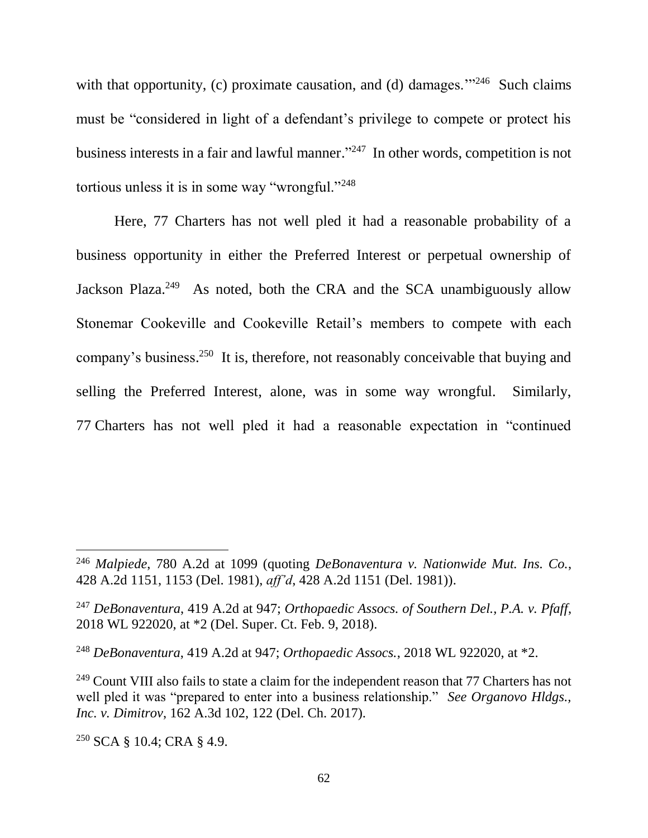with that opportunity, (c) proximate causation, and (d) damages."<sup>246</sup> Such claims must be "considered in light of a defendant's privilege to compete or protect his business interests in a fair and lawful manner." <sup>247</sup> In other words, competition is not tortious unless it is in some way "wrongful."<sup>248</sup>

Here, 77 Charters has not well pled it had a reasonable probability of a business opportunity in either the Preferred Interest or perpetual ownership of Jackson Plaza.<sup>249</sup> As noted, both the CRA and the SCA unambiguously allow Stonemar Cookeville and Cookeville Retail's members to compete with each company's business.<sup>250</sup> It is, therefore, not reasonably conceivable that buying and selling the Preferred Interest, alone, was in some way wrongful. Similarly, 77 Charters has not well pled it had a reasonable expectation in "continued

<sup>250</sup> SCA § 10.4; CRA § 4.9.

<sup>246</sup> *Malpiede*, 780 A.2d at 1099 (quoting *DeBonaventura v. Nationwide Mut. Ins. Co.*, 428 A.2d 1151, 1153 (Del. 1981), *aff'd*, 428 A.2d 1151 (Del. 1981)).

<sup>247</sup> *DeBonaventura*, 419 A.2d at 947; *Orthopaedic Assocs. of Southern Del., P.A. v. Pfaff*, 2018 WL 922020, at \*2 (Del. Super. Ct. Feb. 9, 2018).

<sup>248</sup> *DeBonaventura*, 419 A.2d at 947; *Orthopaedic Assocs.*, 2018 WL 922020, at \*2.

 $249$  Count VIII also fails to state a claim for the independent reason that 77 Charters has not well pled it was "prepared to enter into a business relationship." *See Organovo Hldgs., Inc. v. Dimitrov*, 162 A.3d 102, 122 (Del. Ch. 2017).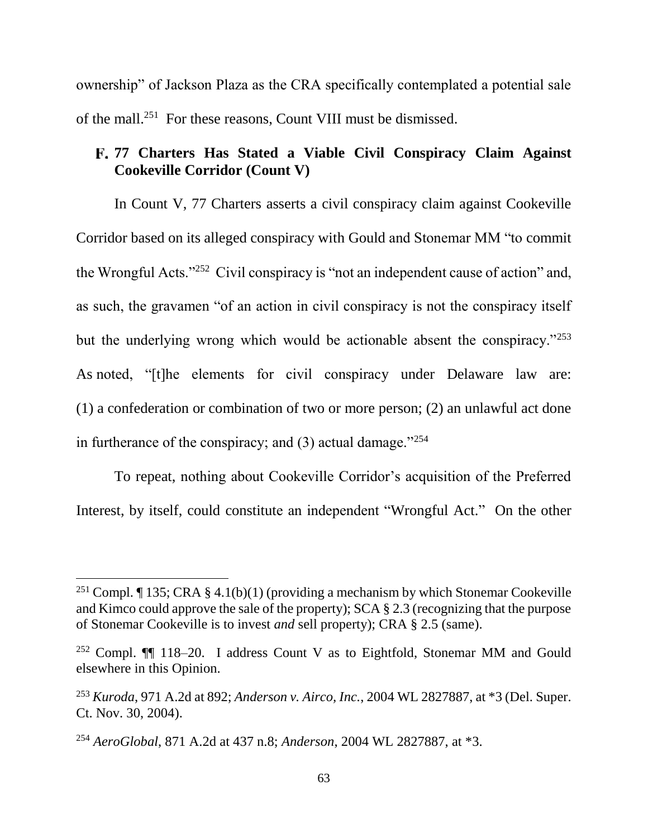ownership" of Jackson Plaza as the CRA specifically contemplated a potential sale of the mall. 251 For these reasons, Count VIII must be dismissed.

# **77 Charters Has Stated a Viable Civil Conspiracy Claim Against Cookeville Corridor (Count V)**

In Count V, 77 Charters asserts a civil conspiracy claim against Cookeville Corridor based on its alleged conspiracy with Gould and Stonemar MM "to commit the Wrongful Acts."<sup>252</sup> Civil conspiracy is "not an independent cause of action" and, as such, the gravamen "of an action in civil conspiracy is not the conspiracy itself but the underlying wrong which would be actionable absent the conspiracy."<sup>253</sup> As noted, "[t]he elements for civil conspiracy under Delaware law are: (1) a confederation or combination of two or more person; (2) an unlawful act done in furtherance of the conspiracy; and  $(3)$  actual damage."<sup>254</sup>

To repeat, nothing about Cookeville Corridor's acquisition of the Preferred Interest, by itself, could constitute an independent "Wrongful Act." On the other

<sup>&</sup>lt;sup>251</sup> Compl. ¶ 135; CRA § 4.1(b)(1) (providing a mechanism by which Stonemar Cookeville and Kimco could approve the sale of the property); SCA § 2.3 (recognizing that the purpose of Stonemar Cookeville is to invest *and* sell property); CRA § 2.5 (same).

<sup>&</sup>lt;sup>252</sup> Compl.  $\P$  118–20. I address Count V as to Eightfold, Stonemar MM and Gould elsewhere in this Opinion.

<sup>253</sup> *Kuroda*, 971 A.2d at 892; *Anderson v. Airco, Inc.*, 2004 WL 2827887, at \*3 (Del. Super. Ct. Nov. 30, 2004).

<sup>254</sup> *AeroGlobal*, 871 A.2d at 437 n.8; *Anderson*, 2004 WL 2827887, at \*3.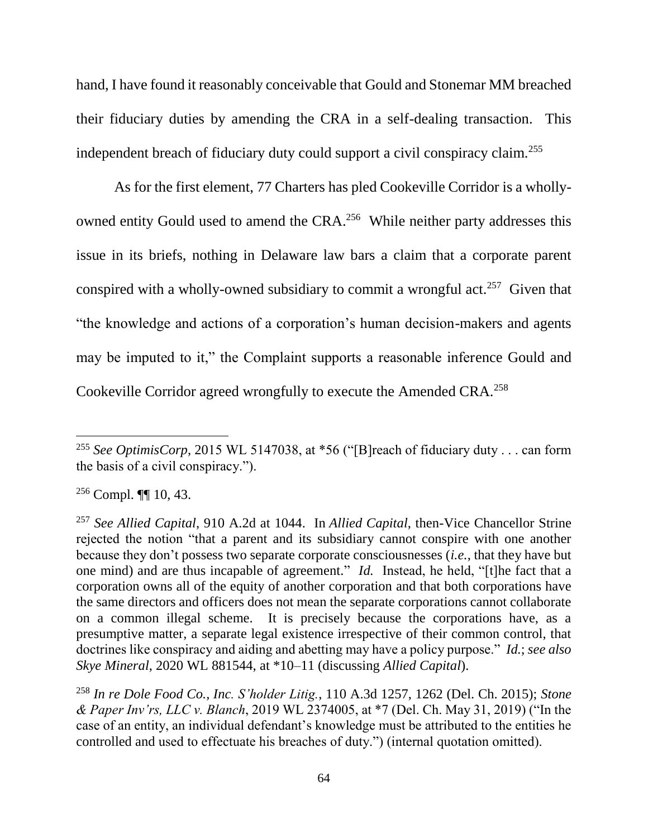hand, I have found it reasonably conceivable that Gould and Stonemar MM breached their fiduciary duties by amending the CRA in a self-dealing transaction. This independent breach of fiduciary duty could support a civil conspiracy claim.<sup>255</sup>

As for the first element, 77 Charters has pled Cookeville Corridor is a whollyowned entity Gould used to amend the CRA.<sup>256</sup> While neither party addresses this issue in its briefs, nothing in Delaware law bars a claim that a corporate parent conspired with a wholly-owned subsidiary to commit a wrongful act.<sup>257</sup> Given that "the knowledge and actions of a corporation's human decision-makers and agents may be imputed to it," the Complaint supports a reasonable inference Gould and Cookeville Corridor agreed wrongfully to execute the Amended CRA.<sup>258</sup>

<sup>&</sup>lt;sup>255</sup> See OptimisCorp, 2015 WL 5147038, at \*56 ("[B]reach of fiduciary duty . . . can form the basis of a civil conspiracy.").

 $256$  Compl.  $\P\P$  10, 43.

<sup>257</sup> *See Allied Capital*, 910 A.2d at 1044. In *Allied Capital*, then-Vice Chancellor Strine rejected the notion "that a parent and its subsidiary cannot conspire with one another because they don't possess two separate corporate consciousnesses (*i.e.*, that they have but one mind) and are thus incapable of agreement." *Id.* Instead, he held, "[t]he fact that a corporation owns all of the equity of another corporation and that both corporations have the same directors and officers does not mean the separate corporations cannot collaborate on a common illegal scheme. It is precisely because the corporations have, as a presumptive matter, a separate legal existence irrespective of their common control, that doctrines like conspiracy and aiding and abetting may have a policy purpose." *Id.*; *see also Skye Mineral*, 2020 WL 881544, at \*10–11 (discussing *Allied Capital*).

<sup>258</sup> *In re Dole Food Co., Inc. S'holder Litig.*, 110 A.3d 1257, 1262 (Del. Ch. 2015); *Stone & Paper Inv'rs, LLC v. Blanch*, 2019 WL 2374005, at \*7 (Del. Ch. May 31, 2019) ("In the case of an entity, an individual defendant's knowledge must be attributed to the entities he controlled and used to effectuate his breaches of duty.") (internal quotation omitted).